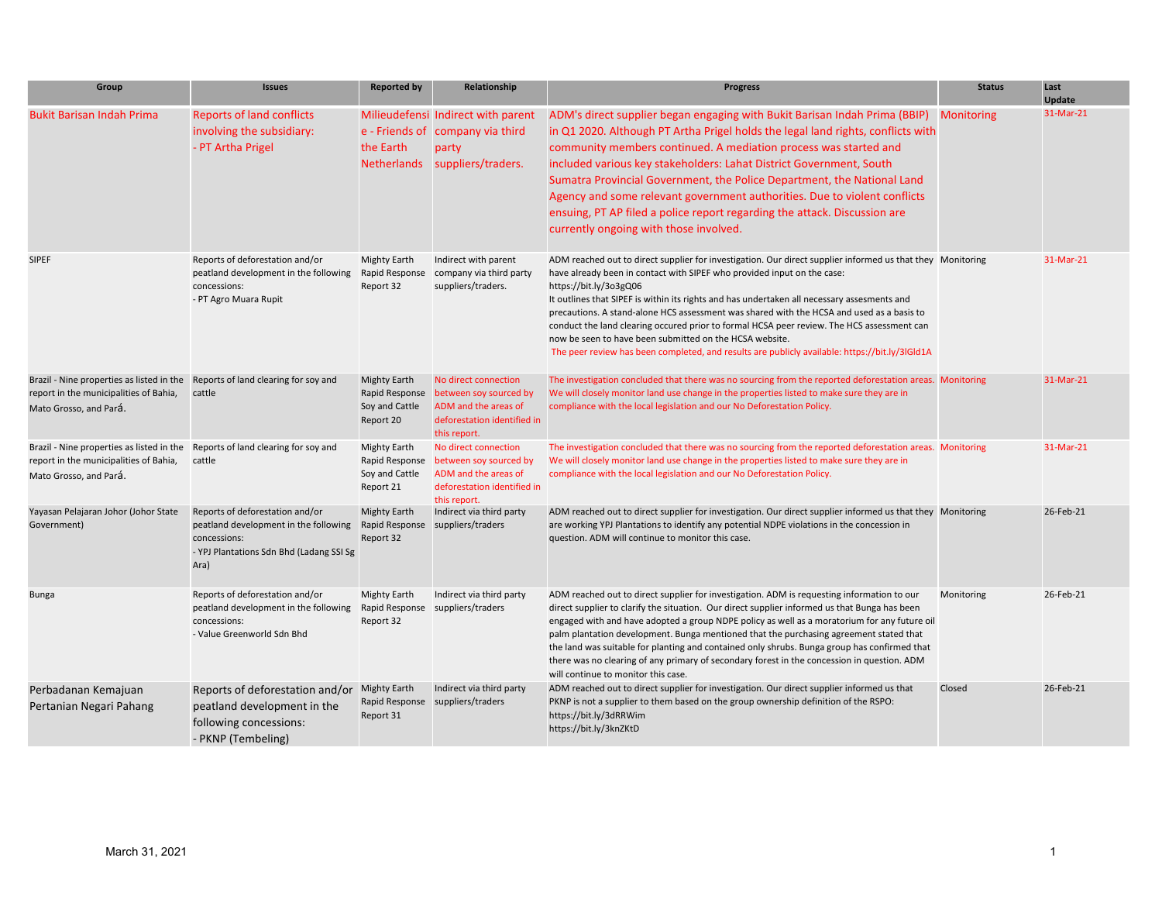| Group                                                                                                                                              | <b>Issues</b>                                                                                                                                | <b>Reported by</b>                                                   | Relationship                                                                                                          | <b>Progress</b>                                                                                                                                                                                                                                                                                                                                                                                                                                                                                                                                                                                                                                                        | <b>Status</b> | Last<br><b>Update</b> |
|----------------------------------------------------------------------------------------------------------------------------------------------------|----------------------------------------------------------------------------------------------------------------------------------------------|----------------------------------------------------------------------|-----------------------------------------------------------------------------------------------------------------------|------------------------------------------------------------------------------------------------------------------------------------------------------------------------------------------------------------------------------------------------------------------------------------------------------------------------------------------------------------------------------------------------------------------------------------------------------------------------------------------------------------------------------------------------------------------------------------------------------------------------------------------------------------------------|---------------|-----------------------|
| <b>Bukit Barisan Indah Prima</b>                                                                                                                   | <b>Reports of land conflicts</b><br>involving the subsidiary:<br>- PT Artha Prigel                                                           | the Earth                                                            | Milieudefensi Indirect with parent<br>e - Friends of company via third<br>party<br>Netherlands suppliers/traders.     | ADM's direct supplier began engaging with Bukit Barisan Indah Prima (BBIP) Monitoring<br>in Q1 2020. Although PT Artha Prigel holds the legal land rights, conflicts with<br>community members continued. A mediation process was started and<br>included various key stakeholders: Lahat District Government, South<br>Sumatra Provincial Government, the Police Department, the National Land<br>Agency and some relevant government authorities. Due to violent conflicts<br>ensuing, PT AP filed a police report regarding the attack. Discussion are<br>currently ongoing with those involved.                                                                    |               | 31-Mar-21             |
| <b>SIPEF</b>                                                                                                                                       | Reports of deforestation and/or<br>peatland development in the following<br>concessions:<br>- PT Agro Muara Rupit                            | <b>Mighty Earth</b><br>Rapid Response<br>Report 32                   | Indirect with parent<br>company via third party<br>suppliers/traders.                                                 | ADM reached out to direct supplier for investigation. Our direct supplier informed us that they Monitoring<br>have already been in contact with SIPEF who provided input on the case:<br>https://bit.ly/3o3gQ06<br>It outlines that SIPEF is within its rights and has undertaken all necessary assesments and<br>precautions. A stand-alone HCS assessment was shared with the HCSA and used as a basis to<br>conduct the land clearing occured prior to formal HCSA peer review. The HCS assessment can<br>now be seen to have been submitted on the HCSA website.<br>The peer review has been completed, and results are publicly available: https://bit.ly/3IGId1A |               | 31-Mar-21             |
| Brazil - Nine properties as listed in the<br>report in the municipalities of Bahia,<br>Mato Grosso, and Pará.                                      | Reports of land clearing for soy and<br>cattle                                                                                               | <b>Mighty Earth</b><br>Rapid Response<br>Soy and Cattle<br>Report 20 | No direct connection<br>between soy sourced by<br>ADM and the areas of<br>deforestation identified in<br>this report. | The investigation concluded that there was no sourcing from the reported deforestation areas. Monitoring<br>We will closely monitor land use change in the properties listed to make sure they are in<br>compliance with the local legislation and our No Deforestation Policy.                                                                                                                                                                                                                                                                                                                                                                                        |               | 31-Mar-21             |
| Brazil - Nine properties as listed in the Reports of land clearing for soy and<br>report in the municipalities of Bahia,<br>Mato Grosso, and Pará. | cattle                                                                                                                                       | <b>Mighty Earth</b><br>Rapid Response<br>Soy and Cattle<br>Report 21 | No direct connection<br>between soy sourced by<br>ADM and the areas of<br>deforestation identified in<br>this report. | The investigation concluded that there was no sourcing from the reported deforestation areas. Monitoring<br>We will closely monitor land use change in the properties listed to make sure they are in<br>compliance with the local legislation and our No Deforestation Policy.                                                                                                                                                                                                                                                                                                                                                                                        |               | 31-Mar-21             |
| Yayasan Pelajaran Johor (Johor State<br>Government)                                                                                                | Reports of deforestation and/or<br>peatland development in the following<br>concessions:<br>- YPJ Plantations Sdn Bhd (Ladang SSI Sg<br>Ara) | <b>Mighty Earth</b><br>Rapid Response<br>Report 32                   | Indirect via third party<br>suppliers/traders                                                                         | ADM reached out to direct supplier for investigation. Our direct supplier informed us that they Monitoring<br>are working YPJ Plantations to identify any potential NDPE violations in the concession in<br>question. ADM will continue to monitor this case.                                                                                                                                                                                                                                                                                                                                                                                                          |               | 26-Feb-21             |
| <b>Bunga</b>                                                                                                                                       | Reports of deforestation and/or<br>peatland development in the following<br>concessions:<br>- Value Greenworld Sdn Bhd                       | <b>Mighty Earth</b><br>Report 32                                     | Indirect via third party<br>Rapid Response suppliers/traders                                                          | ADM reached out to direct supplier for investigation. ADM is requesting information to our<br>direct supplier to clarify the situation. Our direct supplier informed us that Bunga has been<br>engaged with and have adopted a group NDPE policy as well as a moratorium for any future oil<br>palm plantation development. Bunga mentioned that the purchasing agreement stated that<br>the land was suitable for planting and contained only shrubs. Bunga group has confirmed that<br>there was no clearing of any primary of secondary forest in the concession in question. ADM<br>will continue to monitor this case.                                            | Monitoring    | 26-Feb-21             |
| Perbadanan Kemajuan<br>Pertanian Negari Pahang                                                                                                     | Reports of deforestation and/or<br>peatland development in the<br>following concessions:<br>- PKNP (Tembeling)                               | <b>Mighty Earth</b><br>Report 31                                     | Indirect via third party<br>Rapid Response suppliers/traders                                                          | ADM reached out to direct supplier for investigation. Our direct supplier informed us that<br>PKNP is not a supplier to them based on the group ownership definition of the RSPO:<br>https://bit.ly/3dRRWim<br>https://bit.ly/3knZKtD                                                                                                                                                                                                                                                                                                                                                                                                                                  | Closed        | 26-Feb-21             |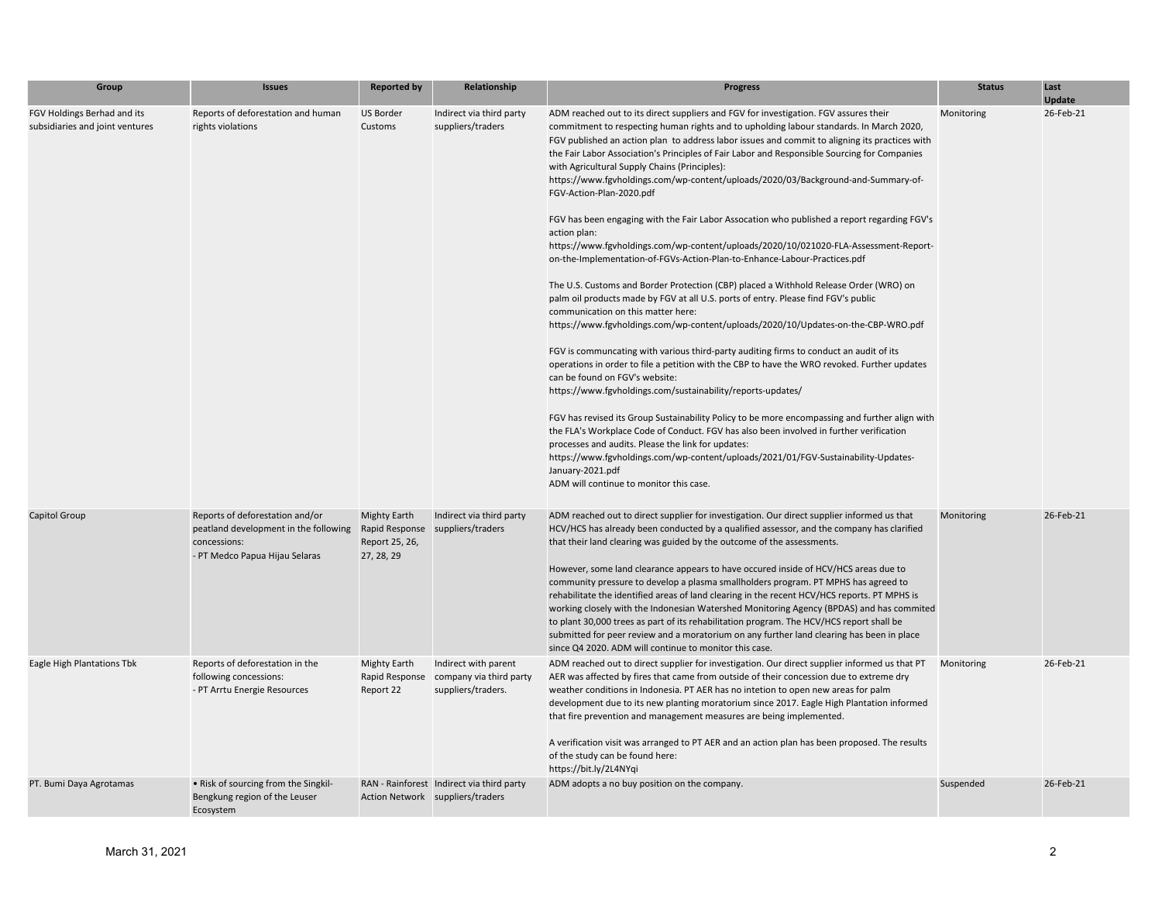| Group                                                          | <b>Issues</b>                                                                                                              | <b>Reported by</b>                                                    | Relationship                                                                  | <b>Progress</b>                                                                                                                                                                                                                                                                                                                                                                                                                                                                                                                                                                                                                                                                                                                                                                                                                                                                                                                                                                                                                                                                                                                                                                                                                                                                                                                                                                                                                                                                                                                                                                                                                                                                                                                                                                                                                                      | <b>Status</b> | Last<br><b>Update</b> |
|----------------------------------------------------------------|----------------------------------------------------------------------------------------------------------------------------|-----------------------------------------------------------------------|-------------------------------------------------------------------------------|------------------------------------------------------------------------------------------------------------------------------------------------------------------------------------------------------------------------------------------------------------------------------------------------------------------------------------------------------------------------------------------------------------------------------------------------------------------------------------------------------------------------------------------------------------------------------------------------------------------------------------------------------------------------------------------------------------------------------------------------------------------------------------------------------------------------------------------------------------------------------------------------------------------------------------------------------------------------------------------------------------------------------------------------------------------------------------------------------------------------------------------------------------------------------------------------------------------------------------------------------------------------------------------------------------------------------------------------------------------------------------------------------------------------------------------------------------------------------------------------------------------------------------------------------------------------------------------------------------------------------------------------------------------------------------------------------------------------------------------------------------------------------------------------------------------------------------------------------|---------------|-----------------------|
| FGV Holdings Berhad and its<br>subsidiaries and joint ventures | Reports of deforestation and human<br>rights violations                                                                    | US Border<br>Customs                                                  | Indirect via third party<br>suppliers/traders                                 | ADM reached out to its direct suppliers and FGV for investigation. FGV assures their<br>commitment to respecting human rights and to upholding labour standards. In March 2020,<br>FGV published an action plan to address labor issues and commit to aligning its practices with<br>the Fair Labor Association's Principles of Fair Labor and Responsible Sourcing for Companies<br>with Agricultural Supply Chains (Principles):<br>https://www.fgvholdings.com/wp-content/uploads/2020/03/Background-and-Summary-of-<br>FGV-Action-Plan-2020.pdf<br>FGV has been engaging with the Fair Labor Assocation who published a report regarding FGV's<br>action plan:<br>https://www.fgvholdings.com/wp-content/uploads/2020/10/021020-FLA-Assessment-Report-<br>on-the-Implementation-of-FGVs-Action-Plan-to-Enhance-Labour-Practices.pdf<br>The U.S. Customs and Border Protection (CBP) placed a Withhold Release Order (WRO) on<br>palm oil products made by FGV at all U.S. ports of entry. Please find FGV's public<br>communication on this matter here:<br>https://www.fgvholdings.com/wp-content/uploads/2020/10/Updates-on-the-CBP-WRO.pdf<br>FGV is communcating with various third-party auditing firms to conduct an audit of its<br>operations in order to file a petition with the CBP to have the WRO revoked. Further updates<br>can be found on FGV's website:<br>https://www.fgvholdings.com/sustainability/reports-updates/<br>FGV has revised its Group Sustainability Policy to be more encompassing and further align with<br>the FLA's Workplace Code of Conduct. FGV has also been involved in further verification<br>processes and audits. Please the link for updates:<br>https://www.fgvholdings.com/wp-content/uploads/2021/01/FGV-Sustainability-Updates-<br>January-2021.pdf<br>ADM will continue to monitor this case. | Monitoring    | 26-Feb-21             |
| Capitol Group                                                  | Reports of deforestation and/or<br>peatland development in the following<br>concessions:<br>- PT Medco Papua Hijau Selaras | <b>Mighty Earth</b><br>Rapid Response<br>Report 25, 26,<br>27, 28, 29 | Indirect via third party<br>suppliers/traders                                 | ADM reached out to direct supplier for investigation. Our direct supplier informed us that<br>HCV/HCS has already been conducted by a qualified assessor, and the company has clarified<br>that their land clearing was guided by the outcome of the assessments.<br>However, some land clearance appears to have occured inside of HCV/HCS areas due to<br>community pressure to develop a plasma smallholders program. PT MPHS has agreed to<br>rehabilitate the identified areas of land clearing in the recent HCV/HCS reports. PT MPHS is<br>working closely with the Indonesian Watershed Monitoring Agency (BPDAS) and has commited<br>to plant 30,000 trees as part of its rehabilitation program. The HCV/HCS report shall be<br>submitted for peer review and a moratorium on any further land clearing has been in place<br>since Q4 2020. ADM will continue to monitor this case.                                                                                                                                                                                                                                                                                                                                                                                                                                                                                                                                                                                                                                                                                                                                                                                                                                                                                                                                                        | Monitoring    | 26-Feb-21             |
| Eagle High Plantations Tbk                                     | Reports of deforestation in the<br>following concessions:<br>- PT Arrtu Energie Resources                                  | <b>Mighty Earth</b><br>Rapid Response<br>Report 22                    | Indirect with parent<br>company via third party<br>suppliers/traders.         | ADM reached out to direct supplier for investigation. Our direct supplier informed us that PT<br>AER was affected by fires that came from outside of their concession due to extreme dry<br>weather conditions in Indonesia. PT AER has no intetion to open new areas for palm<br>development due to its new planting moratorium since 2017. Eagle High Plantation informed<br>that fire prevention and management measures are being implemented.<br>A verification visit was arranged to PT AER and an action plan has been proposed. The results<br>of the study can be found here:<br>https://bit.ly/2L4NYqi                                                                                                                                                                                                                                                                                                                                                                                                                                                                                                                                                                                                                                                                                                                                                                                                                                                                                                                                                                                                                                                                                                                                                                                                                                     | Monitoring    | 26-Feb-21             |
| PT. Bumi Daya Agrotamas                                        | • Risk of sourcing from the Singkil-<br>Bengkung region of the Leuser<br>Ecosystem                                         |                                                                       | RAN - Rainforest Indirect via third party<br>Action Network suppliers/traders | ADM adopts a no buy position on the company.                                                                                                                                                                                                                                                                                                                                                                                                                                                                                                                                                                                                                                                                                                                                                                                                                                                                                                                                                                                                                                                                                                                                                                                                                                                                                                                                                                                                                                                                                                                                                                                                                                                                                                                                                                                                         | Suspended     | 26-Feb-21             |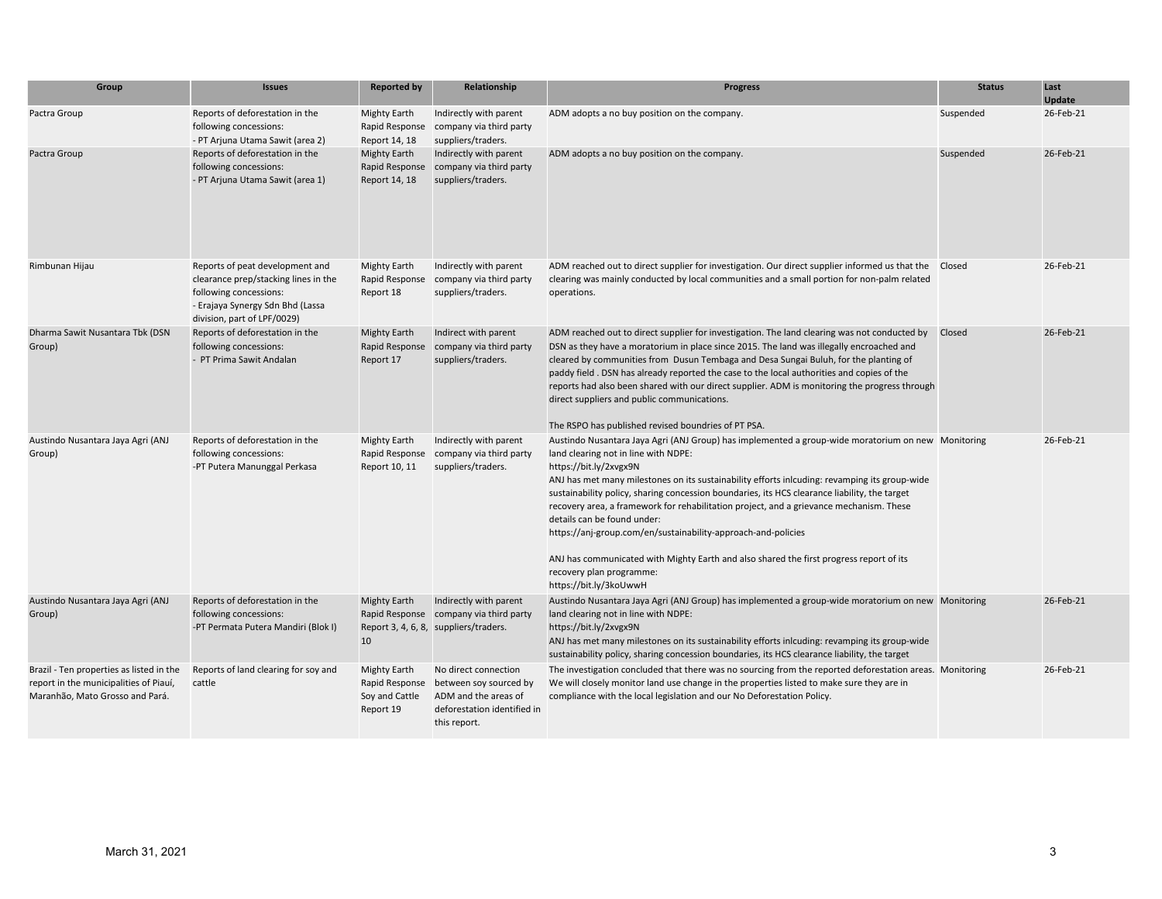| Group                                                                                                                 | <b>Issues</b>                                                                                                                                                        | <b>Reported by</b>                                                   | Relationship                                                                                                          | <b>Progress</b>                                                                                                                                                                                                                                                                                                                                                                                                                                                                                                                                                                                                                                                                                                    | <b>Status</b> | Last<br><b>Update</b> |
|-----------------------------------------------------------------------------------------------------------------------|----------------------------------------------------------------------------------------------------------------------------------------------------------------------|----------------------------------------------------------------------|-----------------------------------------------------------------------------------------------------------------------|--------------------------------------------------------------------------------------------------------------------------------------------------------------------------------------------------------------------------------------------------------------------------------------------------------------------------------------------------------------------------------------------------------------------------------------------------------------------------------------------------------------------------------------------------------------------------------------------------------------------------------------------------------------------------------------------------------------------|---------------|-----------------------|
| Pactra Group                                                                                                          | Reports of deforestation in the<br>following concessions:<br>- PT Arjuna Utama Sawit (area 2)                                                                        | <b>Mighty Earth</b><br>Rapid Response<br>Report 14, 18               | Indirectly with parent<br>company via third party<br>suppliers/traders.                                               | ADM adopts a no buy position on the company.                                                                                                                                                                                                                                                                                                                                                                                                                                                                                                                                                                                                                                                                       | Suspended     | 26-Feb-21             |
| Pactra Group                                                                                                          | Reports of deforestation in the<br>following concessions:<br>- PT Arjuna Utama Sawit (area 1)                                                                        | <b>Mighty Earth</b><br>Rapid Response<br>Report 14, 18               | Indirectly with parent<br>company via third party<br>suppliers/traders.                                               | ADM adopts a no buy position on the company.                                                                                                                                                                                                                                                                                                                                                                                                                                                                                                                                                                                                                                                                       | Suspended     | 26-Feb-21             |
| Rimbunan Hijau                                                                                                        | Reports of peat development and<br>clearance prep/stacking lines in the<br>following concessions:<br>- Erajaya Synergy Sdn Bhd (Lassa<br>division, part of LPF/0029) | <b>Mighty Earth</b><br>Rapid Response<br>Report 18                   | Indirectly with parent<br>company via third party<br>suppliers/traders.                                               | ADM reached out to direct supplier for investigation. Our direct supplier informed us that the Closed<br>clearing was mainly conducted by local communities and a small portion for non-palm related<br>operations.                                                                                                                                                                                                                                                                                                                                                                                                                                                                                                |               | 26-Feb-21             |
| Dharma Sawit Nusantara Tbk (DSN<br>Group)                                                                             | Reports of deforestation in the<br>following concessions:<br>- PT Prima Sawit Andalan                                                                                | <b>Mighty Earth</b><br>Rapid Response<br>Report 17                   | Indirect with parent<br>company via third party<br>suppliers/traders.                                                 | ADM reached out to direct supplier for investigation. The land clearing was not conducted by<br>DSN as they have a moratorium in place since 2015. The land was illegally encroached and<br>cleared by communities from Dusun Tembaga and Desa Sungai Buluh, for the planting of<br>paddy field . DSN has already reported the case to the local authorities and copies of the<br>reports had also been shared with our direct supplier. ADM is monitoring the progress through<br>direct suppliers and public communications.<br>The RSPO has published revised boundries of PT PSA.                                                                                                                              | Closed        | 26-Feb-21             |
| Austindo Nusantara Jaya Agri (ANJ<br>Group)                                                                           | Reports of deforestation in the<br>following concessions:<br>-PT Putera Manunggal Perkasa                                                                            | <b>Mighty Earth</b><br>Rapid Response<br>Report 10, 11               | Indirectly with parent<br>company via third party<br>suppliers/traders.                                               | Austindo Nusantara Jaya Agri (ANJ Group) has implemented a group-wide moratorium on new Monitoring<br>land clearing not in line with NDPE:<br>https://bit.ly/2xvgx9N<br>ANJ has met many milestones on its sustainability efforts inlcuding: revamping its group-wide<br>sustainability policy, sharing concession boundaries, its HCS clearance liability, the target<br>recovery area, a framework for rehabilitation project, and a grievance mechanism. These<br>details can be found under:<br>https://anj-group.com/en/sustainability-approach-and-policies<br>ANJ has communicated with Mighty Earth and also shared the first progress report of its<br>recovery plan programme:<br>https://bit.ly/3koUwwH |               | 26-Feb-21             |
| Austindo Nusantara Jaya Agri (ANJ<br>Group)                                                                           | Reports of deforestation in the<br>following concessions:<br>-PT Permata Putera Mandiri (Blok I)                                                                     | <b>Mighty Earth</b><br>10                                            | Indirectly with parent<br>Rapid Response company via third party<br>Report 3, 4, 6, 8, suppliers/traders.             | Austindo Nusantara Jaya Agri (ANJ Group) has implemented a group-wide moratorium on new Monitoring<br>land clearing not in line with NDPE:<br>https://bit.ly/2xvgx9N<br>ANJ has met many milestones on its sustainability efforts inlcuding: revamping its group-wide<br>sustainability policy, sharing concession boundaries, its HCS clearance liability, the target                                                                                                                                                                                                                                                                                                                                             |               | 26-Feb-21             |
| Brazil - Ten properties as listed in the<br>report in the municipalities of Piauí,<br>Maranhão, Mato Grosso and Pará. | Reports of land clearing for soy and<br>cattle                                                                                                                       | <b>Mighty Earth</b><br>Rapid Response<br>Soy and Cattle<br>Report 19 | No direct connection<br>between soy sourced by<br>ADM and the areas of<br>deforestation identified in<br>this report. | The investigation concluded that there was no sourcing from the reported deforestation areas. Monitoring<br>We will closely monitor land use change in the properties listed to make sure they are in<br>compliance with the local legislation and our No Deforestation Policy.                                                                                                                                                                                                                                                                                                                                                                                                                                    |               | 26-Feb-21             |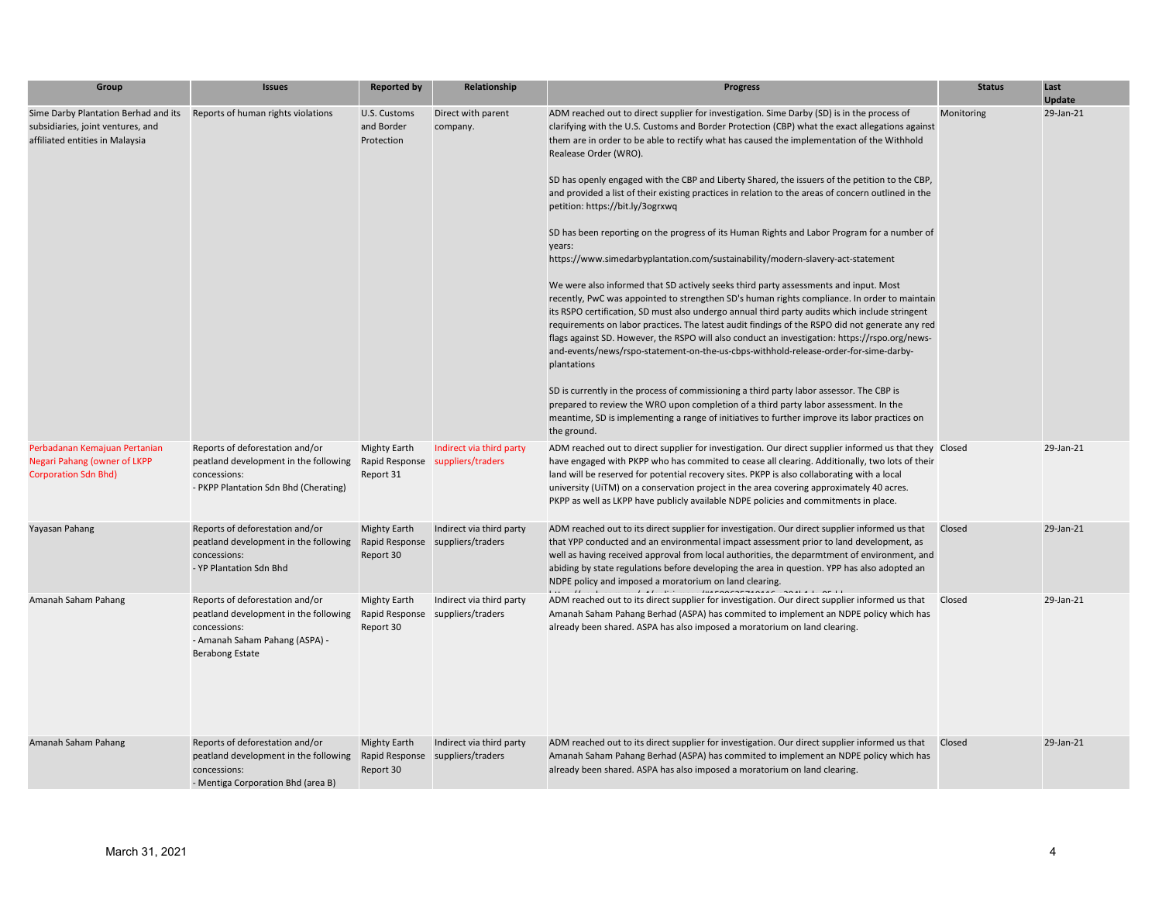| Group                                                                                                        | <b>Issues</b>                                                                                                                                        | <b>Reported by</b>                       | Relationship                                                 | <b>Progress</b>                                                                                                                                                                                                                                                                                                                                                                                                                                                                                                                                                                                                                                                                                                                                                                                                                                                                                                                                                                                                                                                                                                                                                                                                                                                                                                                                                                                                                                                                                                                                                                                                                                                         | <b>Status</b> | Last<br><b>Update</b> |
|--------------------------------------------------------------------------------------------------------------|------------------------------------------------------------------------------------------------------------------------------------------------------|------------------------------------------|--------------------------------------------------------------|-------------------------------------------------------------------------------------------------------------------------------------------------------------------------------------------------------------------------------------------------------------------------------------------------------------------------------------------------------------------------------------------------------------------------------------------------------------------------------------------------------------------------------------------------------------------------------------------------------------------------------------------------------------------------------------------------------------------------------------------------------------------------------------------------------------------------------------------------------------------------------------------------------------------------------------------------------------------------------------------------------------------------------------------------------------------------------------------------------------------------------------------------------------------------------------------------------------------------------------------------------------------------------------------------------------------------------------------------------------------------------------------------------------------------------------------------------------------------------------------------------------------------------------------------------------------------------------------------------------------------------------------------------------------------|---------------|-----------------------|
| Sime Darby Plantation Berhad and its<br>subsidiaries, joint ventures, and<br>affiliated entities in Malaysia | Reports of human rights violations                                                                                                                   | U.S. Customs<br>and Border<br>Protection | Direct with parent<br>company.                               | ADM reached out to direct supplier for investigation. Sime Darby (SD) is in the process of<br>clarifying with the U.S. Customs and Border Protection (CBP) what the exact allegations against<br>them are in order to be able to rectify what has caused the implementation of the Withhold<br>Realease Order (WRO).<br>SD has openly engaged with the CBP and Liberty Shared, the issuers of the petition to the CBP,<br>and provided a list of their existing practices in relation to the areas of concern outlined in the<br>petition: https://bit.ly/3ogrxwq<br>SD has been reporting on the progress of its Human Rights and Labor Program for a number of<br>years:<br>https://www.simedarbyplantation.com/sustainability/modern-slavery-act-statement<br>We were also informed that SD actively seeks third party assessments and input. Most<br>recently, PwC was appointed to strengthen SD's human rights compliance. In order to maintain<br>its RSPO certification, SD must also undergo annual third party audits which include stringent<br>requirements on labor practices. The latest audit findings of the RSPO did not generate any red<br>flags against SD. However, the RSPO will also conduct an investigation: https://rspo.org/news-<br>and-events/news/rspo-statement-on-the-us-cbps-withhold-release-order-for-sime-darby-<br>plantations<br>SD is currently in the process of commissioning a third party labor assessor. The CBP is<br>prepared to review the WRO upon completion of a third party labor assessment. In the<br>meantime, SD is implementing a range of initiatives to further improve its labor practices on<br>the ground. | Monitoring    | 29-Jan-21             |
| Perbadanan Kemajuan Pertanian<br>Negari Pahang (owner of LKPP<br><b>Corporation Sdn Bhd)</b>                 | Reports of deforestation and/or<br>peatland development in the following<br>concessions:<br>- PKPP Plantation Sdn Bhd (Cherating)                    | <b>Mighty Earth</b><br>Report 31         | Indirect via third party<br>Rapid Response suppliers/traders | ADM reached out to direct supplier for investigation. Our direct supplier informed us that they Closed<br>have engaged with PKPP who has commited to cease all clearing. Additionally, two lots of their<br>land will be reserved for potential recovery sites. PKPP is also collaborating with a local<br>university (UiTM) on a conservation project in the area covering approximately 40 acres.<br>PKPP as well as LKPP have publicly available NDPE policies and commitments in place.                                                                                                                                                                                                                                                                                                                                                                                                                                                                                                                                                                                                                                                                                                                                                                                                                                                                                                                                                                                                                                                                                                                                                                             |               | 29-Jan-21             |
| Yayasan Pahang                                                                                               | Reports of deforestation and/or<br>peatland development in the following<br>concessions:<br>- YP Plantation Sdn Bhd                                  | <b>Mighty Earth</b><br>Report 30         | Indirect via third party<br>Rapid Response suppliers/traders | ADM reached out to its direct supplier for investigation. Our direct supplier informed us that<br>that YPP conducted and an environmental impact assessment prior to land development, as<br>well as having received approval from local authorities, the deparmtment of environment, and<br>abiding by state regulations before developing the area in question. YPP has also adopted an<br>NDPE policy and imposed a moratorium on land clearing.                                                                                                                                                                                                                                                                                                                                                                                                                                                                                                                                                                                                                                                                                                                                                                                                                                                                                                                                                                                                                                                                                                                                                                                                                     | Closed        | 29-Jan-21             |
| Amanah Saham Pahang                                                                                          | Reports of deforestation and/or<br>peatland development in the following<br>concessions:<br>- Amanah Saham Pahang (ASPA) -<br><b>Berabong Estate</b> | <b>Mighty Earth</b><br>Report 30         | Indirect via third party<br>Rapid Response suppliers/traders | ADM reached out to its direct supplier for investigation. Our direct supplier informed us that<br>Amanah Saham Pahang Berhad (ASPA) has commited to implement an NDPE policy which has<br>already been shared. ASPA has also imposed a moratorium on land clearing.                                                                                                                                                                                                                                                                                                                                                                                                                                                                                                                                                                                                                                                                                                                                                                                                                                                                                                                                                                                                                                                                                                                                                                                                                                                                                                                                                                                                     | Closed        | 29-Jan-21             |
| Amanah Saham Pahang                                                                                          | Reports of deforestation and/or<br>peatland development in the following<br>concessions:<br>- Mentiga Corporation Bhd (area B)                       | <b>Mighty Earth</b><br>Report 30         | Indirect via third party<br>Rapid Response suppliers/traders | ADM reached out to its direct supplier for investigation. Our direct supplier informed us that<br>Amanah Saham Pahang Berhad (ASPA) has commited to implement an NDPE policy which has<br>already been shared. ASPA has also imposed a moratorium on land clearing.                                                                                                                                                                                                                                                                                                                                                                                                                                                                                                                                                                                                                                                                                                                                                                                                                                                                                                                                                                                                                                                                                                                                                                                                                                                                                                                                                                                                     | Closed        | 29-Jan-21             |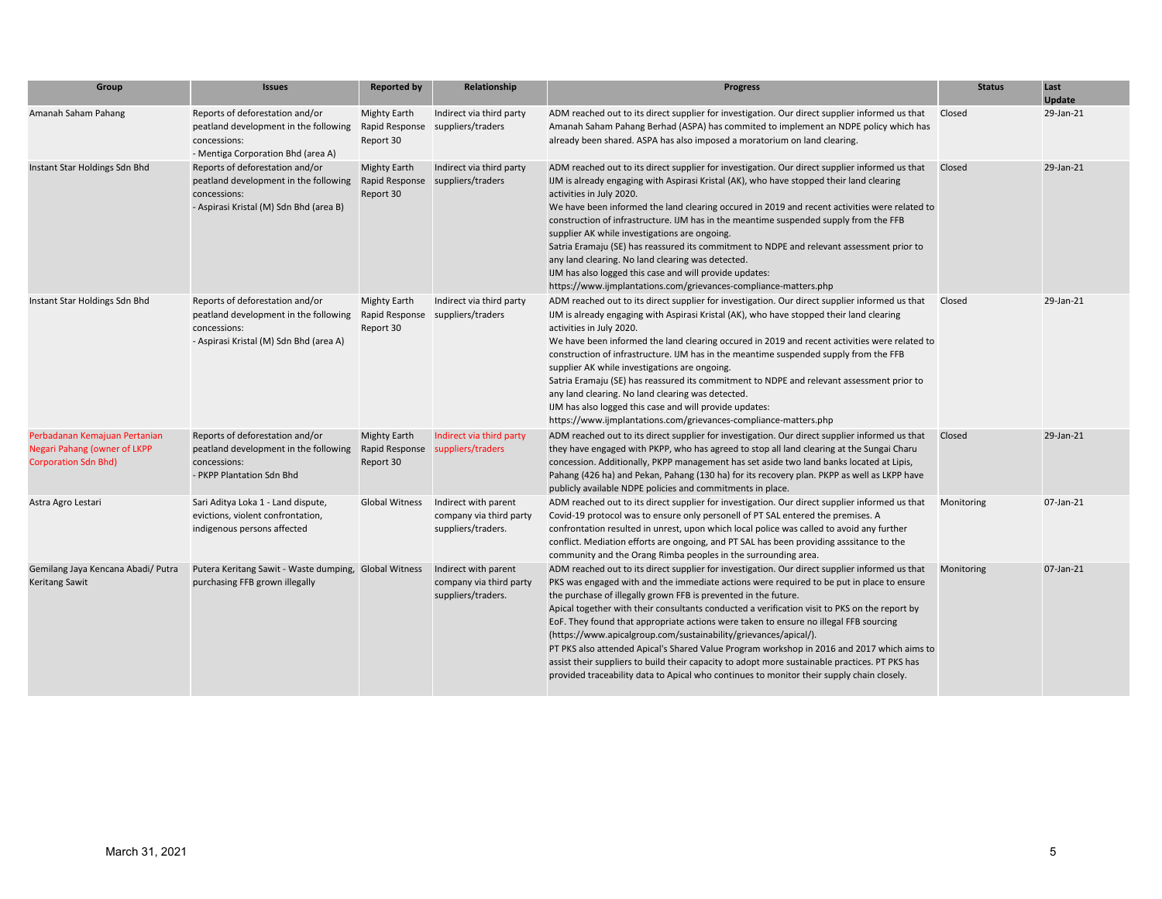| Group                                                                                        | <b>Issues</b>                                                                                                                       | <b>Reported by</b>               | Relationship                                                          | <b>Progress</b>                                                                                                                                                                                                                                                                                                                                                                                                                                                                                                                                                                                                                                                                                                                                                                                                           | <b>Status</b> | Last<br><b>Update</b> |
|----------------------------------------------------------------------------------------------|-------------------------------------------------------------------------------------------------------------------------------------|----------------------------------|-----------------------------------------------------------------------|---------------------------------------------------------------------------------------------------------------------------------------------------------------------------------------------------------------------------------------------------------------------------------------------------------------------------------------------------------------------------------------------------------------------------------------------------------------------------------------------------------------------------------------------------------------------------------------------------------------------------------------------------------------------------------------------------------------------------------------------------------------------------------------------------------------------------|---------------|-----------------------|
| Amanah Saham Pahang                                                                          | Reports of deforestation and/or<br>peatland development in the following<br>concessions:<br>- Mentiga Corporation Bhd (area A)      | Mighty Earth<br>Report 30        | Indirect via third party<br>Rapid Response suppliers/traders          | ADM reached out to its direct supplier for investigation. Our direct supplier informed us that<br>Amanah Saham Pahang Berhad (ASPA) has commited to implement an NDPE policy which has<br>already been shared. ASPA has also imposed a moratorium on land clearing.                                                                                                                                                                                                                                                                                                                                                                                                                                                                                                                                                       | Closed        | 29-Jan-21             |
| Instant Star Holdings Sdn Bhd                                                                | Reports of deforestation and/or<br>peatland development in the following<br>concessions:<br>- Aspirasi Kristal (M) Sdn Bhd (area B) | <b>Mighty Earth</b><br>Report 30 | Indirect via third party<br>Rapid Response suppliers/traders          | ADM reached out to its direct supplier for investigation. Our direct supplier informed us that<br>IJM is already engaging with Aspirasi Kristal (AK), who have stopped their land clearing<br>activities in July 2020.<br>We have been informed the land clearing occured in 2019 and recent activities were related to<br>construction of infrastructure. IJM has in the meantime suspended supply from the FFB<br>supplier AK while investigations are ongoing.<br>Satria Eramaju (SE) has reassured its commitment to NDPE and relevant assessment prior to<br>any land clearing. No land clearing was detected.<br>IJM has also logged this case and will provide updates:<br>https://www.ijmplantations.com/grievances-compliance-matters.php                                                                        | Closed        | 29-Jan-21             |
| Instant Star Holdings Sdn Bhd                                                                | Reports of deforestation and/or<br>peatland development in the following<br>concessions:<br>- Aspirasi Kristal (M) Sdn Bhd (area A) | <b>Mighty Earth</b><br>Report 30 | Indirect via third party<br>Rapid Response suppliers/traders          | ADM reached out to its direct supplier for investigation. Our direct supplier informed us that<br>IJM is already engaging with Aspirasi Kristal (AK), who have stopped their land clearing<br>activities in July 2020.<br>We have been informed the land clearing occured in 2019 and recent activities were related to<br>construction of infrastructure. IJM has in the meantime suspended supply from the FFB<br>supplier AK while investigations are ongoing.<br>Satria Eramaju (SE) has reassured its commitment to NDPE and relevant assessment prior to<br>any land clearing. No land clearing was detected.<br>IJM has also logged this case and will provide updates:<br>https://www.ijmplantations.com/grievances-compliance-matters.php                                                                        | Closed        | 29-Jan-21             |
| Perbadanan Kemajuan Pertanian<br>Negari Pahang (owner of LKPP<br><b>Corporation Sdn Bhd)</b> | Reports of deforestation and/or<br>peatland development in the following<br>concessions:<br>- PKPP Plantation Sdn Bhd               | <b>Mighty Earth</b><br>Report 30 | Indirect via third party<br>Rapid Response suppliers/traders          | ADM reached out to its direct supplier for investigation. Our direct supplier informed us that<br>they have engaged with PKPP, who has agreed to stop all land clearing at the Sungai Charu<br>concession. Additionally, PKPP management has set aside two land banks located at Lipis,<br>Pahang (426 ha) and Pekan, Pahang (130 ha) for its recovery plan. PKPP as well as LKPP have<br>publicly available NDPE policies and commitments in place.                                                                                                                                                                                                                                                                                                                                                                      | Closed        | 29-Jan-21             |
| Astra Agro Lestari                                                                           | Sari Aditya Loka 1 - Land dispute,<br>evictions, violent confrontation,<br>indigenous persons affected                              | Global Witness                   | Indirect with parent<br>company via third party<br>suppliers/traders. | ADM reached out to its direct supplier for investigation. Our direct supplier informed us that<br>Covid-19 protocol was to ensure only personell of PT SAL entered the premises. A<br>confrontation resulted in unrest, upon which local police was called to avoid any further<br>conflict. Mediation efforts are ongoing, and PT SAL has been providing asssitance to the<br>community and the Orang Rimba peoples in the surrounding area.                                                                                                                                                                                                                                                                                                                                                                             | Monitoring    | 07-Jan-21             |
| Gemilang Jaya Kencana Abadi/ Putra<br><b>Keritang Sawit</b>                                  | Putera Keritang Sawit - Waste dumping, Global Witness<br>purchasing FFB grown illegally                                             |                                  | Indirect with parent<br>company via third party<br>suppliers/traders. | ADM reached out to its direct supplier for investigation. Our direct supplier informed us that<br>PKS was engaged with and the immediate actions were required to be put in place to ensure<br>the purchase of illegally grown FFB is prevented in the future.<br>Apical together with their consultants conducted a verification visit to PKS on the report by<br>EoF. They found that appropriate actions were taken to ensure no illegal FFB sourcing<br>(https://www.apicalgroup.com/sustainability/grievances/apical/).<br>PT PKS also attended Apical's Shared Value Program workshop in 2016 and 2017 which aims to<br>assist their suppliers to build their capacity to adopt more sustainable practices. PT PKS has<br>provided traceability data to Apical who continues to monitor their supply chain closely. | Monitoring    | 07-Jan-21             |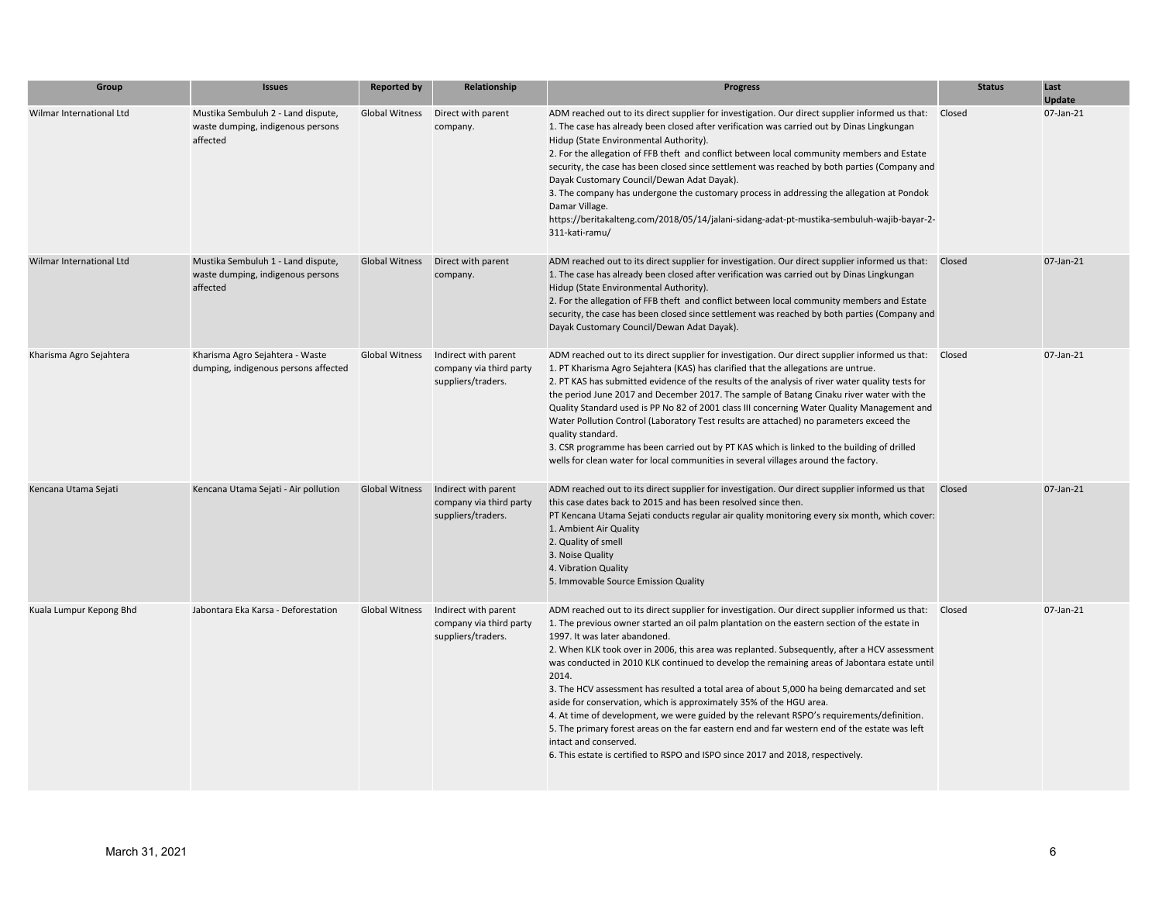| Group                    | <b>Issues</b>                                                                       | <b>Reported by</b>    | Relationship                                                          | <b>Progress</b>                                                                                                                                                                                                                                                                                                                                                                                                                                                                                                                                                                                                                                                                                                                                                                                                                                                                                                                 | <b>Status</b> | Last<br>Update |
|--------------------------|-------------------------------------------------------------------------------------|-----------------------|-----------------------------------------------------------------------|---------------------------------------------------------------------------------------------------------------------------------------------------------------------------------------------------------------------------------------------------------------------------------------------------------------------------------------------------------------------------------------------------------------------------------------------------------------------------------------------------------------------------------------------------------------------------------------------------------------------------------------------------------------------------------------------------------------------------------------------------------------------------------------------------------------------------------------------------------------------------------------------------------------------------------|---------------|----------------|
| Wilmar International Ltd | Mustika Sembuluh 2 - Land dispute,<br>waste dumping, indigenous persons<br>affected | <b>Global Witness</b> | Direct with parent<br>company.                                        | ADM reached out to its direct supplier for investigation. Our direct supplier informed us that: Closed<br>1. The case has already been closed after verification was carried out by Dinas Lingkungan<br>Hidup (State Environmental Authority).<br>2. For the allegation of FFB theft and conflict between local community members and Estate<br>security, the case has been closed since settlement was reached by both parties (Company and<br>Dayak Customary Council/Dewan Adat Dayak).<br>3. The company has undergone the customary process in addressing the allegation at Pondok<br>Damar Village.<br>https://beritakalteng.com/2018/05/14/jalani-sidang-adat-pt-mustika-sembuluh-wajib-bayar-2-<br>311-kati-ramu/                                                                                                                                                                                                       |               | 07-Jan-21      |
| Wilmar International Ltd | Mustika Sembuluh 1 - Land dispute,<br>waste dumping, indigenous persons<br>affected | <b>Global Witness</b> | Direct with parent<br>company.                                        | ADM reached out to its direct supplier for investigation. Our direct supplier informed us that: Closed<br>1. The case has already been closed after verification was carried out by Dinas Lingkungan<br>Hidup (State Environmental Authority).<br>2. For the allegation of FFB theft and conflict between local community members and Estate<br>security, the case has been closed since settlement was reached by both parties (Company and<br>Dayak Customary Council/Dewan Adat Dayak).                                                                                                                                                                                                                                                                                                                                                                                                                                      |               | 07-Jan-21      |
| Kharisma Agro Sejahtera  | Kharisma Agro Sejahtera - Waste<br>dumping, indigenous persons affected             | Global Witness        | Indirect with parent<br>company via third party<br>suppliers/traders. | ADM reached out to its direct supplier for investigation. Our direct supplier informed us that: Closed<br>1. PT Kharisma Agro Sejahtera (KAS) has clarified that the allegations are untrue.<br>2. PT KAS has submitted evidence of the results of the analysis of river water quality tests for<br>the period June 2017 and December 2017. The sample of Batang Cinaku river water with the<br>Quality Standard used is PP No 82 of 2001 class III concerning Water Quality Management and<br>Water Pollution Control (Laboratory Test results are attached) no parameters exceed the<br>quality standard.<br>3. CSR programme has been carried out by PT KAS which is linked to the building of drilled<br>wells for clean water for local communities in several villages around the factory.                                                                                                                                |               | 07-Jan-21      |
| Kencana Utama Sejati     | Kencana Utama Sejati - Air pollution                                                | <b>Global Witness</b> | Indirect with parent<br>company via third party<br>suppliers/traders. | ADM reached out to its direct supplier for investigation. Our direct supplier informed us that<br>this case dates back to 2015 and has been resolved since then.<br>PT Kencana Utama Sejati conducts regular air quality monitoring every six month, which cover:<br>1. Ambient Air Quality<br>2. Quality of smell<br>3. Noise Quality<br>4. Vibration Quality<br>5. Immovable Source Emission Quality                                                                                                                                                                                                                                                                                                                                                                                                                                                                                                                          | Closed        | 07-Jan-21      |
| Kuala Lumpur Kepong Bhd  | Jabontara Eka Karsa - Deforestation                                                 | <b>Global Witness</b> | Indirect with parent<br>company via third party<br>suppliers/traders. | ADM reached out to its direct supplier for investigation. Our direct supplier informed us that: Closed<br>1. The previous owner started an oil palm plantation on the eastern section of the estate in<br>1997. It was later abandoned.<br>2. When KLK took over in 2006, this area was replanted. Subsequently, after a HCV assessment<br>was conducted in 2010 KLK continued to develop the remaining areas of Jabontara estate until<br>2014.<br>3. The HCV assessment has resulted a total area of about 5,000 ha being demarcated and set<br>aside for conservation, which is approximately 35% of the HGU area.<br>4. At time of development, we were guided by the relevant RSPO's requirements/definition.<br>5. The primary forest areas on the far eastern end and far western end of the estate was left<br>intact and conserved.<br>6. This estate is certified to RSPO and ISPO since 2017 and 2018, respectively. |               | 07-Jan-21      |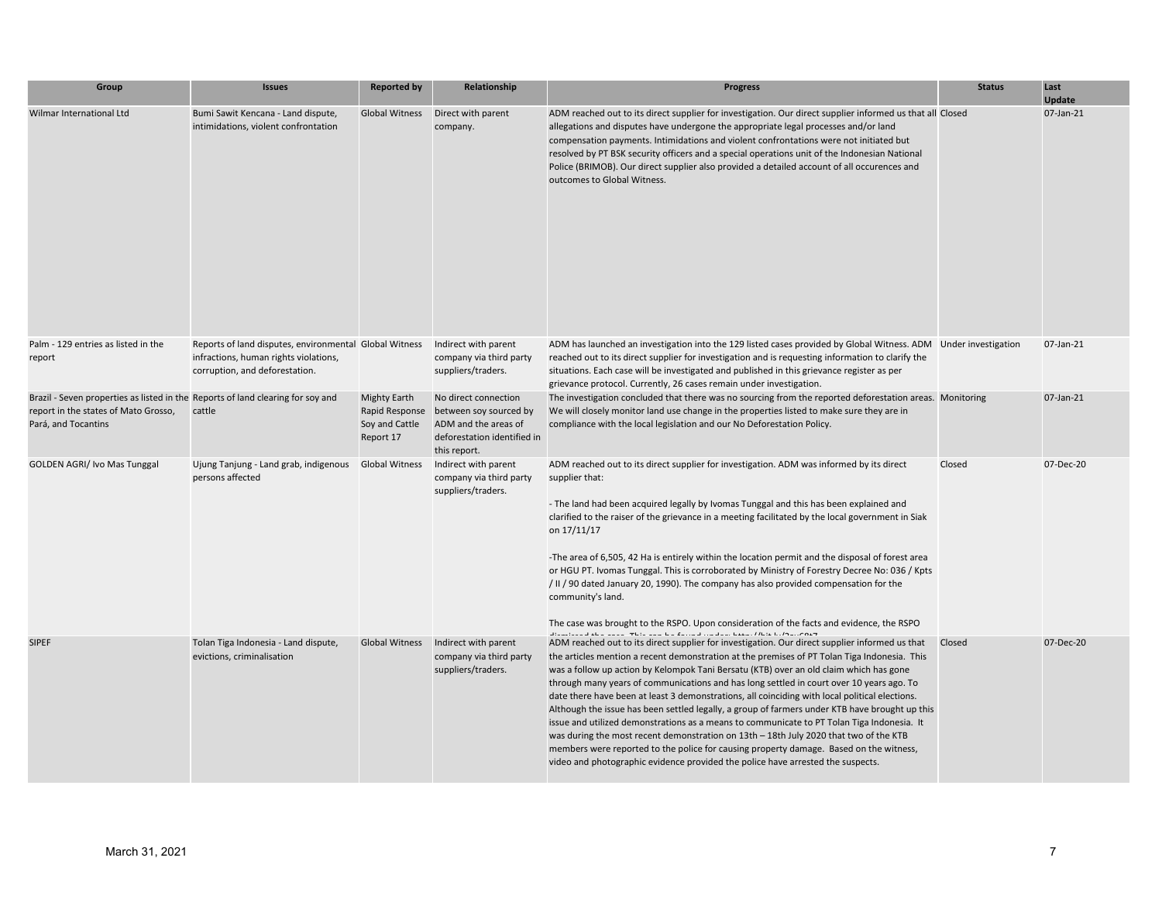| Group                                                                                                                                          | <b>Issues</b>                                                                                                                     | <b>Reported by</b>                                                   | Relationship                                                                                                          | <b>Progress</b>                                                                                                                                                                                                                                                                                                                                                                                                                                                                                                                                                                                                                                                                                                                                                                                                                                                                                                                                              | <b>Status</b> | Last<br><b>Update</b> |
|------------------------------------------------------------------------------------------------------------------------------------------------|-----------------------------------------------------------------------------------------------------------------------------------|----------------------------------------------------------------------|-----------------------------------------------------------------------------------------------------------------------|--------------------------------------------------------------------------------------------------------------------------------------------------------------------------------------------------------------------------------------------------------------------------------------------------------------------------------------------------------------------------------------------------------------------------------------------------------------------------------------------------------------------------------------------------------------------------------------------------------------------------------------------------------------------------------------------------------------------------------------------------------------------------------------------------------------------------------------------------------------------------------------------------------------------------------------------------------------|---------------|-----------------------|
| Wilmar International Ltd                                                                                                                       | Bumi Sawit Kencana - Land dispute,<br>intimidations, violent confrontation                                                        | <b>Global Witness</b>                                                | Direct with parent<br>company.                                                                                        | ADM reached out to its direct supplier for investigation. Our direct supplier informed us that all Closed<br>allegations and disputes have undergone the appropriate legal processes and/or land<br>compensation payments. Intimidations and violent confrontations were not initiated but<br>resolved by PT BSK security officers and a special operations unit of the Indonesian National<br>Police (BRIMOB). Our direct supplier also provided a detailed account of all occurences and<br>outcomes to Global Witness.                                                                                                                                                                                                                                                                                                                                                                                                                                    |               | 07-Jan-21             |
| Palm - 129 entries as listed in the<br>report                                                                                                  | Reports of land disputes, environmental Global Witness<br>infractions, human rights violations,<br>corruption, and deforestation. |                                                                      | Indirect with parent<br>company via third party<br>suppliers/traders.                                                 | ADM has launched an investigation into the 129 listed cases provided by Global Witness. ADM Under investigation<br>reached out to its direct supplier for investigation and is requesting information to clarify the<br>situations. Each case will be investigated and published in this grievance register as per<br>grievance protocol. Currently, 26 cases remain under investigation.                                                                                                                                                                                                                                                                                                                                                                                                                                                                                                                                                                    |               | 07-Jan-21             |
| Brazil - Seven properties as listed in the Reports of land clearing for soy and<br>report in the states of Mato Grosso,<br>Pará, and Tocantins | cattle                                                                                                                            | <b>Mighty Earth</b><br>Rapid Response<br>Soy and Cattle<br>Report 17 | No direct connection<br>between soy sourced by<br>ADM and the areas of<br>deforestation identified in<br>this report. | The investigation concluded that there was no sourcing from the reported deforestation areas. Monitoring<br>We will closely monitor land use change in the properties listed to make sure they are in<br>compliance with the local legislation and our No Deforestation Policy.                                                                                                                                                                                                                                                                                                                                                                                                                                                                                                                                                                                                                                                                              |               | 07-Jan-21             |
| <b>GOLDEN AGRI/ Ivo Mas Tunggal</b>                                                                                                            | Ujung Tanjung - Land grab, indigenous<br>persons affected                                                                         | Global Witness                                                       | Indirect with parent<br>company via third party<br>suppliers/traders.                                                 | ADM reached out to its direct supplier for investigation. ADM was informed by its direct<br>supplier that:<br>- The land had been acquired legally by Ivomas Tunggal and this has been explained and<br>clarified to the raiser of the grievance in a meeting facilitated by the local government in Siak<br>on 17/11/17<br>-The area of 6,505, 42 Ha is entirely within the location permit and the disposal of forest area<br>or HGU PT. Ivomas Tunggal. This is corroborated by Ministry of Forestry Decree No: 036 / Kpts<br>/ II / 90 dated January 20, 1990). The company has also provided compensation for the<br>community's land.<br>The case was brought to the RSPO. Upon consideration of the facts and evidence, the RSPO<br>discriptional than $\cos x$ . This can be found on doubter that is before $\cos x$                                                                                                                                | Closed        | 07-Dec-20             |
| <b>SIPEF</b>                                                                                                                                   | Tolan Tiga Indonesia - Land dispute,<br>evictions, criminalisation                                                                | <b>Global Witness</b>                                                | Indirect with parent<br>company via third party<br>suppliers/traders.                                                 | ADM reached out to its direct supplier for investigation. Our direct supplier informed us that<br>the articles mention a recent demonstration at the premises of PT Tolan Tiga Indonesia. This<br>was a follow up action by Kelompok Tani Bersatu (KTB) over an old claim which has gone<br>through many years of communications and has long settled in court over 10 years ago. To<br>date there have been at least 3 demonstrations, all coinciding with local political elections.<br>Although the issue has been settled legally, a group of farmers under KTB have brought up this<br>issue and utilized demonstrations as a means to communicate to PT Tolan Tiga Indonesia. It<br>was during the most recent demonstration on 13th - 18th July 2020 that two of the KTB<br>members were reported to the police for causing property damage. Based on the witness,<br>video and photographic evidence provided the police have arrested the suspects. | Closed        | 07-Dec-20             |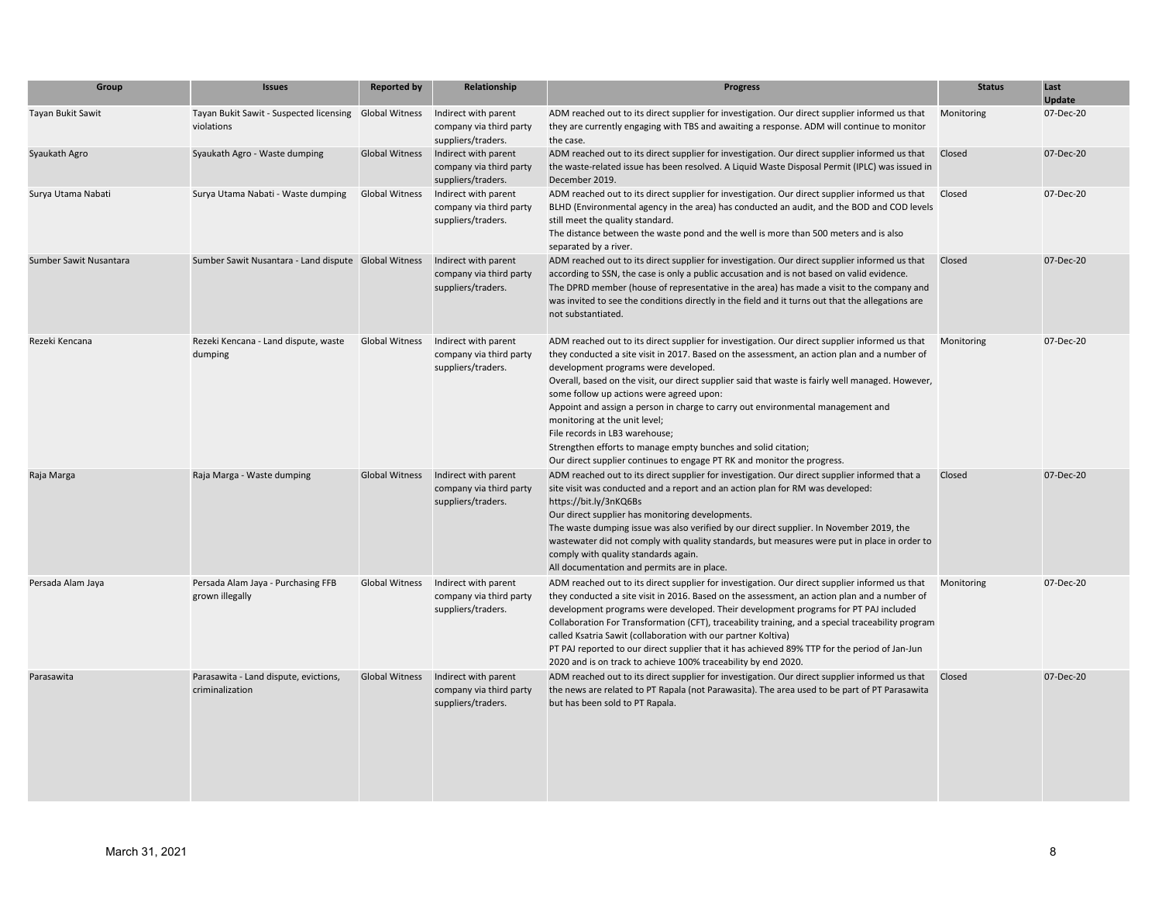| Group                  | <b>Issues</b>                                                        | <b>Reported by</b>    | Relationship                                                          | <b>Progress</b>                                                                                                                                                                                                                                                                                                                                                                                                                                                                                                                                                                                                                                                                            | <b>Status</b> | Last<br><b>Update</b> |
|------------------------|----------------------------------------------------------------------|-----------------------|-----------------------------------------------------------------------|--------------------------------------------------------------------------------------------------------------------------------------------------------------------------------------------------------------------------------------------------------------------------------------------------------------------------------------------------------------------------------------------------------------------------------------------------------------------------------------------------------------------------------------------------------------------------------------------------------------------------------------------------------------------------------------------|---------------|-----------------------|
| Tayan Bukit Sawit      | Tayan Bukit Sawit - Suspected licensing Global Witness<br>violations |                       | Indirect with parent<br>company via third party<br>suppliers/traders. | ADM reached out to its direct supplier for investigation. Our direct supplier informed us that<br>they are currently engaging with TBS and awaiting a response. ADM will continue to monitor<br>the case.                                                                                                                                                                                                                                                                                                                                                                                                                                                                                  | Monitoring    | 07-Dec-20             |
| Syaukath Agro          | Syaukath Agro - Waste dumping                                        | <b>Global Witness</b> | Indirect with parent<br>company via third party<br>suppliers/traders. | ADM reached out to its direct supplier for investigation. Our direct supplier informed us that<br>the waste-related issue has been resolved. A Liquid Waste Disposal Permit (IPLC) was issued in<br>December 2019.                                                                                                                                                                                                                                                                                                                                                                                                                                                                         | Closed        | 07-Dec-20             |
| Surya Utama Nabati     | Surya Utama Nabati - Waste dumping                                   | <b>Global Witness</b> | Indirect with parent<br>company via third party<br>suppliers/traders. | ADM reached out to its direct supplier for investigation. Our direct supplier informed us that<br>BLHD (Environmental agency in the area) has conducted an audit, and the BOD and COD levels<br>still meet the quality standard.<br>The distance between the waste pond and the well is more than 500 meters and is also<br>separated by a river.                                                                                                                                                                                                                                                                                                                                          | Closed        | 07-Dec-20             |
| Sumber Sawit Nusantara | Sumber Sawit Nusantara - Land dispute Global Witness                 |                       | Indirect with parent<br>company via third party<br>suppliers/traders. | ADM reached out to its direct supplier for investigation. Our direct supplier informed us that<br>according to SSN, the case is only a public accusation and is not based on valid evidence.<br>The DPRD member (house of representative in the area) has made a visit to the company and<br>was invited to see the conditions directly in the field and it turns out that the allegations are<br>not substantiated.                                                                                                                                                                                                                                                                       | Closed        | 07-Dec-20             |
| Rezeki Kencana         | Rezeki Kencana - Land dispute, waste<br>dumping                      | <b>Global Witness</b> | Indirect with parent<br>company via third party<br>suppliers/traders. | ADM reached out to its direct supplier for investigation. Our direct supplier informed us that<br>they conducted a site visit in 2017. Based on the assessment, an action plan and a number of<br>development programs were developed.<br>Overall, based on the visit, our direct supplier said that waste is fairly well managed. However,<br>some follow up actions were agreed upon:<br>Appoint and assign a person in charge to carry out environmental management and<br>monitoring at the unit level;<br>File records in LB3 warehouse;<br>Strengthen efforts to manage empty bunches and solid citation;<br>Our direct supplier continues to engage PT RK and monitor the progress. | Monitoring    | 07-Dec-20             |
| Raja Marga             | Raja Marga - Waste dumping                                           | <b>Global Witness</b> | Indirect with parent<br>company via third party<br>suppliers/traders. | ADM reached out to its direct supplier for investigation. Our direct supplier informed that a<br>site visit was conducted and a report and an action plan for RM was developed:<br>https://bit.ly/3nKQ6Bs<br>Our direct supplier has monitoring developments.<br>The waste dumping issue was also verified by our direct supplier. In November 2019, the<br>wastewater did not comply with quality standards, but measures were put in place in order to<br>comply with quality standards again.<br>All documentation and permits are in place.                                                                                                                                            | Closed        | 07-Dec-20             |
| Persada Alam Jaya      | Persada Alam Jaya - Purchasing FFB<br>grown illegally                | <b>Global Witness</b> | Indirect with parent<br>company via third party<br>suppliers/traders. | ADM reached out to its direct supplier for investigation. Our direct supplier informed us that<br>they conducted a site visit in 2016. Based on the assessment, an action plan and a number of<br>development programs were developed. Their development programs for PT PAJ included<br>Collaboration For Transformation (CFT), traceability training, and a special traceability program<br>called Ksatria Sawit (collaboration with our partner Koltiva)<br>PT PAJ reported to our direct supplier that it has achieved 89% TTP for the period of Jan-Jun<br>2020 and is on track to achieve 100% traceability by end 2020.                                                             | Monitoring    | 07-Dec-20             |
| Parasawita             | Parasawita - Land dispute, evictions,<br>criminalization             | <b>Global Witness</b> | Indirect with parent<br>company via third party<br>suppliers/traders. | ADM reached out to its direct supplier for investigation. Our direct supplier informed us that<br>the news are related to PT Rapala (not Parawasita). The area used to be part of PT Parasawita<br>but has been sold to PT Rapala.                                                                                                                                                                                                                                                                                                                                                                                                                                                         | Closed        | 07-Dec-20             |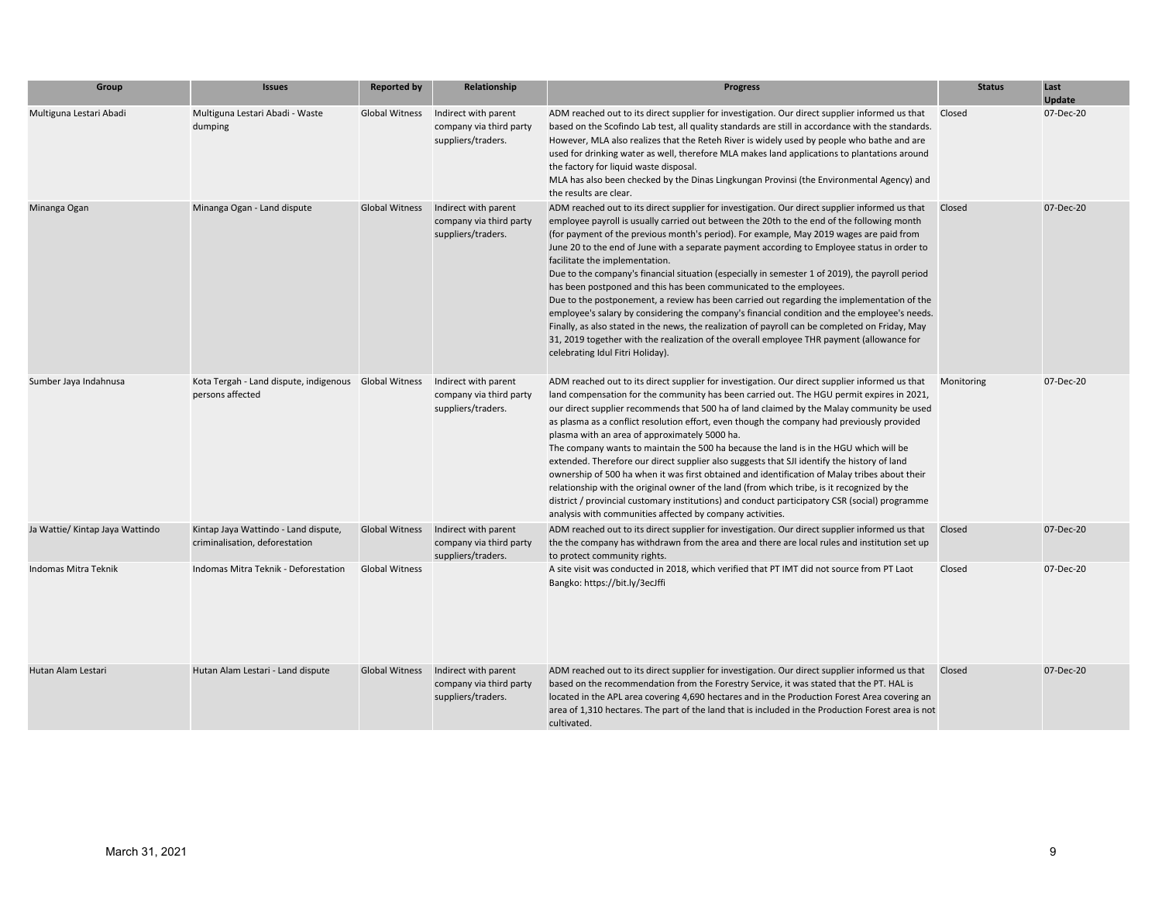| Group                           | <b>Issues</b>                                                                                  | <b>Reported by</b>    | Relationship                                                          | <b>Progress</b>                                                                                                                                                                                                                                                                                                                                                                                                                                                                                                                                                                                                                                                                                                                                                                                                                                                                                                                                                                                                                      | <b>Status</b> | Last<br>Update |
|---------------------------------|------------------------------------------------------------------------------------------------|-----------------------|-----------------------------------------------------------------------|--------------------------------------------------------------------------------------------------------------------------------------------------------------------------------------------------------------------------------------------------------------------------------------------------------------------------------------------------------------------------------------------------------------------------------------------------------------------------------------------------------------------------------------------------------------------------------------------------------------------------------------------------------------------------------------------------------------------------------------------------------------------------------------------------------------------------------------------------------------------------------------------------------------------------------------------------------------------------------------------------------------------------------------|---------------|----------------|
| Multiguna Lestari Abadi         | Multiguna Lestari Abadi - Waste<br>dumping                                                     | Global Witness        | Indirect with parent<br>company via third party<br>suppliers/traders. | ADM reached out to its direct supplier for investigation. Our direct supplier informed us that<br>based on the Scofindo Lab test, all quality standards are still in accordance with the standards.<br>However, MLA also realizes that the Reteh River is widely used by people who bathe and are<br>used for drinking water as well, therefore MLA makes land applications to plantations around<br>the factory for liquid waste disposal.<br>MLA has also been checked by the Dinas Lingkungan Provinsi (the Environmental Agency) and<br>the results are clear.                                                                                                                                                                                                                                                                                                                                                                                                                                                                   | Closed        | 07-Dec-20      |
| Minanga Ogan                    | Minanga Ogan - Land dispute                                                                    | Global Witness        | Indirect with parent<br>company via third party<br>suppliers/traders. | ADM reached out to its direct supplier for investigation. Our direct supplier informed us that<br>employee payroll is usually carried out between the 20th to the end of the following month<br>(for payment of the previous month's period). For example, May 2019 wages are paid from<br>June 20 to the end of June with a separate payment according to Employee status in order to<br>facilitate the implementation.<br>Due to the company's financial situation (especially in semester 1 of 2019), the payroll period<br>has been postponed and this has been communicated to the employees.<br>Due to the postponement, a review has been carried out regarding the implementation of the<br>employee's salary by considering the company's financial condition and the employee's needs.<br>Finally, as also stated in the news, the realization of payroll can be completed on Friday, May<br>31, 2019 together with the realization of the overall employee THR payment (allowance for<br>celebrating Idul Fitri Holiday). | Closed        | 07-Dec-20      |
| Sumber Jaya Indahnusa           | Kota Tergah - Land dispute, indigenous Global Witness Indirect with parent<br>persons affected |                       | company via third party<br>suppliers/traders.                         | ADM reached out to its direct supplier for investigation. Our direct supplier informed us that<br>land compensation for the community has been carried out. The HGU permit expires in 2021,<br>our direct supplier recommends that 500 ha of land claimed by the Malay community be used<br>as plasma as a conflict resolution effort, even though the company had previously provided<br>plasma with an area of approximately 5000 ha.<br>The company wants to maintain the 500 ha because the land is in the HGU which will be<br>extended. Therefore our direct supplier also suggests that SJI identify the history of land<br>ownership of 500 ha when it was first obtained and identification of Malay tribes about their<br>relationship with the original owner of the land (from which tribe, is it recognized by the<br>district / provincial customary institutions) and conduct participatory CSR (social) programme<br>analysis with communities affected by company activities.                                       | Monitoring    | 07-Dec-20      |
| Ja Wattie/ Kintap Jaya Wattindo | Kintap Jaya Wattindo - Land dispute,<br>criminalisation, deforestation                         | Global Witness        | Indirect with parent<br>company via third party<br>suppliers/traders. | ADM reached out to its direct supplier for investigation. Our direct supplier informed us that<br>the the company has withdrawn from the area and there are local rules and institution set up<br>to protect community rights.                                                                                                                                                                                                                                                                                                                                                                                                                                                                                                                                                                                                                                                                                                                                                                                                       | Closed        | 07-Dec-20      |
| Indomas Mitra Teknik            | Indomas Mitra Teknik - Deforestation                                                           | <b>Global Witness</b> |                                                                       | A site visit was conducted in 2018, which verified that PT IMT did not source from PT Laot<br>Bangko: https://bit.ly/3ecJffi                                                                                                                                                                                                                                                                                                                                                                                                                                                                                                                                                                                                                                                                                                                                                                                                                                                                                                         | Closed        | 07-Dec-20      |
| Hutan Alam Lestari              | Hutan Alam Lestari - Land dispute                                                              | <b>Global Witness</b> | Indirect with parent<br>company via third party<br>suppliers/traders. | ADM reached out to its direct supplier for investigation. Our direct supplier informed us that<br>based on the recommendation from the Forestry Service, it was stated that the PT. HAL is<br>located in the APL area covering 4,690 hectares and in the Production Forest Area covering an<br>area of 1,310 hectares. The part of the land that is included in the Production Forest area is not<br>cultivated.                                                                                                                                                                                                                                                                                                                                                                                                                                                                                                                                                                                                                     | Closed        | 07-Dec-20      |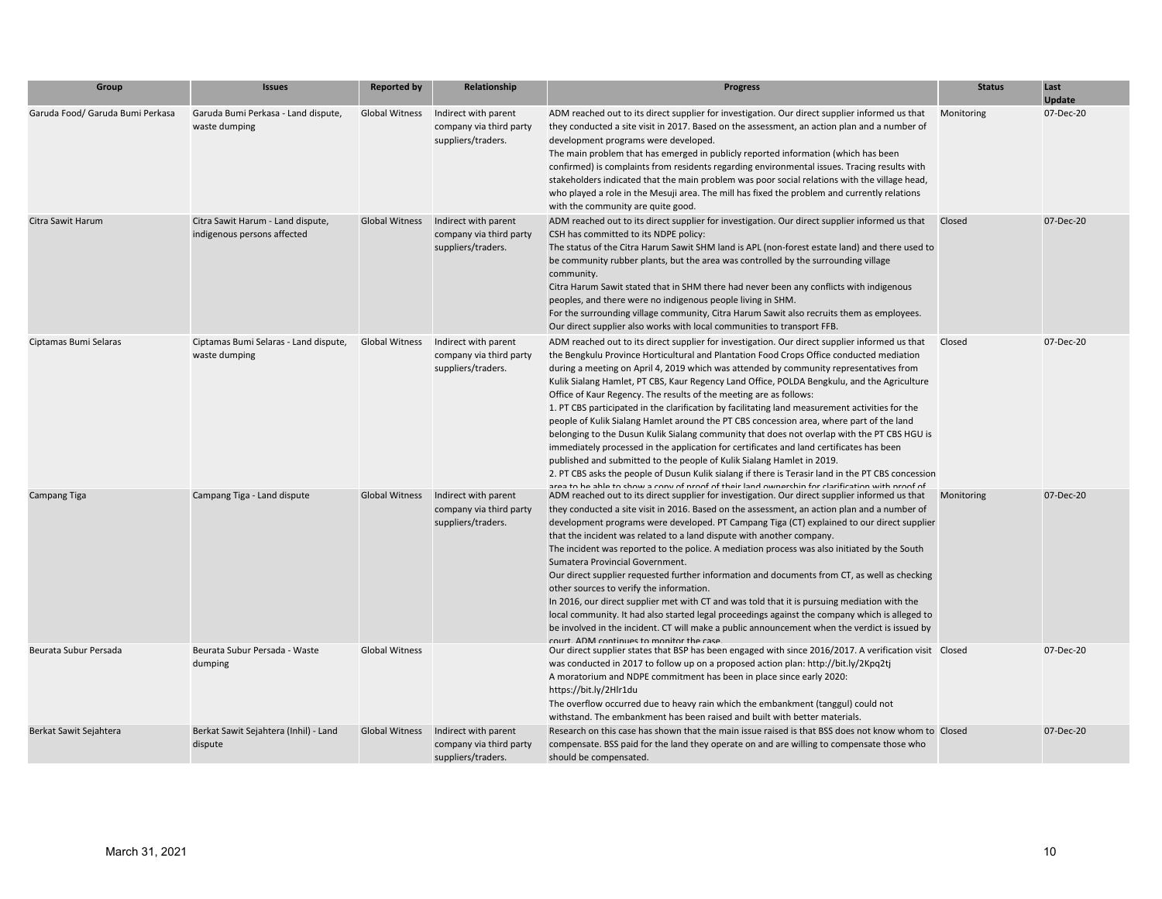| Group                            | <b>Issues</b>                                                    | <b>Reported by</b>    | Relationship                                                          | <b>Progress</b>                                                                                                                                                                                                                                                                                                                                                                                                                                                                                                                                                                                                                                                                                                                                                                                                                                                                                                                                                                                                                                                                                                                        | <b>Status</b> | Last<br><b>Update</b> |
|----------------------------------|------------------------------------------------------------------|-----------------------|-----------------------------------------------------------------------|----------------------------------------------------------------------------------------------------------------------------------------------------------------------------------------------------------------------------------------------------------------------------------------------------------------------------------------------------------------------------------------------------------------------------------------------------------------------------------------------------------------------------------------------------------------------------------------------------------------------------------------------------------------------------------------------------------------------------------------------------------------------------------------------------------------------------------------------------------------------------------------------------------------------------------------------------------------------------------------------------------------------------------------------------------------------------------------------------------------------------------------|---------------|-----------------------|
| Garuda Food/ Garuda Bumi Perkasa | Garuda Bumi Perkasa - Land dispute,<br>waste dumping             | Global Witness        | Indirect with parent<br>company via third party<br>suppliers/traders. | ADM reached out to its direct supplier for investigation. Our direct supplier informed us that<br>they conducted a site visit in 2017. Based on the assessment, an action plan and a number of<br>development programs were developed.<br>The main problem that has emerged in publicly reported information (which has been<br>confirmed) is complaints from residents regarding environmental issues. Tracing results with<br>stakeholders indicated that the main problem was poor social relations with the village head,<br>who played a role in the Mesuji area. The mill has fixed the problem and currently relations<br>with the community are quite good.                                                                                                                                                                                                                                                                                                                                                                                                                                                                    | Monitoring    | 07-Dec-20             |
| Citra Sawit Harum                | Citra Sawit Harum - Land dispute,<br>indigenous persons affected | <b>Global Witness</b> | Indirect with parent<br>company via third party<br>suppliers/traders. | ADM reached out to its direct supplier for investigation. Our direct supplier informed us that<br>CSH has committed to its NDPE policy:<br>The status of the Citra Harum Sawit SHM land is APL (non-forest estate land) and there used to<br>be community rubber plants, but the area was controlled by the surrounding village<br>community.<br>Citra Harum Sawit stated that in SHM there had never been any conflicts with indigenous<br>peoples, and there were no indigenous people living in SHM.<br>For the surrounding village community, Citra Harum Sawit also recruits them as employees.<br>Our direct supplier also works with local communities to transport FFB.                                                                                                                                                                                                                                                                                                                                                                                                                                                        | Closed        | 07-Dec-20             |
| Ciptamas Bumi Selaras            | Ciptamas Bumi Selaras - Land dispute,<br>waste dumping           | <b>Global Witness</b> | Indirect with parent<br>company via third party<br>suppliers/traders. | ADM reached out to its direct supplier for investigation. Our direct supplier informed us that<br>the Bengkulu Province Horticultural and Plantation Food Crops Office conducted mediation<br>during a meeting on April 4, 2019 which was attended by community representatives from<br>Kulik Sialang Hamlet, PT CBS, Kaur Regency Land Office, POLDA Bengkulu, and the Agriculture<br>Office of Kaur Regency. The results of the meeting are as follows:<br>1. PT CBS participated in the clarification by facilitating land measurement activities for the<br>people of Kulik Sialang Hamlet around the PT CBS concession area, where part of the land<br>belonging to the Dusun Kulik Sialang community that does not overlap with the PT CBS HGU is<br>immediately processed in the application for certificates and land certificates has been<br>published and submitted to the people of Kulik Sialang Hamlet in 2019.<br>2. PT CBS asks the people of Dusun Kulik sialang if there is Terasir land in the PT CBS concession<br>area to be able to chow a conv of proof of their land ownerchin for clarification with proof of | Closed        | 07-Dec-20             |
| Campang Tiga                     | Campang Tiga - Land dispute                                      | <b>Global Witness</b> | Indirect with parent<br>company via third party<br>suppliers/traders. | ADM reached out to its direct supplier for investigation. Our direct supplier informed us that<br>they conducted a site visit in 2016. Based on the assessment, an action plan and a number of<br>development programs were developed. PT Campang Tiga (CT) explained to our direct supplier<br>that the incident was related to a land dispute with another company.<br>The incident was reported to the police. A mediation process was also initiated by the South<br>Sumatera Provincial Government.<br>Our direct supplier requested further information and documents from CT, as well as checking<br>other sources to verify the information.<br>In 2016, our direct supplier met with CT and was told that it is pursuing mediation with the<br>local community. It had also started legal proceedings against the company which is alleged to<br>be involved in the incident. CT will make a public announcement when the verdict is issued by<br>court ADM continues to monitor the case                                                                                                                                     | Monitoring    | 07-Dec-20             |
| Beurata Subur Persada            | Beurata Subur Persada - Waste<br>dumping                         | <b>Global Witness</b> |                                                                       | Our direct supplier states that BSP has been engaged with since 2016/2017. A verification visit Closed<br>was conducted in 2017 to follow up on a proposed action plan: http://bit.ly/2Kpq2tj<br>A moratorium and NDPE commitment has been in place since early 2020:<br>https://bit.ly/2Hlr1du<br>The overflow occurred due to heavy rain which the embankment (tanggul) could not<br>withstand. The embankment has been raised and built with better materials.                                                                                                                                                                                                                                                                                                                                                                                                                                                                                                                                                                                                                                                                      |               | 07-Dec-20             |
| Berkat Sawit Sejahtera           | Berkat Sawit Sejahtera (Inhil) - Land<br>dispute                 | <b>Global Witness</b> | Indirect with parent<br>company via third party<br>suppliers/traders. | Research on this case has shown that the main issue raised is that BSS does not know whom to Closed<br>compensate. BSS paid for the land they operate on and are willing to compensate those who<br>should be compensated.                                                                                                                                                                                                                                                                                                                                                                                                                                                                                                                                                                                                                                                                                                                                                                                                                                                                                                             |               | 07-Dec-20             |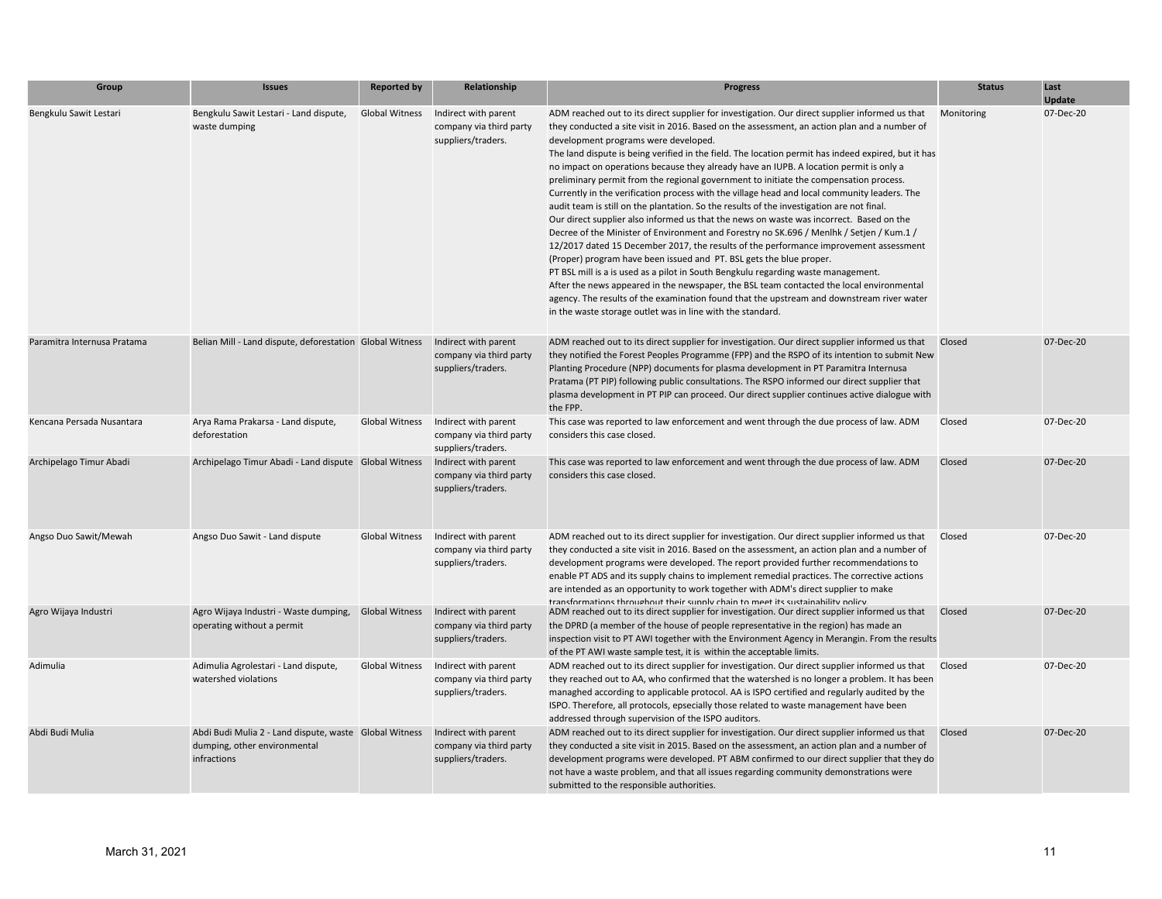| Group                       | <b>Issues</b>                                                                                         | <b>Reported by</b>    | Relationship                                                          | <b>Progress</b>                                                                                                                                                                                                                                                                                                                                                                                                                                                                                                                                                                                                                                                                                                                                                                                                                                                                                                                                                                                                                                                                                                                                                                                                                                                                                                                                                                                                                  | <b>Status</b> | Last<br><b>Update</b> |
|-----------------------------|-------------------------------------------------------------------------------------------------------|-----------------------|-----------------------------------------------------------------------|----------------------------------------------------------------------------------------------------------------------------------------------------------------------------------------------------------------------------------------------------------------------------------------------------------------------------------------------------------------------------------------------------------------------------------------------------------------------------------------------------------------------------------------------------------------------------------------------------------------------------------------------------------------------------------------------------------------------------------------------------------------------------------------------------------------------------------------------------------------------------------------------------------------------------------------------------------------------------------------------------------------------------------------------------------------------------------------------------------------------------------------------------------------------------------------------------------------------------------------------------------------------------------------------------------------------------------------------------------------------------------------------------------------------------------|---------------|-----------------------|
| Bengkulu Sawit Lestari      | Bengkulu Sawit Lestari - Land dispute,<br>waste dumping                                               | <b>Global Witness</b> | Indirect with parent<br>company via third party<br>suppliers/traders. | ADM reached out to its direct supplier for investigation. Our direct supplier informed us that<br>they conducted a site visit in 2016. Based on the assessment, an action plan and a number of<br>development programs were developed.<br>The land dispute is being verified in the field. The location permit has indeed expired, but it has<br>no impact on operations because they already have an IUPB. A location permit is only a<br>preliminary permit from the regional government to initiate the compensation process.<br>Currently in the verification process with the village head and local community leaders. The<br>audit team is still on the plantation. So the results of the investigation are not final.<br>Our direct supplier also informed us that the news on waste was incorrect. Based on the<br>Decree of the Minister of Environment and Forestry no SK.696 / Menlhk / Setjen / Kum.1 /<br>12/2017 dated 15 December 2017, the results of the performance improvement assessment<br>(Proper) program have been issued and PT. BSL gets the blue proper.<br>PT BSL mill is a is used as a pilot in South Bengkulu regarding waste management.<br>After the news appeared in the newspaper, the BSL team contacted the local environmental<br>agency. The results of the examination found that the upstream and downstream river water<br>in the waste storage outlet was in line with the standard. | Monitoring    | 07-Dec-20             |
| Paramitra Internusa Pratama | Belian Mill - Land dispute, deforestation Global Witness                                              |                       | Indirect with parent<br>company via third party<br>suppliers/traders. | ADM reached out to its direct supplier for investigation. Our direct supplier informed us that<br>they notified the Forest Peoples Programme (FPP) and the RSPO of its intention to submit New<br>Planting Procedure (NPP) documents for plasma development in PT Paramitra Internusa<br>Pratama (PT PIP) following public consultations. The RSPO informed our direct supplier that<br>plasma development in PT PIP can proceed. Our direct supplier continues active dialogue with<br>the FPP.                                                                                                                                                                                                                                                                                                                                                                                                                                                                                                                                                                                                                                                                                                                                                                                                                                                                                                                                 | Closed        | 07-Dec-20             |
| Kencana Persada Nusantara   | Arya Rama Prakarsa - Land dispute,<br>deforestation                                                   | <b>Global Witness</b> | Indirect with parent<br>company via third party<br>suppliers/traders. | This case was reported to law enforcement and went through the due process of law. ADM<br>considers this case closed.                                                                                                                                                                                                                                                                                                                                                                                                                                                                                                                                                                                                                                                                                                                                                                                                                                                                                                                                                                                                                                                                                                                                                                                                                                                                                                            | Closed        | 07-Dec-20             |
| Archipelago Timur Abadi     | Archipelago Timur Abadi - Land dispute Global Witness                                                 |                       | Indirect with parent<br>company via third party<br>suppliers/traders. | This case was reported to law enforcement and went through the due process of law. ADM<br>considers this case closed.                                                                                                                                                                                                                                                                                                                                                                                                                                                                                                                                                                                                                                                                                                                                                                                                                                                                                                                                                                                                                                                                                                                                                                                                                                                                                                            | Closed        | 07-Dec-20             |
| Angso Duo Sawit/Mewah       | Angso Duo Sawit - Land dispute                                                                        | Global Witness        | Indirect with parent<br>company via third party<br>suppliers/traders. | ADM reached out to its direct supplier for investigation. Our direct supplier informed us that<br>they conducted a site visit in 2016. Based on the assessment, an action plan and a number of<br>development programs were developed. The report provided further recommendations to<br>enable PT ADS and its supply chains to implement remedial practices. The corrective actions<br>are intended as an opportunity to work together with ADM's direct supplier to make<br>transformations throughout their sunnly chain to meet its sustainability nolicy                                                                                                                                                                                                                                                                                                                                                                                                                                                                                                                                                                                                                                                                                                                                                                                                                                                                    | Closed        | 07-Dec-20             |
| Agro Wijaya Industri        | Agro Wijaya Industri - Waste dumping,<br>operating without a permit                                   | <b>Global Witness</b> | Indirect with parent<br>company via third party<br>suppliers/traders. | ADM reached out to its direct supplier for investigation. Our direct supplier informed us that<br>the DPRD (a member of the house of people representative in the region) has made an<br>inspection visit to PT AWI together with the Environment Agency in Merangin. From the results<br>of the PT AWI waste sample test, it is within the acceptable limits.                                                                                                                                                                                                                                                                                                                                                                                                                                                                                                                                                                                                                                                                                                                                                                                                                                                                                                                                                                                                                                                                   | Closed        | 07-Dec-20             |
| Adimulia                    | Adimulia Agrolestari - Land dispute,<br>watershed violations                                          | <b>Global Witness</b> | Indirect with parent<br>company via third party<br>suppliers/traders. | ADM reached out to its direct supplier for investigation. Our direct supplier informed us that Closed<br>they reached out to AA, who confirmed that the watershed is no longer a problem. It has been<br>managhed according to applicable protocol. AA is ISPO certified and regularly audited by the<br>ISPO. Therefore, all protocols, epsecially those related to waste management have been<br>addressed through supervision of the ISPO auditors.                                                                                                                                                                                                                                                                                                                                                                                                                                                                                                                                                                                                                                                                                                                                                                                                                                                                                                                                                                           |               | 07-Dec-20             |
| Abdi Budi Mulia             | Abdi Budi Mulia 2 - Land dispute, waste Global Witness<br>dumping, other environmental<br>infractions |                       | Indirect with parent<br>company via third party<br>suppliers/traders. | ADM reached out to its direct supplier for investigation. Our direct supplier informed us that<br>they conducted a site visit in 2015. Based on the assessment, an action plan and a number of<br>development programs were developed. PT ABM confirmed to our direct supplier that they do<br>not have a waste problem, and that all issues regarding community demonstrations were<br>submitted to the responsible authorities.                                                                                                                                                                                                                                                                                                                                                                                                                                                                                                                                                                                                                                                                                                                                                                                                                                                                                                                                                                                                | Closed        | 07-Dec-20             |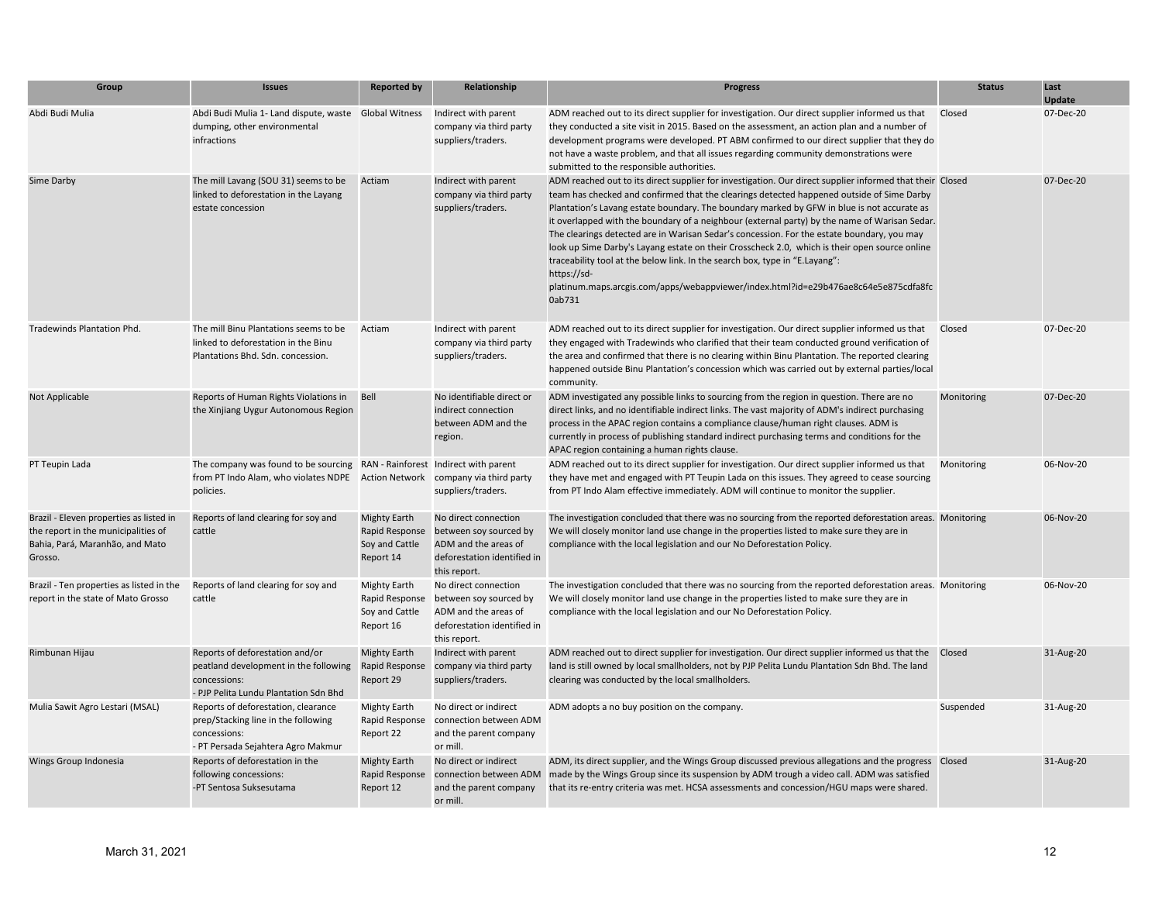| Group                                                                                                                        | <b>Issues</b>                                                                                                                                                          | <b>Reported by</b>                                                   | Relationship                                                                                                          | <b>Progress</b>                                                                                                                                                                                                                                                                                                                                                                                                                                                                                                                                                                                                                                                                                                                                                                                    | <b>Status</b> | Last<br>Update |
|------------------------------------------------------------------------------------------------------------------------------|------------------------------------------------------------------------------------------------------------------------------------------------------------------------|----------------------------------------------------------------------|-----------------------------------------------------------------------------------------------------------------------|----------------------------------------------------------------------------------------------------------------------------------------------------------------------------------------------------------------------------------------------------------------------------------------------------------------------------------------------------------------------------------------------------------------------------------------------------------------------------------------------------------------------------------------------------------------------------------------------------------------------------------------------------------------------------------------------------------------------------------------------------------------------------------------------------|---------------|----------------|
| Abdi Budi Mulia                                                                                                              | Abdi Budi Mulia 1- Land dispute, waste Global Witness<br>dumping, other environmental<br>infractions                                                                   |                                                                      | Indirect with parent<br>company via third party<br>suppliers/traders.                                                 | ADM reached out to its direct supplier for investigation. Our direct supplier informed us that<br>they conducted a site visit in 2015. Based on the assessment, an action plan and a number of<br>development programs were developed. PT ABM confirmed to our direct supplier that they do<br>not have a waste problem, and that all issues regarding community demonstrations were<br>submitted to the responsible authorities.                                                                                                                                                                                                                                                                                                                                                                  | Closed        | 07-Dec-20      |
| Sime Darby                                                                                                                   | The mill Lavang (SOU 31) seems to be<br>linked to deforestation in the Layang<br>estate concession                                                                     | Actiam                                                               | Indirect with parent<br>company via third party<br>suppliers/traders.                                                 | ADM reached out to its direct supplier for investigation. Our direct supplier informed that their Closed<br>team has checked and confirmed that the clearings detected happened outside of Sime Darby<br>Plantation's Lavang estate boundary. The boundary marked by GFW in blue is not accurate as<br>it overlapped with the boundary of a neighbour (external party) by the name of Warisan Sedar.<br>The clearings detected are in Warisan Sedar's concession. For the estate boundary, you may<br>look up Sime Darby's Layang estate on their Crosscheck 2.0, which is their open source online<br>traceability tool at the below link. In the search box, type in "E.Layang":<br>https://sd-<br>platinum.maps.arcgis.com/apps/webappviewer/index.html?id=e29b476ae8c64e5e875cdfa8fc<br>0ab731 |               | 07-Dec-20      |
| Tradewinds Plantation Phd.                                                                                                   | The mill Binu Plantations seems to be<br>linked to deforestation in the Binu<br>Plantations Bhd. Sdn. concession.                                                      | Actiam                                                               | Indirect with parent<br>company via third party<br>suppliers/traders.                                                 | ADM reached out to its direct supplier for investigation. Our direct supplier informed us that<br>they engaged with Tradewinds who clarified that their team conducted ground verification of<br>the area and confirmed that there is no clearing within Binu Plantation. The reported clearing<br>happened outside Binu Plantation's concession which was carried out by external parties/local<br>community.                                                                                                                                                                                                                                                                                                                                                                                     | Closed        | 07-Dec-20      |
| Not Applicable                                                                                                               | Reports of Human Rights Violations in<br>the Xinjiang Uygur Autonomous Region                                                                                          | Bell                                                                 | No identifiable direct or<br>indirect connection<br>between ADM and the<br>region.                                    | ADM investigated any possible links to sourcing from the region in question. There are no<br>direct links, and no identifiable indirect links. The vast majority of ADM's indirect purchasing<br>process in the APAC region contains a compliance clause/human right clauses. ADM is<br>currently in process of publishing standard indirect purchasing terms and conditions for the<br>APAC region containing a human rights clause.                                                                                                                                                                                                                                                                                                                                                              | Monitoring    | 07-Dec-20      |
| PT Teupin Lada                                                                                                               | The company was found to be sourcing RAN - Rainforest Indirect with parent<br>from PT Indo Alam, who violates NDPE Action Network company via third party<br>policies. |                                                                      | suppliers/traders.                                                                                                    | ADM reached out to its direct supplier for investigation. Our direct supplier informed us that<br>they have met and engaged with PT Teupin Lada on this issues. They agreed to cease sourcing<br>from PT Indo Alam effective immediately. ADM will continue to monitor the supplier.                                                                                                                                                                                                                                                                                                                                                                                                                                                                                                               | Monitoring    | 06-Nov-20      |
| Brazil - Eleven properties as listed in<br>the report in the municipalities of<br>Bahia, Pará, Maranhão, and Mato<br>Grosso. | Reports of land clearing for soy and<br>cattle                                                                                                                         | <b>Mighty Earth</b><br>Rapid Response<br>Soy and Cattle<br>Report 14 | No direct connection<br>between soy sourced by<br>ADM and the areas of<br>deforestation identified in<br>this report. | The investigation concluded that there was no sourcing from the reported deforestation areas. Monitoring<br>We will closely monitor land use change in the properties listed to make sure they are in<br>compliance with the local legislation and our No Deforestation Policy.                                                                                                                                                                                                                                                                                                                                                                                                                                                                                                                    |               | 06-Nov-20      |
| Brazil - Ten properties as listed in the<br>report in the state of Mato Grosso                                               | Reports of land clearing for soy and<br>cattle                                                                                                                         | <b>Mighty Earth</b><br>Rapid Response<br>Soy and Cattle<br>Report 16 | No direct connection<br>between soy sourced by<br>ADM and the areas of<br>deforestation identified in<br>this report. | The investigation concluded that there was no sourcing from the reported deforestation areas. Monitoring<br>We will closely monitor land use change in the properties listed to make sure they are in<br>compliance with the local legislation and our No Deforestation Policy.                                                                                                                                                                                                                                                                                                                                                                                                                                                                                                                    |               | 06-Nov-20      |
| Rimbunan Hijau                                                                                                               | Reports of deforestation and/or<br>peatland development in the following<br>concessions:<br>- PJP Pelita Lundu Plantation Sdn Bhd                                      | <b>Mighty Earth</b><br>Rapid Response<br>Report 29                   | Indirect with parent<br>company via third party<br>suppliers/traders.                                                 | ADM reached out to direct supplier for investigation. Our direct supplier informed us that the  Closed<br>land is still owned by local smallholders, not by PJP Pelita Lundu Plantation Sdn Bhd. The land<br>clearing was conducted by the local smallholders.                                                                                                                                                                                                                                                                                                                                                                                                                                                                                                                                     |               | 31-Aug-20      |
| Mulia Sawit Agro Lestari (MSAL)                                                                                              | Reports of deforestation, clearance<br>prep/Stacking line in the following<br>concessions:<br>- PT Persada Sejahtera Agro Makmur                                       | <b>Mighty Earth</b><br>Rapid Response<br>Report 22                   | No direct or indirect<br>connection between ADM<br>and the parent company<br>or mill.                                 | ADM adopts a no buy position on the company.                                                                                                                                                                                                                                                                                                                                                                                                                                                                                                                                                                                                                                                                                                                                                       | Suspended     | 31-Aug-20      |
| Wings Group Indonesia                                                                                                        | Reports of deforestation in the<br>following concessions:<br>-PT Sentosa Suksesutama                                                                                   | <b>Mighty Earth</b><br>Rapid Response<br>Report 12                   | No direct or indirect<br>connection between ADM<br>and the parent company<br>or mill.                                 | ADM, its direct supplier, and the Wings Group discussed previous allegations and the progress  Closed<br>made by the Wings Group since its suspension by ADM trough a video call. ADM was satisfied<br>that its re-entry criteria was met. HCSA assessments and concession/HGU maps were shared.                                                                                                                                                                                                                                                                                                                                                                                                                                                                                                   |               | 31-Aug-20      |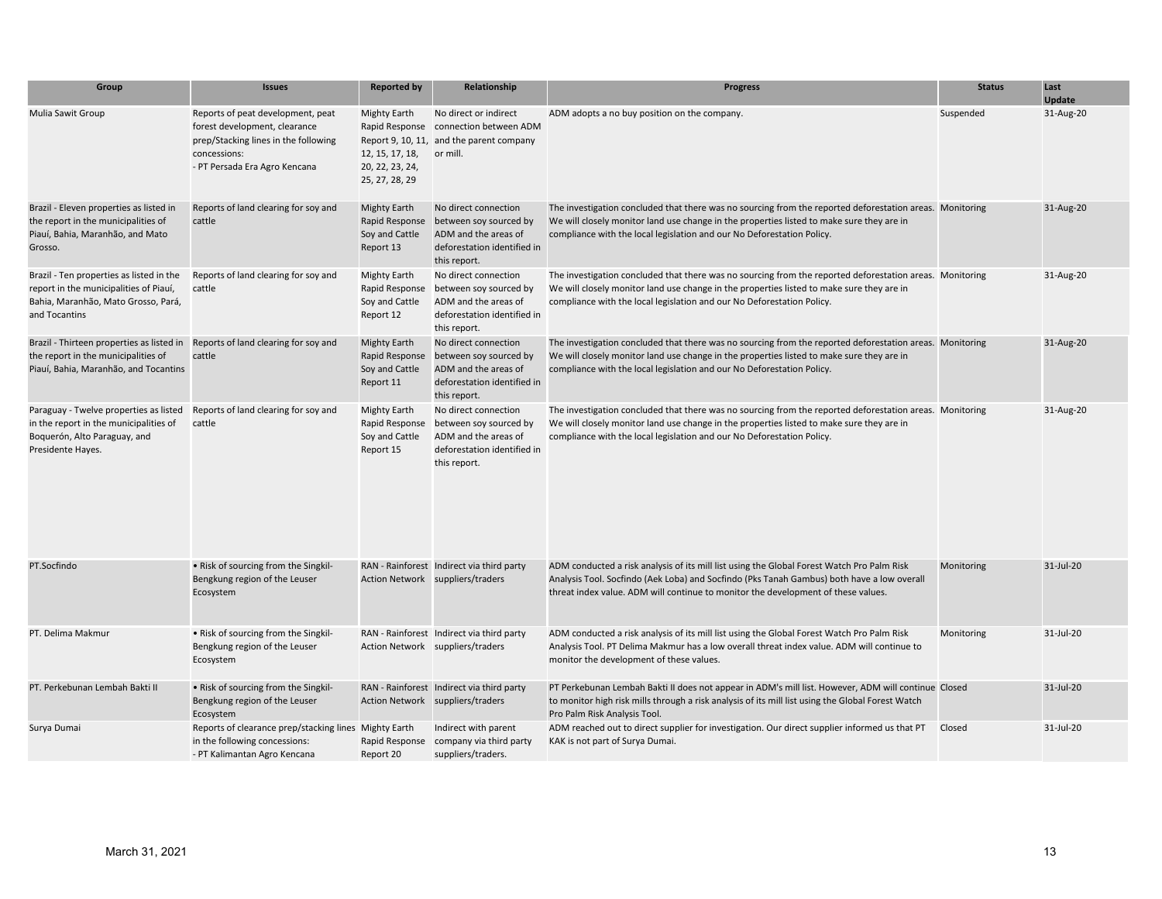| Group                                                                                                                                      | <b>Issues</b>                                                                                                                                               | <b>Reported by</b>                                                                            | Relationship                                                                                                          | <b>Progress</b>                                                                                                                                                                                                                                                                 | <b>Status</b> | Last<br><b>Update</b> |
|--------------------------------------------------------------------------------------------------------------------------------------------|-------------------------------------------------------------------------------------------------------------------------------------------------------------|-----------------------------------------------------------------------------------------------|-----------------------------------------------------------------------------------------------------------------------|---------------------------------------------------------------------------------------------------------------------------------------------------------------------------------------------------------------------------------------------------------------------------------|---------------|-----------------------|
| Mulia Sawit Group                                                                                                                          | Reports of peat development, peat<br>forest development, clearance<br>prep/Stacking lines in the following<br>concessions:<br>- PT Persada Era Agro Kencana | <b>Mighty Earth</b><br>Rapid Response<br>12, 15, 17, 18,<br>20, 22, 23, 24,<br>25, 27, 28, 29 | No direct or indirect<br>connection between ADM<br>Report 9, 10, 11, and the parent company<br>or mill.               | ADM adopts a no buy position on the company.                                                                                                                                                                                                                                    | Suspended     | 31-Aug-20             |
| Brazil - Eleven properties as listed in<br>the report in the municipalities of<br>Piauí, Bahia, Maranhão, and Mato<br>Grosso.              | Reports of land clearing for soy and<br>cattle                                                                                                              | <b>Mighty Earth</b><br>Rapid Response<br>Soy and Cattle<br>Report 13                          | No direct connection<br>between soy sourced by<br>ADM and the areas of<br>deforestation identified in<br>this report. | The investigation concluded that there was no sourcing from the reported deforestation areas. Monitoring<br>We will closely monitor land use change in the properties listed to make sure they are in<br>compliance with the local legislation and our No Deforestation Policy. |               | 31-Aug-20             |
| Brazil - Ten properties as listed in the<br>report in the municipalities of Piauí,<br>Bahia, Maranhão, Mato Grosso, Pará,<br>and Tocantins | Reports of land clearing for soy and<br>cattle                                                                                                              | <b>Mighty Earth</b><br>Rapid Response<br>Soy and Cattle<br>Report 12                          | No direct connection<br>between soy sourced by<br>ADM and the areas of<br>deforestation identified in<br>this report. | The investigation concluded that there was no sourcing from the reported deforestation areas. Monitoring<br>We will closely monitor land use change in the properties listed to make sure they are in<br>compliance with the local legislation and our No Deforestation Policy. |               | 31-Aug-20             |
| Brazil - Thirteen properties as listed in<br>the report in the municipalities of<br>Piauí, Bahia, Maranhão, and Tocantins                  | Reports of land clearing for soy and<br>cattle                                                                                                              | <b>Mighty Earth</b><br>Rapid Response<br>Soy and Cattle<br>Report 11                          | No direct connection<br>between soy sourced by<br>ADM and the areas of<br>deforestation identified in<br>this report. | The investigation concluded that there was no sourcing from the reported deforestation areas. Monitoring<br>We will closely monitor land use change in the properties listed to make sure they are in<br>compliance with the local legislation and our No Deforestation Policy. |               | 31-Aug-20             |
| Paraguay - Twelve properties as listed<br>in the report in the municipalities of<br>Boquerón, Alto Paraguay, and<br>Presidente Hayes.      | Reports of land clearing for soy and<br>cattle                                                                                                              | <b>Mighty Earth</b><br>Rapid Response<br>Soy and Cattle<br>Report 15                          | No direct connection<br>between soy sourced by<br>ADM and the areas of<br>deforestation identified in<br>this report. | The investigation concluded that there was no sourcing from the reported deforestation areas. Monitoring<br>We will closely monitor land use change in the properties listed to make sure they are in<br>compliance with the local legislation and our No Deforestation Policy. |               | 31-Aug-20             |
| PT.Socfindo                                                                                                                                | • Risk of sourcing from the Singkil-<br>Bengkung region of the Leuser<br>Ecosystem                                                                          |                                                                                               | RAN - Rainforest Indirect via third party<br>Action Network suppliers/traders                                         | ADM conducted a risk analysis of its mill list using the Global Forest Watch Pro Palm Risk<br>Analysis Tool. Socfindo (Aek Loba) and Socfindo (Pks Tanah Gambus) both have a low overall<br>threat index value. ADM will continue to monitor the development of these values.   | Monitoring    | 31-Jul-20             |
| PT. Delima Makmur                                                                                                                          | . Risk of sourcing from the Singkil-<br>Bengkung region of the Leuser<br>Ecosystem                                                                          |                                                                                               | RAN - Rainforest Indirect via third party<br>Action Network suppliers/traders                                         | ADM conducted a risk analysis of its mill list using the Global Forest Watch Pro Palm Risk<br>Analysis Tool. PT Delima Makmur has a low overall threat index value. ADM will continue to<br>monitor the development of these values.                                            | Monitoring    | 31-Jul-20             |
| PT. Perkebunan Lembah Bakti II                                                                                                             | • Risk of sourcing from the Singkil-<br>Bengkung region of the Leuser<br>Ecosystem                                                                          |                                                                                               | RAN - Rainforest Indirect via third party<br>Action Network suppliers/traders                                         | PT Perkebunan Lembah Bakti II does not appear in ADM's mill list. However, ADM will continue Closed<br>to monitor high risk mills through a risk analysis of its mill list using the Global Forest Watch<br>Pro Palm Risk Analysis Tool.                                        |               | $31$ -Jul-20          |
| Surya Dumai                                                                                                                                | Reports of clearance prep/stacking lines Mighty Earth<br>in the following concessions:<br>- PT Kalimantan Agro Kencana                                      | Rapid Response<br>Report 20                                                                   | Indirect with parent<br>company via third party<br>suppliers/traders.                                                 | ADM reached out to direct supplier for investigation. Our direct supplier informed us that PT<br>KAK is not part of Surya Dumai.                                                                                                                                                | Closed        | 31-Jul-20             |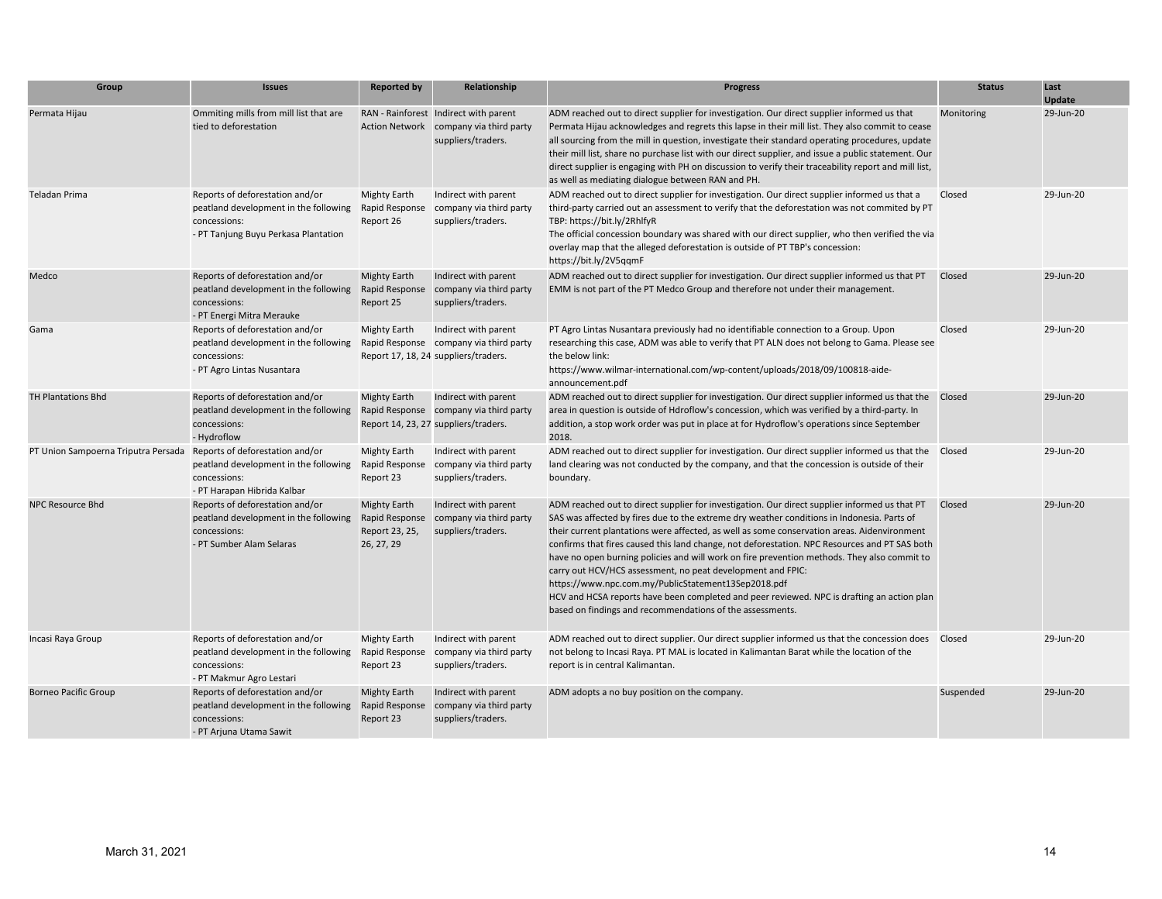| Group                                                               | <b>Issues</b>                                                                                                                    | <b>Reported by</b>                                                    | Relationship                                                                                           | <b>Progress</b>                                                                                                                                                                                                                                                                                                                                                                                                                                                                                                                                                                                                                                                                                                                                                             | <b>Status</b> | Last<br>Update |
|---------------------------------------------------------------------|----------------------------------------------------------------------------------------------------------------------------------|-----------------------------------------------------------------------|--------------------------------------------------------------------------------------------------------|-----------------------------------------------------------------------------------------------------------------------------------------------------------------------------------------------------------------------------------------------------------------------------------------------------------------------------------------------------------------------------------------------------------------------------------------------------------------------------------------------------------------------------------------------------------------------------------------------------------------------------------------------------------------------------------------------------------------------------------------------------------------------------|---------------|----------------|
| Permata Hijau                                                       | Ommiting mills from mill list that are<br>tied to deforestation                                                                  |                                                                       | RAN - Rainforest Indirect with parent<br>Action Network company via third party<br>suppliers/traders.  | ADM reached out to direct supplier for investigation. Our direct supplier informed us that<br>Permata Hijau acknowledges and regrets this lapse in their mill list. They also commit to cease<br>all sourcing from the mill in question, investigate their standard operating procedures, update<br>their mill list, share no purchase list with our direct supplier, and issue a public statement. Our<br>direct supplier is engaging with PH on discussion to verify their traceability report and mill list,<br>as well as mediating dialogue between RAN and PH.                                                                                                                                                                                                        | Monitoring    | 29-Jun-20      |
| Teladan Prima                                                       | Reports of deforestation and/or<br>peatland development in the following<br>concessions:<br>- PT Tanjung Buyu Perkasa Plantation | <b>Mighty Earth</b><br>Rapid Response<br>Report 26                    | Indirect with parent<br>company via third party<br>suppliers/traders.                                  | ADM reached out to direct supplier for investigation. Our direct supplier informed us that a<br>third-party carried out an assessment to verify that the deforestation was not commited by PT<br>TBP: https://bit.ly/2RhlfyR<br>The official concession boundary was shared with our direct supplier, who then verified the via<br>overlay map that the alleged deforestation is outside of PT TBP's concession:<br>https://bit.ly/2V5qqmF                                                                                                                                                                                                                                                                                                                                  | Closed        | 29-Jun-20      |
| Medco                                                               | Reports of deforestation and/or<br>peatland development in the following<br>concessions:<br>- PT Energi Mitra Merauke            | <b>Mighty Earth</b><br>Rapid Response<br>Report 25                    | Indirect with parent<br>company via third party<br>suppliers/traders.                                  | ADM reached out to direct supplier for investigation. Our direct supplier informed us that PT<br>EMM is not part of the PT Medco Group and therefore not under their management.                                                                                                                                                                                                                                                                                                                                                                                                                                                                                                                                                                                            | Closed        | 29-Jun-20      |
| Gama                                                                | Reports of deforestation and/or<br>peatland development in the following<br>concessions:<br>- PT Agro Lintas Nusantara           | <b>Mighty Earth</b>                                                   | Indirect with parent<br>Rapid Response company via third party<br>Report 17, 18, 24 suppliers/traders. | PT Agro Lintas Nusantara previously had no identifiable connection to a Group. Upon<br>researching this case, ADM was able to verify that PT ALN does not belong to Gama. Please see<br>the below link:<br>https://www.wilmar-international.com/wp-content/uploads/2018/09/100818-aide-<br>announcement.pdf                                                                                                                                                                                                                                                                                                                                                                                                                                                                 | Closed        | 29-Jun-20      |
| <b>TH Plantations Bhd</b>                                           | Reports of deforestation and/or<br>peatland development in the following<br>concessions:<br>- Hydroflow                          | <b>Mighty Earth</b>                                                   | Indirect with parent<br>Rapid Response company via third party<br>Report 14, 23, 27 suppliers/traders. | ADM reached out to direct supplier for investigation. Our direct supplier informed us that the<br>area in question is outside of Hdroflow's concession, which was verified by a third-party. In<br>addition, a stop work order was put in place at for Hydroflow's operations since September<br>2018.                                                                                                                                                                                                                                                                                                                                                                                                                                                                      | Closed        | 29-Jun-20      |
| PT Union Sampoerna Triputra Persada Reports of deforestation and/or | peatland development in the following<br>concessions:<br>- PT Harapan Hibrida Kalbar                                             | <b>Mighty Earth</b><br>Rapid Response<br>Report 23                    | Indirect with parent<br>company via third party<br>suppliers/traders.                                  | ADM reached out to direct supplier for investigation. Our direct supplier informed us that the Closed<br>land clearing was not conducted by the company, and that the concession is outside of their<br>boundary.                                                                                                                                                                                                                                                                                                                                                                                                                                                                                                                                                           |               | 29-Jun-20      |
| NPC Resource Bhd                                                    | Reports of deforestation and/or<br>peatland development in the following<br>concessions:<br>- PT Sumber Alam Selaras             | <b>Mighty Earth</b><br>Rapid Response<br>Report 23, 25,<br>26, 27, 29 | Indirect with parent<br>company via third party<br>suppliers/traders.                                  | ADM reached out to direct supplier for investigation. Our direct supplier informed us that PT<br>SAS was affected by fires due to the extreme dry weather conditions in Indonesia. Parts of<br>their current plantations were affected, as well as some conservation areas. Aidenvironment<br>confirms that fires caused this land change, not deforestation. NPC Resources and PT SAS both<br>have no open burning policies and will work on fire prevention methods. They also commit to<br>carry out HCV/HCS assessment, no peat development and FPIC:<br>https://www.npc.com.my/PublicStatement13Sep2018.pdf<br>HCV and HCSA reports have been completed and peer reviewed. NPC is drafting an action plan<br>based on findings and recommendations of the assessments. | Closed        | 29-Jun-20      |
| Incasi Raya Group                                                   | Reports of deforestation and/or<br>peatland development in the following<br>concessions:<br>- PT Makmur Agro Lestari             | <b>Mighty Earth</b><br>Rapid Response<br>Report 23                    | Indirect with parent<br>company via third party<br>suppliers/traders.                                  | ADM reached out to direct supplier. Our direct supplier informed us that the concession does Closed<br>not belong to Incasi Raya. PT MAL is located in Kalimantan Barat while the location of the<br>report is in central Kalimantan.                                                                                                                                                                                                                                                                                                                                                                                                                                                                                                                                       |               | 29-Jun-20      |
| <b>Borneo Pacific Group</b>                                         | Reports of deforestation and/or<br>peatland development in the following<br>concessions:<br>- PT Arjuna Utama Sawit              | <b>Mighty Earth</b><br>Rapid Response<br>Report 23                    | Indirect with parent<br>company via third party<br>suppliers/traders.                                  | ADM adopts a no buy position on the company.                                                                                                                                                                                                                                                                                                                                                                                                                                                                                                                                                                                                                                                                                                                                | Suspended     | 29-Jun-20      |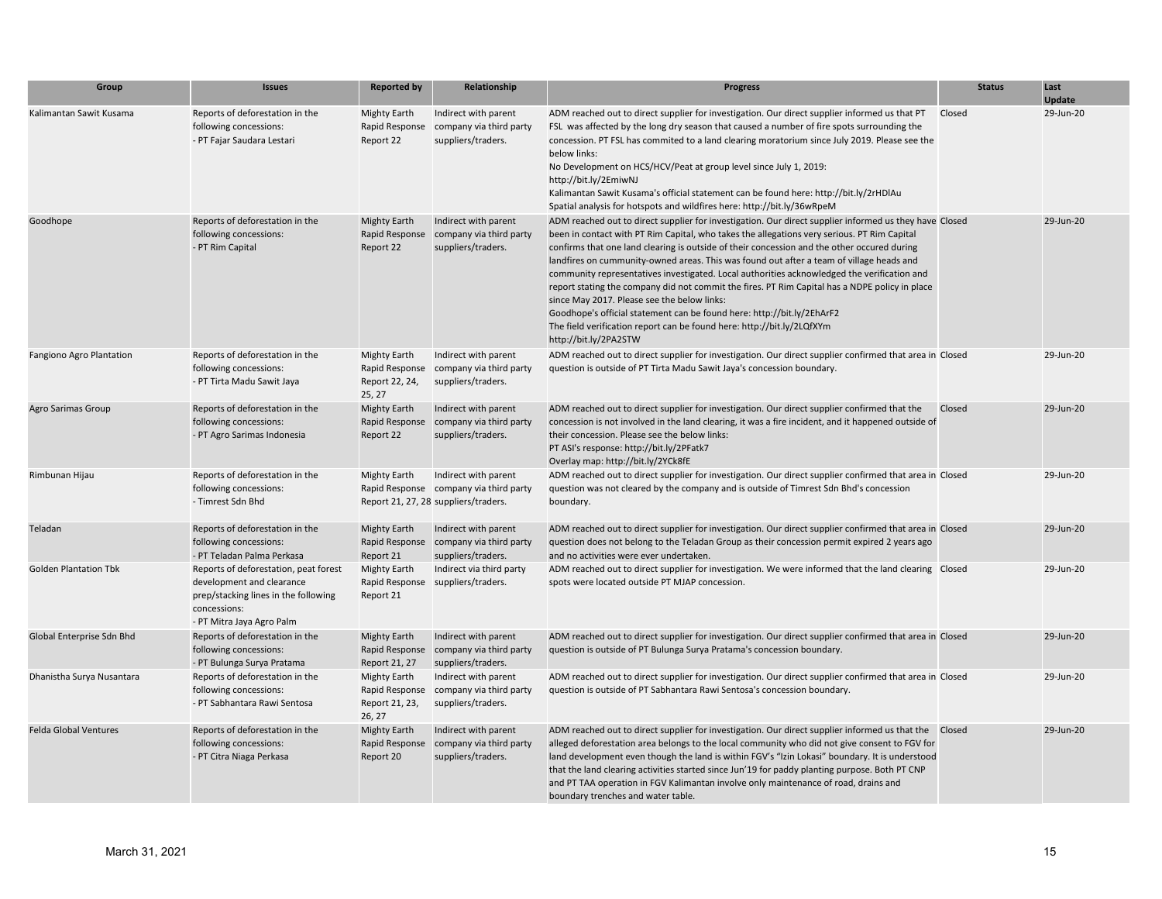| Group                        | <b>Issues</b>                                                                                                                                           | <b>Reported by</b>                                                | Relationship                                                                                           | <b>Progress</b>                                                                                                                                                                                                                                                                                                                                                                                                                                                                                                                                                                                                                                                                                                                                                                                                               | <b>Status</b> | Last<br>Update |
|------------------------------|---------------------------------------------------------------------------------------------------------------------------------------------------------|-------------------------------------------------------------------|--------------------------------------------------------------------------------------------------------|-------------------------------------------------------------------------------------------------------------------------------------------------------------------------------------------------------------------------------------------------------------------------------------------------------------------------------------------------------------------------------------------------------------------------------------------------------------------------------------------------------------------------------------------------------------------------------------------------------------------------------------------------------------------------------------------------------------------------------------------------------------------------------------------------------------------------------|---------------|----------------|
| Kalimantan Sawit Kusama      | Reports of deforestation in the<br>following concessions:<br>- PT Fajar Saudara Lestari                                                                 | <b>Mighty Earth</b><br>Rapid Response<br>Report 22                | Indirect with parent<br>company via third party<br>suppliers/traders.                                  | ADM reached out to direct supplier for investigation. Our direct supplier informed us that PT<br>FSL was affected by the long dry season that caused a number of fire spots surrounding the<br>concession. PT FSL has commited to a land clearing moratorium since July 2019. Please see the<br>below links:<br>No Development on HCS/HCV/Peat at group level since July 1, 2019:<br>http://bit.ly/2EmiwNJ<br>Kalimantan Sawit Kusama's official statement can be found here: http://bit.ly/2rHDIAu<br>Spatial analysis for hotspots and wildfires here: http://bit.ly/36wRpeM                                                                                                                                                                                                                                                | Closed        | 29-Jun-20      |
| Goodhope                     | Reports of deforestation in the<br>following concessions:<br>- PT Rim Capital                                                                           | <b>Mighty Earth</b><br>Rapid Response<br>Report 22                | Indirect with parent<br>company via third party<br>suppliers/traders.                                  | ADM reached out to direct supplier for investigation. Our direct supplier informed us they have Closed<br>been in contact with PT Rim Capital, who takes the allegations very serious. PT Rim Capital<br>confirms that one land clearing is outside of their concession and the other occured during<br>landfires on cummunity-owned areas. This was found out after a team of village heads and<br>community representatives investigated. Local authorities acknowledged the verification and<br>report stating the company did not commit the fires. PT Rim Capital has a NDPE policy in place<br>since May 2017. Please see the below links:<br>Goodhope's official statement can be found here: http://bit.ly/2EhArF2<br>The field verification report can be found here: http://bit.ly/2LQfXYm<br>http://bit.ly/2PA2STW |               | 29-Jun-20      |
| Fangiono Agro Plantation     | Reports of deforestation in the<br>following concessions:<br>- PT Tirta Madu Sawit Jaya                                                                 | <b>Mighty Earth</b><br>Rapid Response<br>Report 22, 24,<br>25, 27 | Indirect with parent<br>company via third party<br>suppliers/traders.                                  | ADM reached out to direct supplier for investigation. Our direct supplier confirmed that area in Closed<br>question is outside of PT Tirta Madu Sawit Jaya's concession boundary.                                                                                                                                                                                                                                                                                                                                                                                                                                                                                                                                                                                                                                             |               | 29-Jun-20      |
| Agro Sarimas Group           | Reports of deforestation in the<br>following concessions:<br>- PT Agro Sarimas Indonesia                                                                | <b>Mighty Earth</b><br>Rapid Response<br>Report 22                | Indirect with parent<br>company via third party<br>suppliers/traders.                                  | ADM reached out to direct supplier for investigation. Our direct supplier confirmed that the<br>concession is not involved in the land clearing, it was a fire incident, and it happened outside of<br>their concession. Please see the below links:<br>PT ASI's response: http://bit.ly/2PFatk7<br>Overlay map: http://bit.ly/2YCk8fE                                                                                                                                                                                                                                                                                                                                                                                                                                                                                        | Closed        | 29-Jun-20      |
| Rimbunan Hijau               | Reports of deforestation in the<br>following concessions:<br>- Timrest Sdn Bhd                                                                          | <b>Mighty Earth</b>                                               | Indirect with parent<br>Rapid Response company via third party<br>Report 21, 27, 28 suppliers/traders. | ADM reached out to direct supplier for investigation. Our direct supplier confirmed that area in Closed<br>question was not cleared by the company and is outside of Timrest Sdn Bhd's concession<br>boundary.                                                                                                                                                                                                                                                                                                                                                                                                                                                                                                                                                                                                                |               | 29-Jun-20      |
| Teladan                      | Reports of deforestation in the<br>following concessions:<br>- PT Teladan Palma Perkasa                                                                 | <b>Mighty Earth</b><br>Report 21                                  | Indirect with parent<br>Rapid Response company via third party<br>suppliers/traders.                   | ADM reached out to direct supplier for investigation. Our direct supplier confirmed that area in Closed<br>question does not belong to the Teladan Group as their concession permit expired 2 years ago<br>and no activities were ever undertaken.                                                                                                                                                                                                                                                                                                                                                                                                                                                                                                                                                                            |               | 29-Jun-20      |
| <b>Golden Plantation Tbk</b> | Reports of deforestation, peat forest<br>development and clearance<br>prep/stacking lines in the following<br>concessions:<br>- PT Mitra Jaya Agro Palm | <b>Mighty Earth</b><br>Report 21                                  | Indirect via third party<br>Rapid Response suppliers/traders.                                          | ADM reached out to direct supplier for investigation. We were informed that the land clearing Closed<br>spots were located outside PT MJAP concession.                                                                                                                                                                                                                                                                                                                                                                                                                                                                                                                                                                                                                                                                        |               | 29-Jun-20      |
| Global Enterprise Sdn Bhd    | Reports of deforestation in the<br>following concessions:<br>- PT Bulunga Surya Pratama                                                                 | <b>Mighty Earth</b><br>Report 21, 27                              | Indirect with parent<br>Rapid Response company via third party<br>suppliers/traders.                   | ADM reached out to direct supplier for investigation. Our direct supplier confirmed that area in Closed<br>question is outside of PT Bulunga Surya Pratama's concession boundary.                                                                                                                                                                                                                                                                                                                                                                                                                                                                                                                                                                                                                                             |               | 29-Jun-20      |
| Dhanistha Surya Nusantara    | Reports of deforestation in the<br>following concessions:<br>- PT Sabhantara Rawi Sentosa                                                               | Mighty Earth<br>Rapid Response<br>Report 21, 23,<br>26, 27        | Indirect with parent<br>company via third party<br>suppliers/traders.                                  | ADM reached out to direct supplier for investigation. Our direct supplier confirmed that area in Closed<br>question is outside of PT Sabhantara Rawi Sentosa's concession boundary.                                                                                                                                                                                                                                                                                                                                                                                                                                                                                                                                                                                                                                           |               | 29-Jun-20      |
| <b>Felda Global Ventures</b> | Reports of deforestation in the<br>following concessions:<br>- PT Citra Niaga Perkasa                                                                   | <b>Mighty Earth</b><br>Rapid Response<br>Report 20                | Indirect with parent<br>company via third party<br>suppliers/traders.                                  | ADM reached out to direct supplier for investigation. Our direct supplier informed us that the Closed<br>alleged deforestation area belongs to the local community who did not give consent to FGV for<br>land development even though the land is within FGV's "Izin Lokasi" boundary. It is understood<br>that the land clearing activities started since Jun'19 for paddy planting purpose. Both PT CNP<br>and PT TAA operation in FGV Kalimantan involve only maintenance of road, drains and<br>boundary trenches and water table.                                                                                                                                                                                                                                                                                       |               | 29-Jun-20      |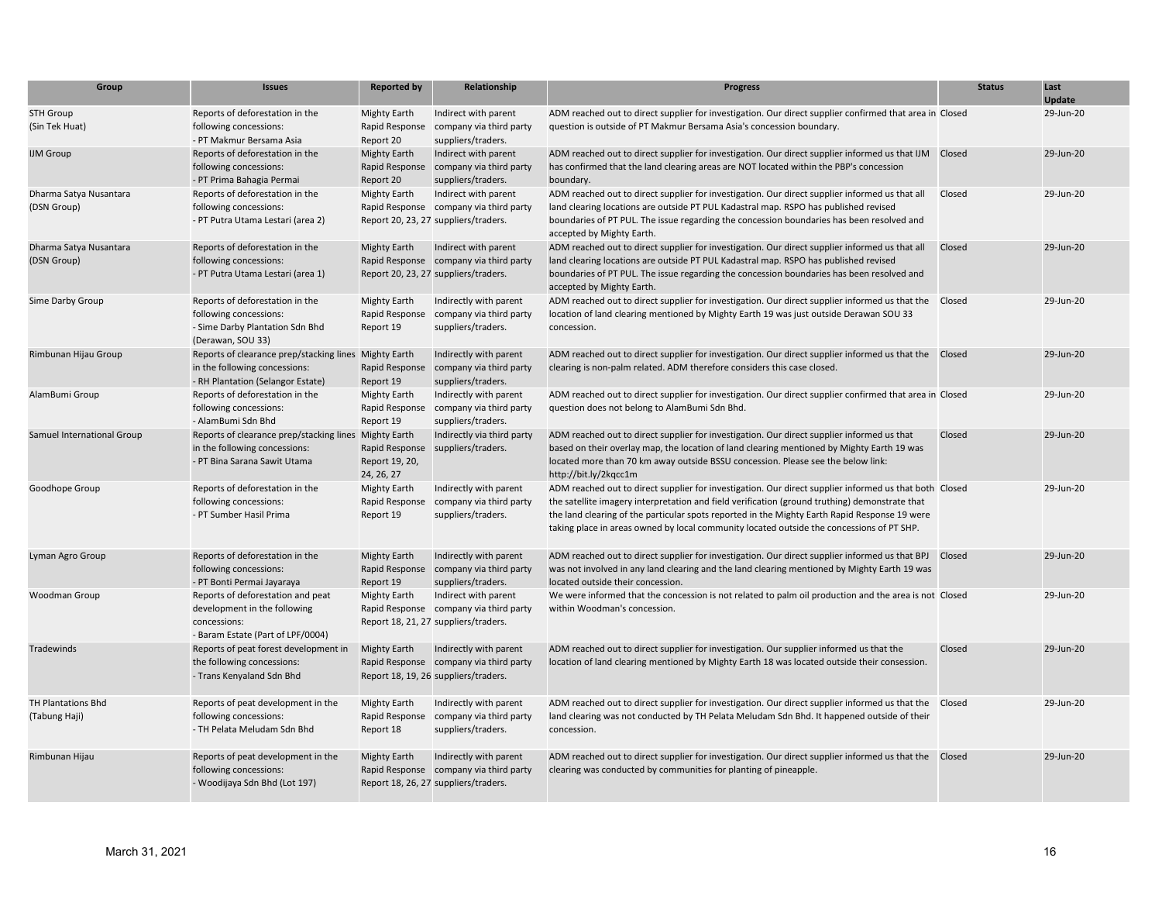| Group                                 | <b>Issues</b>                                                                                                               | <b>Reported by</b>                                          | Relationship                                                                                             | <b>Progress</b>                                                                                                                                                                                                                                                                                                                                                                                        | <b>Status</b> | Last<br><b>Update</b> |
|---------------------------------------|-----------------------------------------------------------------------------------------------------------------------------|-------------------------------------------------------------|----------------------------------------------------------------------------------------------------------|--------------------------------------------------------------------------------------------------------------------------------------------------------------------------------------------------------------------------------------------------------------------------------------------------------------------------------------------------------------------------------------------------------|---------------|-----------------------|
| <b>STH Group</b><br>(Sin Tek Huat)    | Reports of deforestation in the<br>following concessions:<br>- PT Makmur Bersama Asia                                       | <b>Mighty Earth</b><br>Rapid Response<br>Report 20          | Indirect with parent<br>company via third party<br>suppliers/traders.                                    | ADM reached out to direct supplier for investigation. Our direct supplier confirmed that area in Closed<br>question is outside of PT Makmur Bersama Asia's concession boundary.                                                                                                                                                                                                                        |               | 29-Jun-20             |
| <b>IJM Group</b>                      | Reports of deforestation in the<br>following concessions:<br>- PT Prima Bahagia Permai                                      | <b>Mighty Earth</b><br>Rapid Response<br>Report 20          | Indirect with parent<br>company via third party<br>suppliers/traders.                                    | ADM reached out to direct supplier for investigation. Our direct supplier informed us that IJM<br>has confirmed that the land clearing areas are NOT located within the PBP's concession<br>boundary.                                                                                                                                                                                                  | Closed        | 29-Jun-20             |
| Dharma Satya Nusantara<br>(DSN Group) | Reports of deforestation in the<br>following concessions:<br>- PT Putra Utama Lestari (area 2)                              | <b>Mighty Earth</b><br>Report 20, 23, 27 suppliers/traders. | Indirect with parent<br>Rapid Response company via third party                                           | ADM reached out to direct supplier for investigation. Our direct supplier informed us that all<br>land clearing locations are outside PT PUL Kadastral map. RSPO has published revised<br>boundaries of PT PUL. The issue regarding the concession boundaries has been resolved and<br>accepted by Mighty Earth.                                                                                       | Closed        | 29-Jun-20             |
| Dharma Satya Nusantara<br>(DSN Group) | Reports of deforestation in the<br>following concessions:<br>- PT Putra Utama Lestari (area 1)                              | <b>Mighty Earth</b><br>Report 20, 23, 27 suppliers/traders. | Indirect with parent<br>Rapid Response company via third party                                           | ADM reached out to direct supplier for investigation. Our direct supplier informed us that all<br>land clearing locations are outside PT PUL Kadastral map. RSPO has published revised<br>boundaries of PT PUL. The issue regarding the concession boundaries has been resolved and<br>accepted by Mighty Earth.                                                                                       | Closed        | 29-Jun-20             |
| Sime Darby Group                      | Reports of deforestation in the<br>following concessions:<br>- Sime Darby Plantation Sdn Bhd<br>(Derawan, SOU 33)           | <b>Mighty Earth</b><br>Rapid Response<br>Report 19          | Indirectly with parent<br>company via third party<br>suppliers/traders.                                  | ADM reached out to direct supplier for investigation. Our direct supplier informed us that the Closed<br>location of land clearing mentioned by Mighty Earth 19 was just outside Derawan SOU 33<br>concession.                                                                                                                                                                                         |               | 29-Jun-20             |
| Rimbunan Hijau Group                  | Reports of clearance prep/stacking lines Mighty Earth<br>in the following concessions:<br>- RH Plantation (Selangor Estate) | Rapid Response<br>Report 19                                 | Indirectly with parent<br>company via third party<br>suppliers/traders.                                  | ADM reached out to direct supplier for investigation. Our direct supplier informed us that the<br>clearing is non-palm related. ADM therefore considers this case closed.                                                                                                                                                                                                                              | Closed        | 29-Jun-20             |
| AlamBumi Group                        | Reports of deforestation in the<br>following concessions:<br>- AlamBumi Sdn Bhd                                             | <b>Mighty Earth</b><br>Rapid Response<br>Report 19          | Indirectly with parent<br>company via third party<br>suppliers/traders.                                  | ADM reached out to direct supplier for investigation. Our direct supplier confirmed that area in Closed<br>question does not belong to AlamBumi Sdn Bhd.                                                                                                                                                                                                                                               |               | 29-Jun-20             |
| Samuel International Group            | Reports of clearance prep/stacking lines Mighty Earth<br>in the following concessions:<br>- PT Bina Sarana Sawit Utama      | Rapid Response<br>Report 19, 20,<br>24, 26, 27              | Indirectly via third party<br>suppliers/traders.                                                         | ADM reached out to direct supplier for investigation. Our direct supplier informed us that<br>based on their overlay map, the location of land clearing mentioned by Mighty Earth 19 was<br>located more than 70 km away outside BSSU concession. Please see the below link:<br>http://bit.ly/2kgcc1m                                                                                                  | Closed        | 29-Jun-20             |
| Goodhope Group                        | Reports of deforestation in the<br>following concessions:<br>- PT Sumber Hasil Prima                                        | <b>Mighty Earth</b><br>Rapid Response<br>Report 19          | Indirectly with parent<br>company via third party<br>suppliers/traders.                                  | ADM reached out to direct supplier for investigation. Our direct supplier informed us that both Closed<br>the satellite imagery interpretation and field verification (ground truthing) demonstrate that<br>the land clearing of the particular spots reported in the Mighty Earth Rapid Response 19 were<br>taking place in areas owned by local community located outside the concessions of PT SHP. |               | 29-Jun-20             |
| Lyman Agro Group                      | Reports of deforestation in the<br>following concessions:<br>- PT Bonti Permai Jayaraya                                     | <b>Mighty Earth</b><br>Rapid Response<br>Report 19          | Indirectly with parent<br>company via third party<br>suppliers/traders.                                  | ADM reached out to direct supplier for investigation. Our direct supplier informed us that BPJ Closed<br>was not involved in any land clearing and the land clearing mentioned by Mighty Earth 19 was<br>located outside their concession.                                                                                                                                                             |               | 29-Jun-20             |
| Woodman Group                         | Reports of deforestation and peat<br>development in the following<br>concessions:<br>- Baram Estate (Part of LPF/0004)      | <b>Mighty Earth</b>                                         | Indirect with parent<br>Rapid Response company via third party<br>Report 18, 21, 27 suppliers/traders.   | We were informed that the concession is not related to palm oil production and the area is not Closed<br>within Woodman's concession.                                                                                                                                                                                                                                                                  |               | 29-Jun-20             |
| Tradewinds                            | Reports of peat forest development in<br>the following concessions:<br>- Trans Kenyaland Sdn Bhd                            | <b>Mighty Earth</b>                                         | Indirectly with parent<br>Rapid Response company via third party<br>Report 18, 19, 26 suppliers/traders. | ADM reached out to direct supplier for investigation. Our supplier informed us that the<br>location of land clearing mentioned by Mighty Earth 18 was located outside their consession.                                                                                                                                                                                                                | Closed        | 29-Jun-20             |
| TH Plantations Bhd<br>(Tabung Haji)   | Reports of peat development in the<br>following concessions:<br>- TH Pelata Meludam Sdn Bhd                                 | <b>Mighty Earth</b><br>Rapid Response<br>Report 18          | Indirectly with parent<br>company via third party<br>suppliers/traders.                                  | ADM reached out to direct supplier for investigation. Our direct supplier informed us that the Closed<br>land clearing was not conducted by TH Pelata Meludam Sdn Bhd. It happened outside of their<br>concession.                                                                                                                                                                                     |               | 29-Jun-20             |
| Rimbunan Hijau                        | Reports of peat development in the<br>following concessions:<br>- Woodijaya Sdn Bhd (Lot 197)                               | <b>Mighty Earth</b>                                         | Indirectly with parent<br>Rapid Response company via third party<br>Report 18, 26, 27 suppliers/traders. | ADM reached out to direct supplier for investigation. Our direct supplier informed us that the Closed<br>clearing was conducted by communities for planting of pineapple.                                                                                                                                                                                                                              |               | 29-Jun-20             |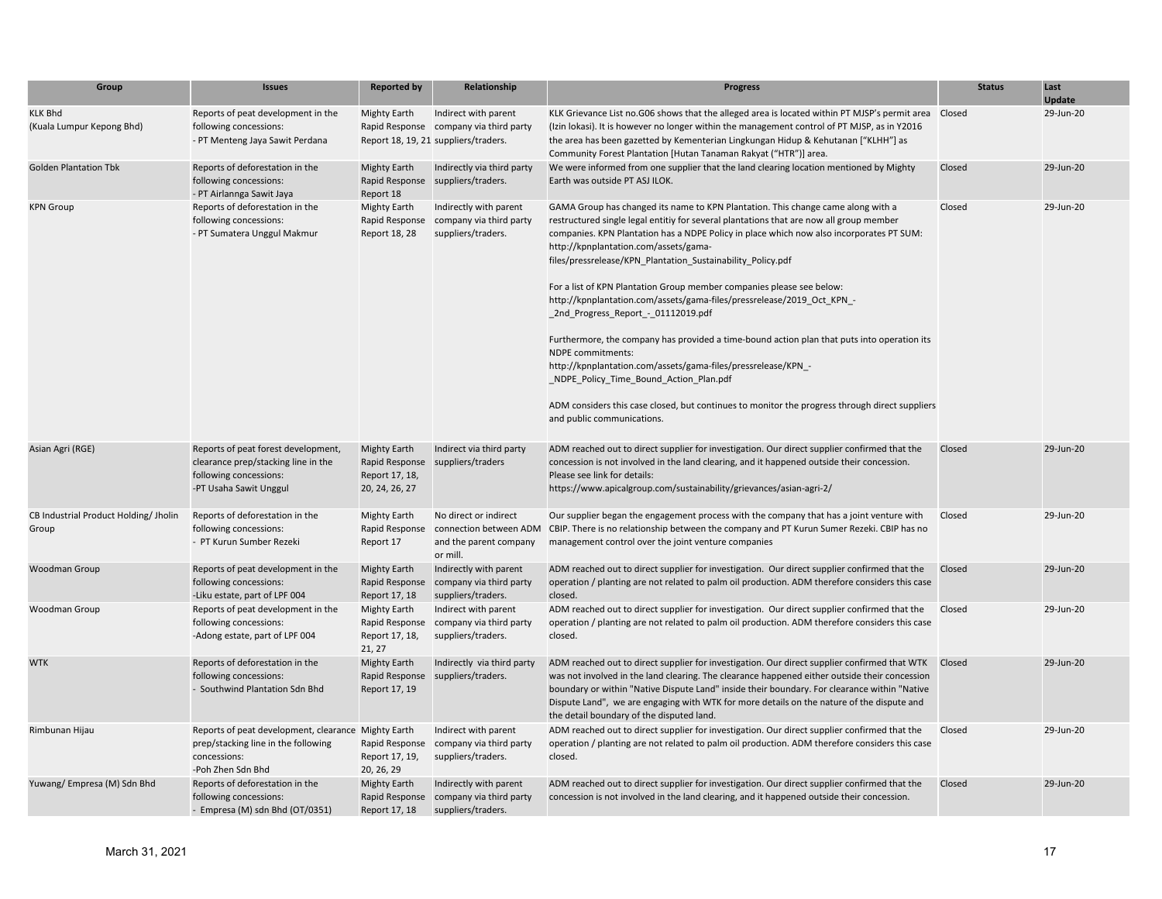| Group                                          | <b>Issues</b>                                                                                                                   | <b>Reported by</b>                                                        | Relationship                                                                                           | <b>Progress</b>                                                                                                                                                                                                                                                                                                                                                                                                                                                                                                                                                                                                                                                                                                                                                                                                                                                                                                                                 | <b>Status</b> | Last<br>Update |
|------------------------------------------------|---------------------------------------------------------------------------------------------------------------------------------|---------------------------------------------------------------------------|--------------------------------------------------------------------------------------------------------|-------------------------------------------------------------------------------------------------------------------------------------------------------------------------------------------------------------------------------------------------------------------------------------------------------------------------------------------------------------------------------------------------------------------------------------------------------------------------------------------------------------------------------------------------------------------------------------------------------------------------------------------------------------------------------------------------------------------------------------------------------------------------------------------------------------------------------------------------------------------------------------------------------------------------------------------------|---------------|----------------|
| <b>KLK Bhd</b><br>(Kuala Lumpur Kepong Bhd)    | Reports of peat development in the<br>following concessions:<br>- PT Menteng Jaya Sawit Perdana                                 | <b>Mighty Earth</b>                                                       | Indirect with parent<br>Rapid Response company via third party<br>Report 18, 19, 21 suppliers/traders. | KLK Grievance List no.G06 shows that the alleged area is located within PT MJSP's permit area Closed<br>(Izin lokasi). It is however no longer within the management control of PT MJSP, as in Y2016<br>the area has been gazetted by Kementerian Lingkungan Hidup & Kehutanan ["KLHH"] as<br>Community Forest Plantation [Hutan Tanaman Rakyat ("HTR")] area.                                                                                                                                                                                                                                                                                                                                                                                                                                                                                                                                                                                  |               | 29-Jun-20      |
| <b>Golden Plantation Tbk</b>                   | Reports of deforestation in the<br>following concessions:<br>- PT Airlannga Sawit Jaya                                          | <b>Mighty Earth</b><br>Report 18                                          | Indirectly via third party<br>Rapid Response suppliers/traders.                                        | We were informed from one supplier that the land clearing location mentioned by Mighty<br>Earth was outside PT ASJ ILOK.                                                                                                                                                                                                                                                                                                                                                                                                                                                                                                                                                                                                                                                                                                                                                                                                                        | Closed        | 29-Jun-20      |
| <b>KPN Group</b>                               | Reports of deforestation in the<br>following concessions:<br>- PT Sumatera Unggul Makmur                                        | <b>Mighty Earth</b><br>Rapid Response<br>Report 18, 28                    | Indirectly with parent<br>company via third party<br>suppliers/traders.                                | GAMA Group has changed its name to KPN Plantation. This change came along with a<br>restructured single legal entitiy for several plantations that are now all group member<br>companies. KPN Plantation has a NDPE Policy in place which now also incorporates PT SUM:<br>http://kpnplantation.com/assets/gama-<br>files/pressrelease/KPN Plantation Sustainability Policy.pdf<br>For a list of KPN Plantation Group member companies please see below:<br>http://kpnplantation.com/assets/gama-files/pressrelease/2019 Oct KPN -<br>_2nd_Progress_Report_-_01112019.pdf<br>Furthermore, the company has provided a time-bound action plan that puts into operation its<br><b>NDPE</b> commitments:<br>http://kpnplantation.com/assets/gama-files/pressrelease/KPN -<br>NDPE Policy Time Bound Action Plan.pdf<br>ADM considers this case closed, but continues to monitor the progress through direct suppliers<br>and public communications. | Closed        | 29-Jun-20      |
| Asian Agri (RGE)                               | Reports of peat forest development,<br>clearance prep/stacking line in the<br>following concessions:<br>-PT Usaha Sawit Unggul  | <b>Mighty Earth</b><br>Rapid Response<br>Report 17, 18,<br>20, 24, 26, 27 | Indirect via third party<br>suppliers/traders                                                          | ADM reached out to direct supplier for investigation. Our direct supplier confirmed that the<br>concession is not involved in the land clearing, and it happened outside their concession.<br>Please see link for details:<br>https://www.apicalgroup.com/sustainability/grievances/asian-agri-2/                                                                                                                                                                                                                                                                                                                                                                                                                                                                                                                                                                                                                                               | Closed        | 29-Jun-20      |
| CB Industrial Product Holding/ Jholin<br>Group | Reports of deforestation in the<br>following concessions:<br>- PT Kurun Sumber Rezeki                                           | <b>Mighty Earth</b><br>Rapid Response<br>Report 17                        | No direct or indirect<br>connection between ADM<br>and the parent company<br>or mill.                  | Our supplier began the engagement process with the company that has a joint venture with<br>CBIP. There is no relationship between the company and PT Kurun Sumer Rezeki. CBIP has no<br>management control over the joint venture companies                                                                                                                                                                                                                                                                                                                                                                                                                                                                                                                                                                                                                                                                                                    | Closed        | 29-Jun-20      |
| Woodman Group                                  | Reports of peat development in the<br>following concessions:<br>-Liku estate, part of LPF 004                                   | <b>Mighty Earth</b><br>Rapid Response<br>Report 17, 18                    | Indirectly with parent<br>company via third party<br>suppliers/traders.                                | ADM reached out to direct supplier for investigation. Our direct supplier confirmed that the<br>operation / planting are not related to palm oil production. ADM therefore considers this case<br>closed.                                                                                                                                                                                                                                                                                                                                                                                                                                                                                                                                                                                                                                                                                                                                       | Closed        | 29-Jun-20      |
| Woodman Group                                  | Reports of peat development in the<br>following concessions:<br>-Adong estate, part of LPF 004                                  | <b>Mighty Earth</b><br>Rapid Response<br>Report 17, 18,<br>21, 27         | Indirect with parent<br>company via third party<br>suppliers/traders.                                  | ADM reached out to direct supplier for investigation. Our direct supplier confirmed that the<br>operation / planting are not related to palm oil production. ADM therefore considers this case<br>closed.                                                                                                                                                                                                                                                                                                                                                                                                                                                                                                                                                                                                                                                                                                                                       | Closed        | 29-Jun-20      |
| <b>WTK</b>                                     | Reports of deforestation in the<br>following concessions:<br>- Southwind Plantation Sdn Bhd                                     | <b>Mighty Earth</b><br>Rapid Response<br>Report 17, 19                    | Indirectly via third party<br>suppliers/traders.                                                       | ADM reached out to direct supplier for investigation. Our direct supplier confirmed that WTK Closed<br>was not involved in the land clearing. The clearance happened either outside their concession<br>boundary or within "Native Dispute Land" inside their boundary. For clearance within "Native<br>Dispute Land", we are engaging with WTK for more details on the nature of the dispute and<br>the detail boundary of the disputed land.                                                                                                                                                                                                                                                                                                                                                                                                                                                                                                  |               | 29-Jun-20      |
| Rimbunan Hijau                                 | Reports of peat development, clearance Mighty Earth<br>prep/stacking line in the following<br>concessions:<br>-Poh Zhen Sdn Bhd | Rapid Response<br>Report 17, 19,<br>20, 26, 29                            | Indirect with parent<br>company via third party<br>suppliers/traders.                                  | ADM reached out to direct supplier for investigation. Our direct supplier confirmed that the<br>operation / planting are not related to palm oil production. ADM therefore considers this case<br>closed.                                                                                                                                                                                                                                                                                                                                                                                                                                                                                                                                                                                                                                                                                                                                       | Closed        | 29-Jun-20      |
| Yuwang/Empresa (M) Sdn Bhd                     | Reports of deforestation in the<br>following concessions:<br>- Empresa (M) sdn Bhd (OT/0351)                                    | <b>Mighty Earth</b><br>Report 17, 18                                      | Indirectly with parent<br>Rapid Response company via third party<br>suppliers/traders.                 | ADM reached out to direct supplier for investigation. Our direct supplier confirmed that the<br>concession is not involved in the land clearing, and it happened outside their concession.                                                                                                                                                                                                                                                                                                                                                                                                                                                                                                                                                                                                                                                                                                                                                      | Closed        | 29-Jun-20      |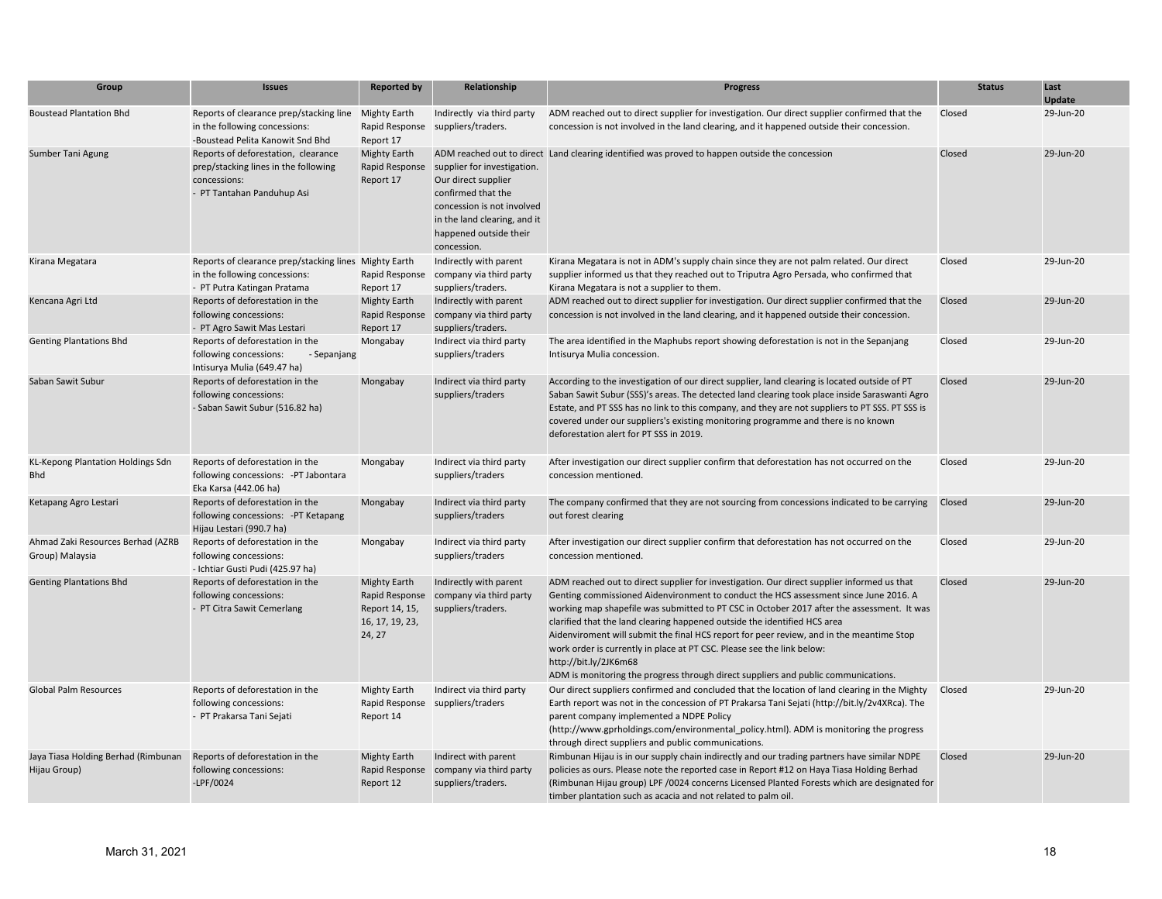| Group                                                | <b>Issues</b>                                                                                                             | <b>Reported by</b>                                                                   | Relationship                                                                                                                                                                    | <b>Progress</b>                                                                                                                                                                                                                                                                                                                                                                                                                                                                                                                                                                                                                                    | <b>Status</b> | Last<br><b>Update</b> |
|------------------------------------------------------|---------------------------------------------------------------------------------------------------------------------------|--------------------------------------------------------------------------------------|---------------------------------------------------------------------------------------------------------------------------------------------------------------------------------|----------------------------------------------------------------------------------------------------------------------------------------------------------------------------------------------------------------------------------------------------------------------------------------------------------------------------------------------------------------------------------------------------------------------------------------------------------------------------------------------------------------------------------------------------------------------------------------------------------------------------------------------------|---------------|-----------------------|
| <b>Boustead Plantation Bhd</b>                       | Reports of clearance prep/stacking line Mighty Earth<br>in the following concessions:<br>-Boustead Pelita Kanowit Snd Bhd | Report 17                                                                            | Indirectly via third party<br>Rapid Response suppliers/traders.                                                                                                                 | ADM reached out to direct supplier for investigation. Our direct supplier confirmed that the<br>concession is not involved in the land clearing, and it happened outside their concession.                                                                                                                                                                                                                                                                                                                                                                                                                                                         | Closed        | 29-Jun-20             |
| Sumber Tani Agung                                    | Reports of deforestation, clearance<br>prep/stacking lines in the following<br>concessions:<br>- PT Tantahan Panduhup Asi | <b>Mighty Earth</b><br>Rapid Response<br>Report 17                                   | supplier for investigation.<br>Our direct supplier<br>confirmed that the<br>concession is not involved<br>in the land clearing, and it<br>happened outside their<br>concession. | ADM reached out to direct Land clearing identified was proved to happen outside the concession                                                                                                                                                                                                                                                                                                                                                                                                                                                                                                                                                     | Closed        | 29-Jun-20             |
| Kirana Megatara                                      | Reports of clearance prep/stacking lines Mighty Earth<br>in the following concessions:<br>- PT Putra Katingan Pratama     | Rapid Response<br>Report 17                                                          | Indirectly with parent<br>company via third party<br>suppliers/traders.                                                                                                         | Kirana Megatara is not in ADM's supply chain since they are not palm related. Our direct<br>supplier informed us that they reached out to Triputra Agro Persada, who confirmed that<br>Kirana Megatara is not a supplier to them.                                                                                                                                                                                                                                                                                                                                                                                                                  | Closed        | 29-Jun-20             |
| Kencana Agri Ltd                                     | Reports of deforestation in the<br>following concessions:<br>- PT Agro Sawit Mas Lestari                                  | <b>Mighty Earth</b><br>Rapid Response<br>Report 17                                   | Indirectly with parent<br>company via third party<br>suppliers/traders.                                                                                                         | ADM reached out to direct supplier for investigation. Our direct supplier confirmed that the<br>concession is not involved in the land clearing, and it happened outside their concession.                                                                                                                                                                                                                                                                                                                                                                                                                                                         | Closed        | 29-Jun-20             |
| <b>Genting Plantations Bhd</b>                       | Reports of deforestation in the<br>following concessions:<br>- Sepanjang<br>Intisurya Mulia (649.47 ha)                   | Mongabay                                                                             | Indirect via third party<br>suppliers/traders                                                                                                                                   | The area identified in the Maphubs report showing deforestation is not in the Sepanjang<br>Intisurya Mulia concession.                                                                                                                                                                                                                                                                                                                                                                                                                                                                                                                             | Closed        | 29-Jun-20             |
| Saban Sawit Subur                                    | Reports of deforestation in the<br>following concessions:<br>- Saban Sawit Subur (516.82 ha)                              | Mongabay                                                                             | Indirect via third party<br>suppliers/traders                                                                                                                                   | According to the investigation of our direct supplier, land clearing is located outside of PT<br>Saban Sawit Subur (SSS)'s areas. The detected land clearing took place inside Saraswanti Agro<br>Estate, and PT SSS has no link to this company, and they are not suppliers to PT SSS. PT SSS is<br>covered under our suppliers's existing monitoring programme and there is no known<br>deforestation alert for PT SSS in 2019.                                                                                                                                                                                                                  | Closed        | 29-Jun-20             |
| KL-Kepong Plantation Holdings Sdn<br><b>Bhd</b>      | Reports of deforestation in the<br>following concessions: - PT Jabontara<br>Eka Karsa (442.06 ha)                         | Mongabay                                                                             | Indirect via third party<br>suppliers/traders                                                                                                                                   | After investigation our direct supplier confirm that deforestation has not occurred on the<br>concession mentioned.                                                                                                                                                                                                                                                                                                                                                                                                                                                                                                                                | Closed        | 29-Jun-20             |
| Ketapang Agro Lestari                                | Reports of deforestation in the<br>following concessions: - PT Ketapang<br>Hijau Lestari (990.7 ha)                       | Mongabay                                                                             | Indirect via third party<br>suppliers/traders                                                                                                                                   | The company confirmed that they are not sourcing from concessions indicated to be carrying<br>out forest clearing                                                                                                                                                                                                                                                                                                                                                                                                                                                                                                                                  | Closed        | 29-Jun-20             |
| Ahmad Zaki Resources Berhad (AZRB<br>Group) Malaysia | Reports of deforestation in the<br>following concessions:<br>- Ichtiar Gusti Pudi (425.97 ha)                             | Mongabay                                                                             | Indirect via third party<br>suppliers/traders                                                                                                                                   | After investigation our direct supplier confirm that deforestation has not occurred on the<br>concession mentioned.                                                                                                                                                                                                                                                                                                                                                                                                                                                                                                                                | Closed        | 29-Jun-20             |
| <b>Genting Plantations Bhd</b>                       | Reports of deforestation in the<br>following concessions:<br>- PT Citra Sawit Cemerlang                                   | <b>Mighty Earth</b><br>Rapid Response<br>Report 14, 15,<br>16, 17, 19, 23,<br>24, 27 | Indirectly with parent<br>company via third party<br>suppliers/traders.                                                                                                         | ADM reached out to direct supplier for investigation. Our direct supplier informed us that<br>Genting commissioned Aidenvironment to conduct the HCS assessment since June 2016. A<br>working map shapefile was submitted to PT CSC in October 2017 after the assessment. It was<br>clarified that the land clearing happened outside the identified HCS area<br>Aidenviroment will submit the final HCS report for peer review, and in the meantime Stop<br>work order is currently in place at PT CSC. Please see the link below:<br>http://bit.ly/2JK6m68<br>ADM is monitoring the progress through direct suppliers and public communications. | Closed        | 29-Jun-20             |
| Global Palm Resources                                | Reports of deforestation in the<br>following concessions:<br>- PT Prakarsa Tani Sejati                                    | <b>Mighty Earth</b><br>Report 14                                                     | Indirect via third party<br>Rapid Response suppliers/traders                                                                                                                    | Our direct suppliers confirmed and concluded that the location of land clearing in the Mighty<br>Earth report was not in the concession of PT Prakarsa Tani Sejati (http://bit.ly/2v4XRca). The<br>parent company implemented a NDPE Policy<br>(http://www.gprholdings.com/environmental policy.html). ADM is monitoring the progress<br>through direct suppliers and public communications.                                                                                                                                                                                                                                                       | Closed        | 29-Jun-20             |
| Jaya Tiasa Holding Berhad (Rimbunan<br>Hijau Group)  | Reports of deforestation in the<br>following concessions:<br>$-LPF/0024$                                                  | <b>Mighty Earth</b><br>Rapid Response<br>Report 12                                   | Indirect with parent<br>company via third party<br>suppliers/traders.                                                                                                           | Rimbunan Hijau is in our supply chain indirectly and our trading partners have similar NDPE<br>policies as ours. Please note the reported case in Report #12 on Haya Tiasa Holding Berhad<br>(Rimbunan Hijau group) LPF /0024 concerns Licensed Planted Forests which are designated for<br>timber plantation such as acacia and not related to palm oil.                                                                                                                                                                                                                                                                                          | Closed        | 29-Jun-20             |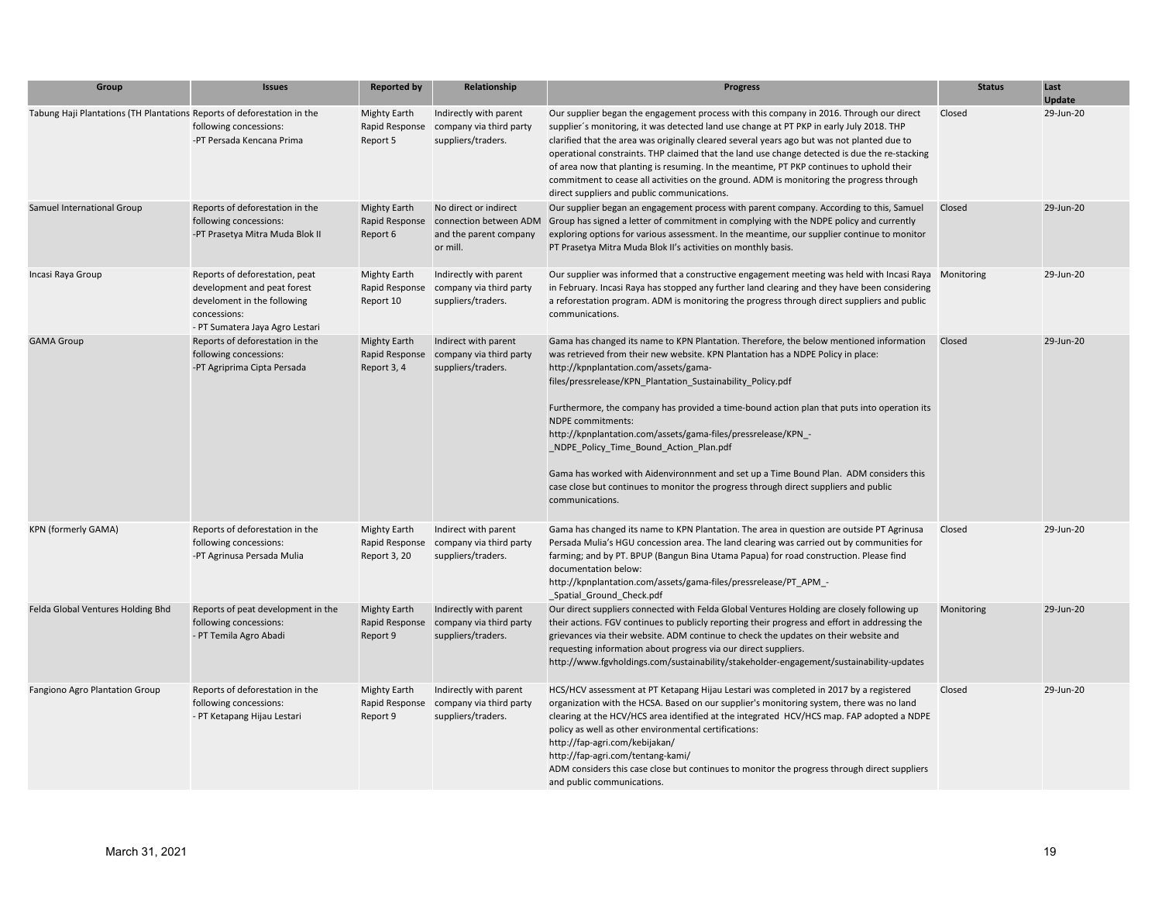| Group                                                                   | <b>Issues</b>                                                                                                                                   | <b>Reported by</b>                                    | Relationship                                                                          | <b>Progress</b>                                                                                                                                                                                                                                                                                                                                                                                                                                                                                                                                                                                                                                                                                                                | <b>Status</b> | Last<br><b>Update</b> |
|-------------------------------------------------------------------------|-------------------------------------------------------------------------------------------------------------------------------------------------|-------------------------------------------------------|---------------------------------------------------------------------------------------|--------------------------------------------------------------------------------------------------------------------------------------------------------------------------------------------------------------------------------------------------------------------------------------------------------------------------------------------------------------------------------------------------------------------------------------------------------------------------------------------------------------------------------------------------------------------------------------------------------------------------------------------------------------------------------------------------------------------------------|---------------|-----------------------|
| Tabung Haji Plantations (TH Plantations Reports of deforestation in the | following concessions:<br>-PT Persada Kencana Prima                                                                                             | <b>Mighty Earth</b><br>Rapid Response<br>Report 5     | Indirectly with parent<br>company via third party<br>suppliers/traders.               | Our supplier began the engagement process with this company in 2016. Through our direct<br>supplier's monitoring, it was detected land use change at PT PKP in early July 2018. THP<br>clarified that the area was originally cleared several years ago but was not planted due to<br>operational constraints. THP claimed that the land use change detected is due the re-stacking<br>of area now that planting is resuming. In the meantime, PT PKP continues to uphold their<br>commitment to cease all activities on the ground. ADM is monitoring the progress through<br>direct suppliers and public communications.                                                                                                     | Closed        | 29-Jun-20             |
| Samuel International Group                                              | Reports of deforestation in the<br>following concessions:<br>-PT Prasetya Mitra Muda Blok II                                                    | <b>Mighty Earth</b><br>Rapid Response<br>Report 6     | No direct or indirect<br>connection between ADM<br>and the parent company<br>or mill. | Our supplier began an engagement process with parent company. According to this, Samuel<br>Group has signed a letter of commitment in complying with the NDPE policy and currently<br>exploring options for various assessment. In the meantime, our supplier continue to monitor<br>PT Prasetya Mitra Muda Blok II's activities on monthly basis.                                                                                                                                                                                                                                                                                                                                                                             | Closed        | 29-Jun-20             |
| Incasi Raya Group                                                       | Reports of deforestation, peat<br>development and peat forest<br>develoment in the following<br>concessions:<br>- PT Sumatera Jaya Agro Lestari | <b>Mighty Earth</b><br>Rapid Response<br>Report 10    | Indirectly with parent<br>company via third party<br>suppliers/traders.               | Our supplier was informed that a constructive engagement meeting was held with Incasi Raya Monitoring<br>in February. Incasi Raya has stopped any further land clearing and they have been considering<br>a reforestation program. ADM is monitoring the progress through direct suppliers and public<br>communications.                                                                                                                                                                                                                                                                                                                                                                                                       |               | 29-Jun-20             |
| <b>GAMA Group</b>                                                       | Reports of deforestation in the<br>following concessions:<br>-PT Agriprima Cipta Persada                                                        | <b>Mighty Earth</b><br>Rapid Response<br>Report 3, 4  | Indirect with parent<br>company via third party<br>suppliers/traders.                 | Gama has changed its name to KPN Plantation. Therefore, the below mentioned information<br>was retrieved from their new website. KPN Plantation has a NDPE Policy in place:<br>http://kpnplantation.com/assets/gama-<br>files/pressrelease/KPN_Plantation_Sustainability_Policy.pdf<br>Furthermore, the company has provided a time-bound action plan that puts into operation its<br><b>NDPE</b> commitments:<br>http://kpnplantation.com/assets/gama-files/pressrelease/KPN_-<br>_NDPE_Policy_Time_Bound_Action_Plan.pdf<br>Gama has worked with Aidenvironnment and set up a Time Bound Plan. ADM considers this<br>case close but continues to monitor the progress through direct suppliers and public<br>communications. | Closed        | 29-Jun-20             |
| KPN (formerly GAMA)                                                     | Reports of deforestation in the<br>following concessions:<br>-PT Agrinusa Persada Mulia                                                         | <b>Mighty Earth</b><br>Rapid Response<br>Report 3, 20 | Indirect with parent<br>company via third party<br>suppliers/traders.                 | Gama has changed its name to KPN Plantation. The area in question are outside PT Agrinusa<br>Persada Mulia's HGU concession area. The land clearing was carried out by communities for<br>farming; and by PT. BPUP (Bangun Bina Utama Papua) for road construction. Please find<br>documentation below:<br>http://kpnplantation.com/assets/gama-files/pressrelease/PT_APM_-<br>_Spatial_Ground_Check.pdf                                                                                                                                                                                                                                                                                                                       | Closed        | 29-Jun-20             |
| Felda Global Ventures Holding Bhd                                       | Reports of peat development in the<br>following concessions:<br>- PT Temila Agro Abadi                                                          | <b>Mighty Earth</b><br>Rapid Response<br>Report 9     | Indirectly with parent<br>company via third party<br>suppliers/traders.               | Our direct suppliers connected with Felda Global Ventures Holding are closely following up<br>their actions. FGV continues to publicly reporting their progress and effort in addressing the<br>grievances via their website. ADM continue to check the updates on their website and<br>requesting information about progress via our direct suppliers.<br>http://www.fgvholdings.com/sustainability/stakeholder-engagement/sustainability-updates                                                                                                                                                                                                                                                                             | Monitoring    | 29-Jun-20             |
| Fangiono Agro Plantation Group                                          | Reports of deforestation in the<br>following concessions:<br>- PT Ketapang Hijau Lestari                                                        | <b>Mighty Earth</b><br>Rapid Response<br>Report 9     | Indirectly with parent<br>company via third party<br>suppliers/traders.               | HCS/HCV assessment at PT Ketapang Hijau Lestari was completed in 2017 by a registered<br>organization with the HCSA. Based on our supplier's monitoring system, there was no land<br>clearing at the HCV/HCS area identified at the integrated HCV/HCS map. FAP adopted a NDPE<br>policy as well as other environmental certifications:<br>http://fap-agri.com/kebijakan/<br>http://fap-agri.com/tentang-kami/<br>ADM considers this case close but continues to monitor the progress through direct suppliers<br>and public communications.                                                                                                                                                                                   | Closed        | 29-Jun-20             |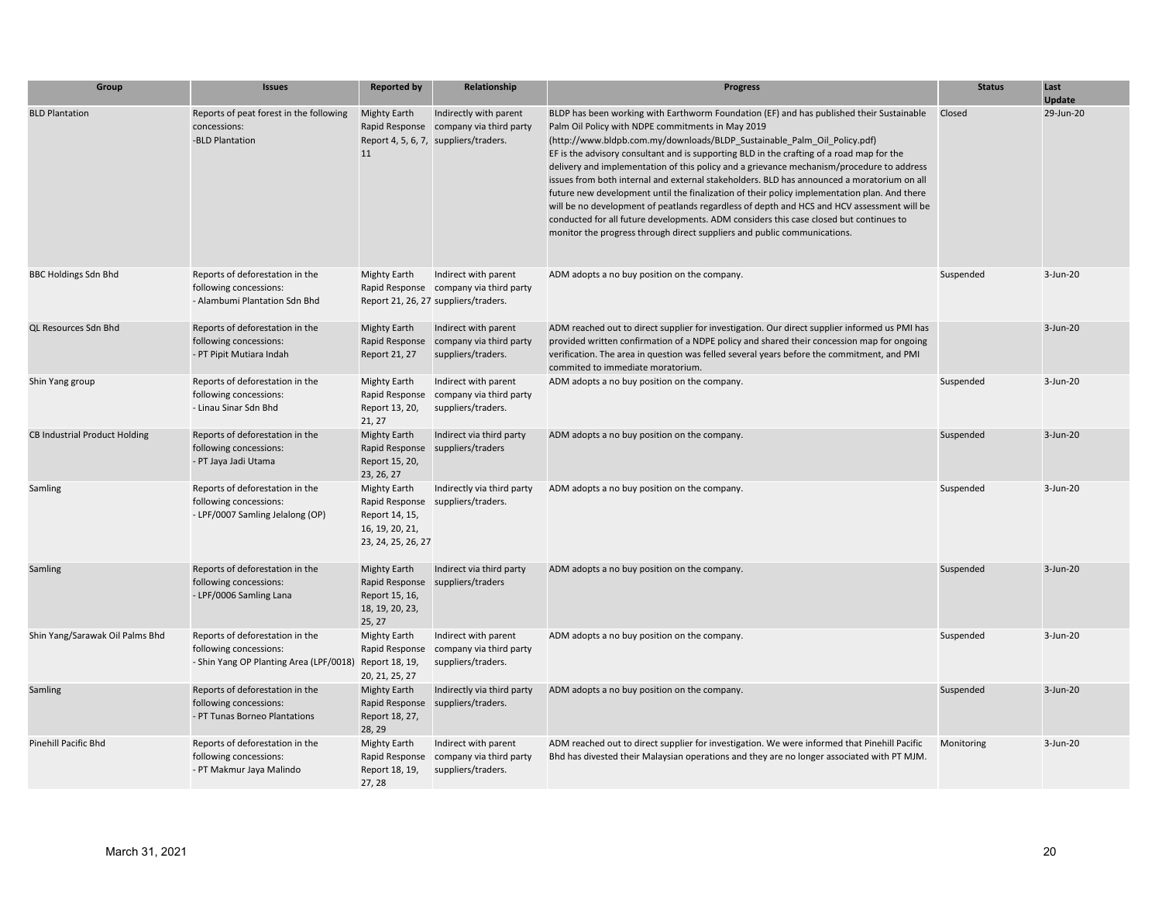| Group                                | <b>Issues</b>                                                                                                       | <b>Reported by</b>                                                                               | Relationship                                                                                           | <b>Progress</b>                                                                                                                                                                                                                                                                                                                                                                                                                                                                                                                                                                                                                                                                                                                                                                                                                                                                       | <b>Status</b> | Last<br><b>Update</b> |
|--------------------------------------|---------------------------------------------------------------------------------------------------------------------|--------------------------------------------------------------------------------------------------|--------------------------------------------------------------------------------------------------------|---------------------------------------------------------------------------------------------------------------------------------------------------------------------------------------------------------------------------------------------------------------------------------------------------------------------------------------------------------------------------------------------------------------------------------------------------------------------------------------------------------------------------------------------------------------------------------------------------------------------------------------------------------------------------------------------------------------------------------------------------------------------------------------------------------------------------------------------------------------------------------------|---------------|-----------------------|
| <b>BLD Plantation</b>                | Reports of peat forest in the following<br>concessions:<br>-BLD Plantation                                          | <b>Mighty Earth</b><br>Rapid Response<br>11                                                      | Indirectly with parent<br>company via third party<br>Report 4, 5, 6, 7, suppliers/traders.             | BLDP has been working with Earthworm Foundation (EF) and has published their Sustainable<br>Palm Oil Policy with NDPE commitments in May 2019<br>(http://www.bldpb.com.my/downloads/BLDP Sustainable Palm Oil Policy.pdf)<br>EF is the advisory consultant and is supporting BLD in the crafting of a road map for the<br>delivery and implementation of this policy and a grievance mechanism/procedure to address<br>issues from both internal and external stakeholders. BLD has announced a moratorium on all<br>future new development until the finalization of their policy implementation plan. And there<br>will be no development of peatlands regardless of depth and HCS and HCV assessment will be<br>conducted for all future developments. ADM considers this case closed but continues to<br>monitor the progress through direct suppliers and public communications. | Closed        | 29-Jun-20             |
| <b>BBC Holdings Sdn Bhd</b>          | Reports of deforestation in the<br>following concessions:<br>- Alambumi Plantation Sdn Bhd                          | <b>Mighty Earth</b>                                                                              | Indirect with parent<br>Rapid Response company via third party<br>Report 21, 26, 27 suppliers/traders. | ADM adopts a no buy position on the company.                                                                                                                                                                                                                                                                                                                                                                                                                                                                                                                                                                                                                                                                                                                                                                                                                                          | Suspended     | $3 - Jun-20$          |
| QL Resources Sdn Bhd                 | Reports of deforestation in the<br>following concessions:<br>- PT Pipit Mutiara Indah                               | <b>Mighty Earth</b><br>Rapid Response<br>Report 21, 27                                           | Indirect with parent<br>company via third party<br>suppliers/traders.                                  | ADM reached out to direct supplier for investigation. Our direct supplier informed us PMI has<br>provided written confirmation of a NDPE policy and shared their concession map for ongoing<br>verification. The area in question was felled several years before the commitment, and PMI<br>commited to immediate moratorium.                                                                                                                                                                                                                                                                                                                                                                                                                                                                                                                                                        |               | $3$ -Jun-20           |
| Shin Yang group                      | Reports of deforestation in the<br>following concessions:<br>- Linau Sinar Sdn Bhd                                  | <b>Mighty Earth</b><br>Rapid Response<br>Report 13, 20,<br>21, 27                                | Indirect with parent<br>company via third party<br>suppliers/traders.                                  | ADM adopts a no buy position on the company.                                                                                                                                                                                                                                                                                                                                                                                                                                                                                                                                                                                                                                                                                                                                                                                                                                          | Suspended     | $3-Jun-20$            |
| <b>CB Industrial Product Holding</b> | Reports of deforestation in the<br>following concessions:<br>- PT Jaya Jadi Utama                                   | <b>Mighty Earth</b><br>Rapid Response<br>Report 15, 20,<br>23, 26, 27                            | Indirect via third party<br>suppliers/traders                                                          | ADM adopts a no buy position on the company.                                                                                                                                                                                                                                                                                                                                                                                                                                                                                                                                                                                                                                                                                                                                                                                                                                          | Suspended     | $3$ -Jun-20           |
| Samling                              | Reports of deforestation in the<br>following concessions:<br>- LPF/0007 Samling Jelalong (OP)                       | <b>Mighty Earth</b><br>Rapid Response<br>Report 14, 15,<br>16, 19, 20, 21,<br>23, 24, 25, 26, 27 | Indirectly via third party<br>suppliers/traders.                                                       | ADM adopts a no buy position on the company.                                                                                                                                                                                                                                                                                                                                                                                                                                                                                                                                                                                                                                                                                                                                                                                                                                          | Suspended     | $3-Jun-20$            |
| Samling                              | Reports of deforestation in the<br>following concessions:<br>- LPF/0006 Samling Lana                                | <b>Mighty Earth</b><br>Rapid Response<br>Report 15, 16,<br>18, 19, 20, 23,<br>25, 27             | Indirect via third party<br>suppliers/traders                                                          | ADM adopts a no buy position on the company.                                                                                                                                                                                                                                                                                                                                                                                                                                                                                                                                                                                                                                                                                                                                                                                                                                          | Suspended     | $3-Jun-20$            |
| Shin Yang/Sarawak Oil Palms Bhd      | Reports of deforestation in the<br>following concessions:<br>- Shin Yang OP Planting Area (LPF/0018) Report 18, 19, | <b>Mighty Earth</b><br>Rapid Response<br>20, 21, 25, 27                                          | Indirect with parent<br>company via third party<br>suppliers/traders.                                  | ADM adopts a no buy position on the company.                                                                                                                                                                                                                                                                                                                                                                                                                                                                                                                                                                                                                                                                                                                                                                                                                                          | Suspended     | $3-Jun-20$            |
| Samling                              | Reports of deforestation in the<br>following concessions:<br>- PT Tunas Borneo Plantations                          | <b>Mighty Earth</b><br>Rapid Response<br>Report 18, 27,<br>28, 29                                | Indirectly via third party<br>suppliers/traders.                                                       | ADM adopts a no buy position on the company.                                                                                                                                                                                                                                                                                                                                                                                                                                                                                                                                                                                                                                                                                                                                                                                                                                          | Suspended     | $3$ -Jun-20           |
| Pinehill Pacific Bhd                 | Reports of deforestation in the<br>following concessions:<br>- PT Makmur Jaya Malindo                               | <b>Mighty Earth</b><br>Rapid Response<br>Report 18, 19,<br>27, 28                                | Indirect with parent<br>company via third party<br>suppliers/traders.                                  | ADM reached out to direct supplier for investigation. We were informed that Pinehill Pacific<br>Bhd has divested their Malaysian operations and they are no longer associated with PT MJM.                                                                                                                                                                                                                                                                                                                                                                                                                                                                                                                                                                                                                                                                                            | Monitoring    | $3-Jun-20$            |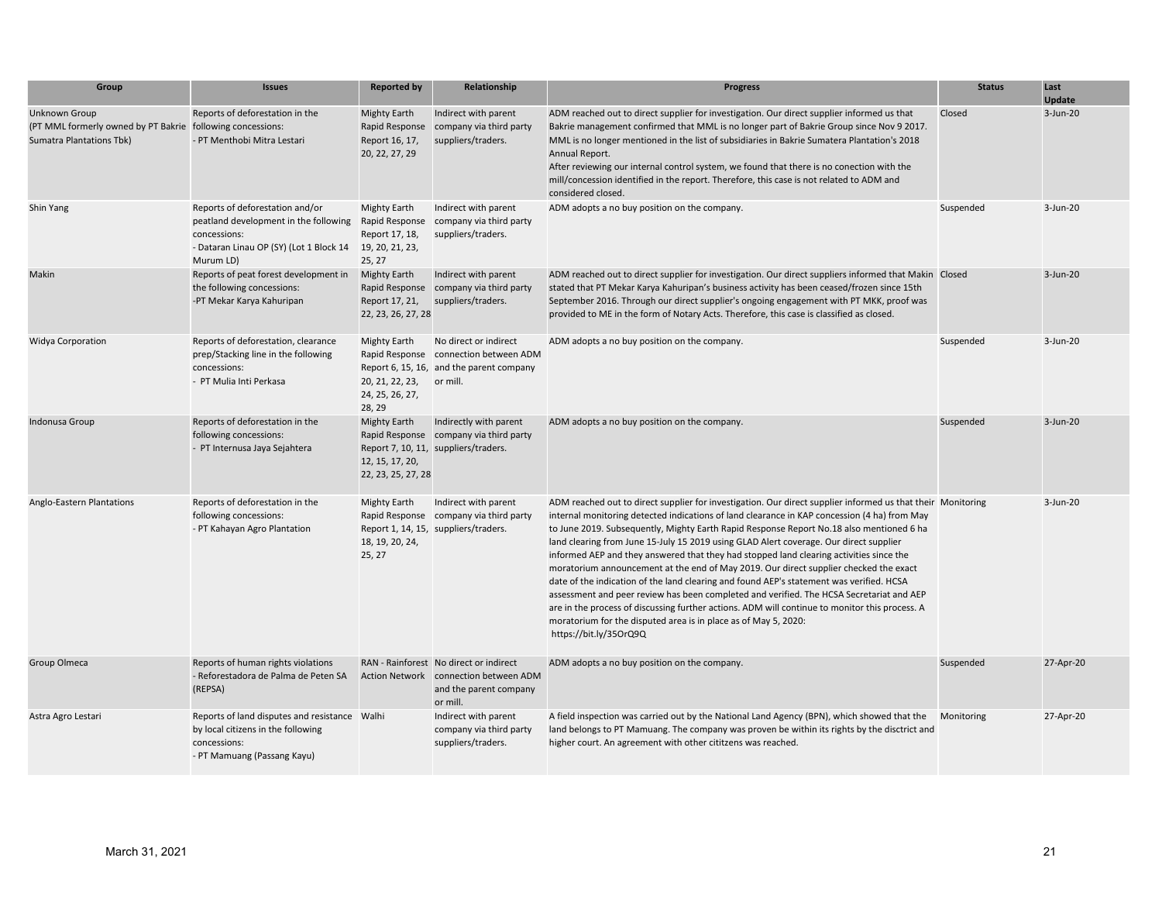| Group                                                                                                          | <b>Issues</b>                                                                                                                                    | <b>Reported by</b>                                                                   | Relationship                                                                                                          | <b>Progress</b>                                                                                                                                                                                                                                                                                                                                                                                                                                                                                                                                                                                                                                                                                                                                                                                                                                                                                                                                                              | <b>Status</b> | Last<br><b>Update</b> |
|----------------------------------------------------------------------------------------------------------------|--------------------------------------------------------------------------------------------------------------------------------------------------|--------------------------------------------------------------------------------------|-----------------------------------------------------------------------------------------------------------------------|------------------------------------------------------------------------------------------------------------------------------------------------------------------------------------------------------------------------------------------------------------------------------------------------------------------------------------------------------------------------------------------------------------------------------------------------------------------------------------------------------------------------------------------------------------------------------------------------------------------------------------------------------------------------------------------------------------------------------------------------------------------------------------------------------------------------------------------------------------------------------------------------------------------------------------------------------------------------------|---------------|-----------------------|
| Unknown Group<br>(PT MML formerly owned by PT Bakrie following concessions:<br><b>Sumatra Plantations Tbk)</b> | Reports of deforestation in the<br>- PT Menthobi Mitra Lestari                                                                                   | Mighty Earth<br>Rapid Response<br>Report 16, 17,<br>20, 22, 27, 29                   | Indirect with parent<br>company via third party<br>suppliers/traders.                                                 | ADM reached out to direct supplier for investigation. Our direct supplier informed us that<br>Bakrie management confirmed that MML is no longer part of Bakrie Group since Nov 9 2017.<br>MML is no longer mentioned in the list of subsidiaries in Bakrie Sumatera Plantation's 2018<br>Annual Report.<br>After reviewing our internal control system, we found that there is no conection with the<br>mill/concession identified in the report. Therefore, this case is not related to ADM and<br>considered closed.                                                                                                                                                                                                                                                                                                                                                                                                                                                       | Closed        | 3-Jun-20              |
| Shin Yang                                                                                                      | Reports of deforestation and/or<br>peatland development in the following<br>concessions:<br>- Dataran Linau OP (SY) (Lot 1 Block 14<br>Murum LD) | <b>Mighty Earth</b><br>Rapid Response<br>Report 17, 18,<br>19, 20, 21, 23,<br>25, 27 | Indirect with parent<br>company via third party<br>suppliers/traders.                                                 | ADM adopts a no buy position on the company.                                                                                                                                                                                                                                                                                                                                                                                                                                                                                                                                                                                                                                                                                                                                                                                                                                                                                                                                 | Suspended     | 3-Jun-20              |
| Makin                                                                                                          | Reports of peat forest development in<br>the following concessions:<br>-PT Mekar Karya Kahuripan                                                 | <b>Mighty Earth</b><br>Report 17, 21,<br>22, 23, 26, 27, 28                          | Indirect with parent<br>Rapid Response company via third party<br>suppliers/traders.                                  | ADM reached out to direct supplier for investigation. Our direct suppliers informed that Makin Closed<br>stated that PT Mekar Karya Kahuripan's business activity has been ceased/frozen since 15th<br>September 2016. Through our direct supplier's ongoing engagement with PT MKK, proof was<br>provided to ME in the form of Notary Acts. Therefore, this case is classified as closed.                                                                                                                                                                                                                                                                                                                                                                                                                                                                                                                                                                                   |               | 3-Jun-20              |
| <b>Widya Corporation</b>                                                                                       | Reports of deforestation, clearance<br>prep/Stacking line in the following<br>concessions:<br>- PT Mulia Inti Perkasa                            | Mighty Earth<br>20, 21, 22, 23, or mill.<br>24, 25, 26, 27,<br>28, 29                | No direct or indirect<br>Rapid Response connection between ADM<br>Report 6, 15, 16, and the parent company            | ADM adopts a no buy position on the company.                                                                                                                                                                                                                                                                                                                                                                                                                                                                                                                                                                                                                                                                                                                                                                                                                                                                                                                                 | Suspended     | 3-Jun-20              |
| Indonusa Group                                                                                                 | Reports of deforestation in the<br>following concessions:<br>- PT Internusa Jaya Sejahtera                                                       | Mighty Earth<br>12, 15, 17, 20,<br>22, 23, 25, 27, 28                                | Indirectly with parent<br>Rapid Response company via third party<br>Report 7, 10, 11, suppliers/traders.              | ADM adopts a no buy position on the company.                                                                                                                                                                                                                                                                                                                                                                                                                                                                                                                                                                                                                                                                                                                                                                                                                                                                                                                                 | Suspended     | 3-Jun-20              |
| Anglo-Eastern Plantations                                                                                      | Reports of deforestation in the<br>following concessions:<br>- PT Kahayan Agro Plantation                                                        | <b>Mighty Earth</b><br>18, 19, 20, 24,<br>25, 27                                     | Indirect with parent<br>Rapid Response company via third party<br>Report 1, 14, 15, suppliers/traders.                | ADM reached out to direct supplier for investigation. Our direct supplier informed us that their Monitoring<br>internal monitoring detected indications of land clearance in KAP concession (4 ha) from May<br>to June 2019. Subsequently, Mighty Earth Rapid Response Report No.18 also mentioned 6 ha<br>land clearing from June 15-July 15 2019 using GLAD Alert coverage. Our direct supplier<br>informed AEP and they answered that they had stopped land clearing activities since the<br>moratorium announcement at the end of May 2019. Our direct supplier checked the exact<br>date of the indication of the land clearing and found AEP's statement was verified. HCSA<br>assessment and peer review has been completed and verified. The HCSA Secretariat and AEP<br>are in the process of discussing further actions. ADM will continue to monitor this process. A<br>moratorium for the disputed area is in place as of May 5, 2020:<br>https://bit.ly/35OrQ9Q |               | 3-Jun-20              |
| Group Olmeca                                                                                                   | Reports of human rights violations<br>- Reforestadora de Palma de Peten SA<br>(REPSA)                                                            |                                                                                      | RAN - Rainforest No direct or indirect<br>Action Network connection between ADM<br>and the parent company<br>or mill. | ADM adopts a no buy position on the company.                                                                                                                                                                                                                                                                                                                                                                                                                                                                                                                                                                                                                                                                                                                                                                                                                                                                                                                                 | Suspended     | 27-Apr-20             |
| Astra Agro Lestari                                                                                             | Reports of land disputes and resistance Walhi<br>by local citizens in the following<br>concessions:<br>- PT Mamuang (Passang Kayu)               |                                                                                      | Indirect with parent<br>company via third party<br>suppliers/traders.                                                 | A field inspection was carried out by the National Land Agency (BPN), which showed that the<br>land belongs to PT Mamuang. The company was proven be within its rights by the disctrict and<br>higher court. An agreement with other cititzens was reached.                                                                                                                                                                                                                                                                                                                                                                                                                                                                                                                                                                                                                                                                                                                  | Monitoring    | 27-Apr-20             |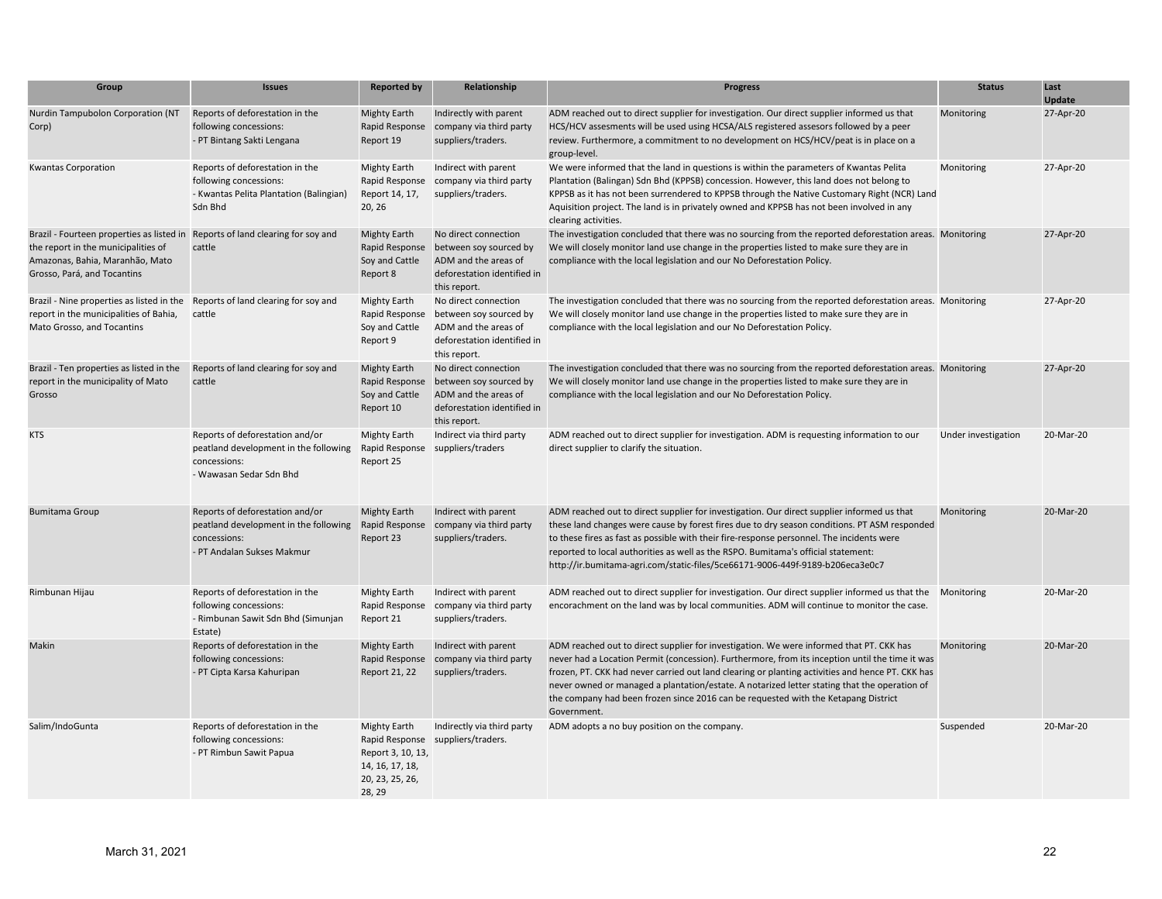| Group                                                                                                                                                                                   | <b>Issues</b>                                                                                                          | <b>Reported by</b>                                                                       | Relationship                                                                                                          | <b>Progress</b>                                                                                                                                                                                                                                                                                                                                                                                                                                                                                     | <b>Status</b>       | Last<br><b>Update</b> |
|-----------------------------------------------------------------------------------------------------------------------------------------------------------------------------------------|------------------------------------------------------------------------------------------------------------------------|------------------------------------------------------------------------------------------|-----------------------------------------------------------------------------------------------------------------------|-----------------------------------------------------------------------------------------------------------------------------------------------------------------------------------------------------------------------------------------------------------------------------------------------------------------------------------------------------------------------------------------------------------------------------------------------------------------------------------------------------|---------------------|-----------------------|
| Nurdin Tampubolon Corporation (NT<br>Corp)                                                                                                                                              | Reports of deforestation in the<br>following concessions:<br>- PT Bintang Sakti Lengana                                | <b>Mighty Earth</b><br>Rapid Response<br>Report 19                                       | Indirectly with parent<br>company via third party<br>suppliers/traders.                                               | ADM reached out to direct supplier for investigation. Our direct supplier informed us that<br>HCS/HCV assesments will be used using HCSA/ALS registered assesors followed by a peer<br>review. Furthermore, a commitment to no development on HCS/HCV/peat is in place on a<br>group-level.                                                                                                                                                                                                         | Monitoring          | 27-Apr-20             |
| <b>Kwantas Corporation</b>                                                                                                                                                              | Reports of deforestation in the<br>following concessions:<br>- Kwantas Pelita Plantation (Balingian)<br>Sdn Bhd        | <b>Mighty Earth</b><br>Rapid Response<br>Report 14, 17,<br>20, 26                        | Indirect with parent<br>company via third party<br>suppliers/traders.                                                 | We were informed that the land in questions is within the parameters of Kwantas Pelita<br>Plantation (Balingan) Sdn Bhd (KPPSB) concession. However, this land does not belong to<br>KPPSB as it has not been surrendered to KPPSB through the Native Customary Right (NCR) Land<br>Aquisition project. The land is in privately owned and KPPSB has not been involved in any<br>clearing activities.                                                                                               | Monitoring          | 27-Apr-20             |
| Brazil - Fourteen properties as listed in Reports of land clearing for soy and<br>the report in the municipalities of<br>Amazonas, Bahia, Maranhão, Mato<br>Grosso, Pará, and Tocantins | cattle                                                                                                                 | <b>Mighty Earth</b><br>Rapid Response<br>Soy and Cattle<br>Report 8                      | No direct connection<br>between soy sourced by<br>ADM and the areas of<br>deforestation identified in<br>this report. | The investigation concluded that there was no sourcing from the reported deforestation areas. Monitoring<br>We will closely monitor land use change in the properties listed to make sure they are in<br>compliance with the local legislation and our No Deforestation Policy.                                                                                                                                                                                                                     |                     | 27-Apr-20             |
| Brazil - Nine properties as listed in the<br>report in the municipalities of Bahia,<br>Mato Grosso, and Tocantins                                                                       | Reports of land clearing for soy and<br>cattle                                                                         | <b>Mighty Earth</b><br>Rapid Response<br>Soy and Cattle<br>Report 9                      | No direct connection<br>between soy sourced by<br>ADM and the areas of<br>deforestation identified in<br>this report. | The investigation concluded that there was no sourcing from the reported deforestation areas. Monitoring<br>We will closely monitor land use change in the properties listed to make sure they are in<br>compliance with the local legislation and our No Deforestation Policy.                                                                                                                                                                                                                     |                     | 27-Apr-20             |
| Brazil - Ten properties as listed in the<br>report in the municipality of Mato<br>Grosso                                                                                                | Reports of land clearing for soy and<br>cattle                                                                         | <b>Mighty Earth</b><br>Rapid Response<br>Soy and Cattle<br>Report 10                     | No direct connection<br>between soy sourced by<br>ADM and the areas of<br>deforestation identified in<br>this report. | The investigation concluded that there was no sourcing from the reported deforestation areas. Monitoring<br>We will closely monitor land use change in the properties listed to make sure they are in<br>compliance with the local legislation and our No Deforestation Policy.                                                                                                                                                                                                                     |                     | 27-Apr-20             |
| <b>KTS</b>                                                                                                                                                                              | Reports of deforestation and/or<br>peatland development in the following<br>concessions:<br>- Wawasan Sedar Sdn Bhd    | <b>Mighty Earth</b><br>Rapid Response<br>Report 25                                       | Indirect via third party<br>suppliers/traders                                                                         | ADM reached out to direct supplier for investigation. ADM is requesting information to our<br>direct supplier to clarify the situation.                                                                                                                                                                                                                                                                                                                                                             | Under investigation | 20-Mar-20             |
| <b>Bumitama Group</b>                                                                                                                                                                   | Reports of deforestation and/or<br>peatland development in the following<br>concessions:<br>- PT Andalan Sukses Makmur | <b>Mighty Earth</b><br>Rapid Response<br>Report 23                                       | Indirect with parent<br>company via third party<br>suppliers/traders.                                                 | ADM reached out to direct supplier for investigation. Our direct supplier informed us that<br>these land changes were cause by forest fires due to dry season conditions. PT ASM responded<br>to these fires as fast as possible with their fire-response personnel. The incidents were<br>reported to local authorities as well as the RSPO. Bumitama's official statement:<br>http://ir.bumitama-agri.com/static-files/5ce66171-9006-449f-9189-b206eca3e0c7                                       | Monitoring          | 20-Mar-20             |
| Rimbunan Hijau                                                                                                                                                                          | Reports of deforestation in the<br>following concessions:<br>- Rimbunan Sawit Sdn Bhd (Simunjan<br>Estate)             | <b>Mighty Earth</b><br>Rapid Response<br>Report 21                                       | Indirect with parent<br>company via third party<br>suppliers/traders.                                                 | ADM reached out to direct supplier for investigation. Our direct supplier informed us that the Monitoring<br>encorachment on the land was by local communities. ADM will continue to monitor the case.                                                                                                                                                                                                                                                                                              |                     | 20-Mar-20             |
| Makin                                                                                                                                                                                   | Reports of deforestation in the<br>following concessions:<br>- PT Cipta Karsa Kahuripan                                | <b>Mighty Earth</b><br>Rapid Response<br>Report 21, 22                                   | Indirect with parent<br>company via third party<br>suppliers/traders.                                                 | ADM reached out to direct supplier for investigation. We were informed that PT. CKK has<br>never had a Location Permit (concession). Furthermore, from its inception until the time it was<br>frozen, PT. CKK had never carried out land clearing or planting activities and hence PT. CKK has<br>never owned or managed a plantation/estate. A notarized letter stating that the operation of<br>the company had been frozen since 2016 can be requested with the Ketapang District<br>Government. | Monitoring          | 20-Mar-20             |
| Salim/IndoGunta                                                                                                                                                                         | Reports of deforestation in the<br>following concessions:<br>- PT Rimbun Sawit Papua                                   | <b>Mighty Earth</b><br>Report 3, 10, 13,<br>14, 16, 17, 18,<br>20, 23, 25, 26,<br>28, 29 | Indirectly via third party<br>Rapid Response suppliers/traders.                                                       | ADM adopts a no buy position on the company.                                                                                                                                                                                                                                                                                                                                                                                                                                                        | Suspended           | 20-Mar-20             |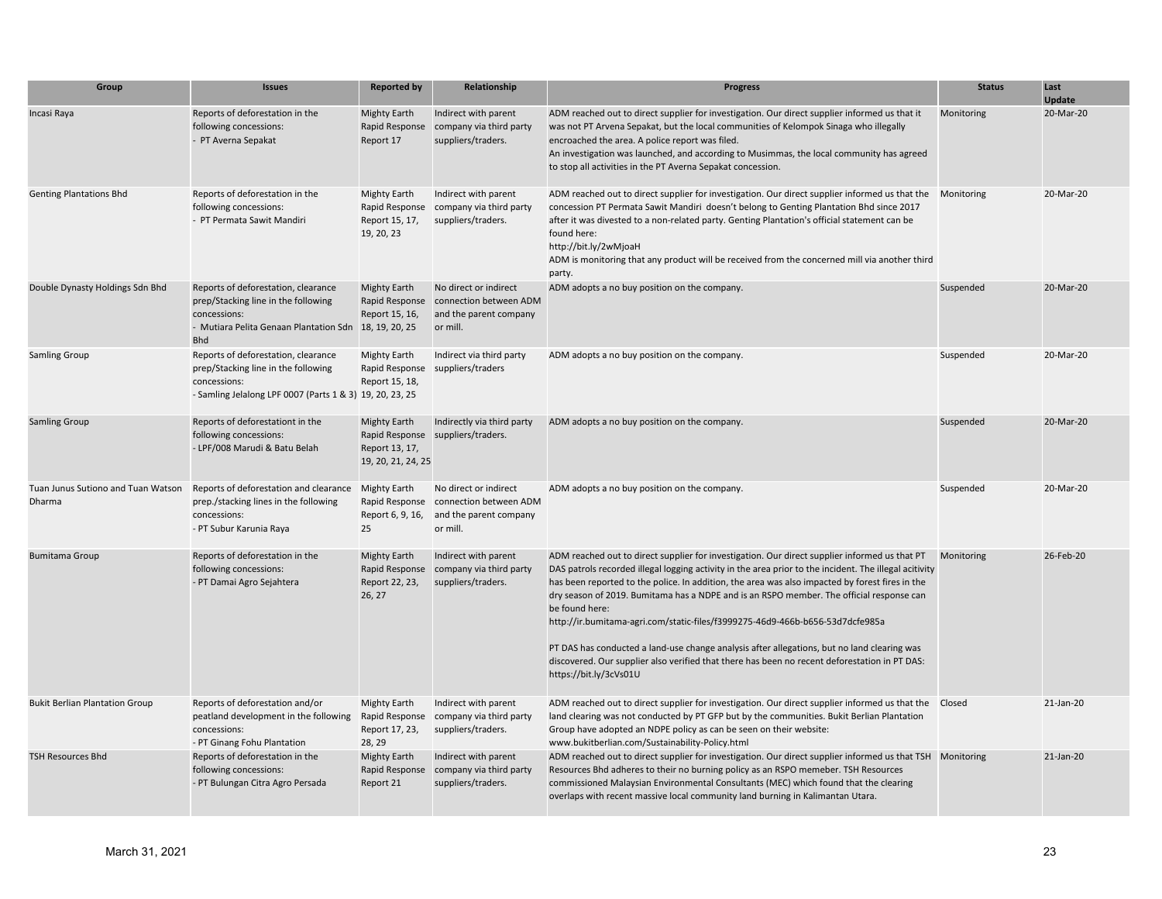| Group                                        | <b>Issues</b>                                                                                                                                                     | <b>Reported by</b>                                                    | Relationship                                                                          | <b>Progress</b>                                                                                                                                                                                                                                                                                                                                                                                                                                                                                                                                                                                                                                                                                                                     | <b>Status</b> | Last<br><b>Update</b> |
|----------------------------------------------|-------------------------------------------------------------------------------------------------------------------------------------------------------------------|-----------------------------------------------------------------------|---------------------------------------------------------------------------------------|-------------------------------------------------------------------------------------------------------------------------------------------------------------------------------------------------------------------------------------------------------------------------------------------------------------------------------------------------------------------------------------------------------------------------------------------------------------------------------------------------------------------------------------------------------------------------------------------------------------------------------------------------------------------------------------------------------------------------------------|---------------|-----------------------|
| Incasi Raya                                  | Reports of deforestation in the<br>following concessions:<br>- PT Averna Sepakat                                                                                  | <b>Mighty Earth</b><br>Rapid Response<br>Report 17                    | Indirect with parent<br>company via third party<br>suppliers/traders.                 | ADM reached out to direct supplier for investigation. Our direct supplier informed us that it<br>was not PT Arvena Sepakat, but the local communities of Kelompok Sinaga who illegally<br>encroached the area. A police report was filed.<br>An investigation was launched, and according to Musimmas, the local community has agreed<br>to stop all activities in the PT Averna Sepakat concession.                                                                                                                                                                                                                                                                                                                                | Monitoring    | 20-Mar-20             |
| <b>Genting Plantations Bhd</b>               | Reports of deforestation in the<br>following concessions:<br>- PT Permata Sawit Mandiri                                                                           | <b>Mighty Earth</b><br>Rapid Response<br>Report 15, 17,<br>19, 20, 23 | Indirect with parent<br>company via third party<br>suppliers/traders.                 | ADM reached out to direct supplier for investigation. Our direct supplier informed us that the Monitoring<br>concession PT Permata Sawit Mandiri doesn't belong to Genting Plantation Bhd since 2017<br>after it was divested to a non-related party. Genting Plantation's official statement can be<br>found here:<br>http://bit.ly/2wMjoaH<br>ADM is monitoring that any product will be received from the concerned mill via another third<br>party.                                                                                                                                                                                                                                                                             |               | 20-Mar-20             |
| Double Dynasty Holdings Sdn Bhd              | Reports of deforestation, clearance<br>prep/Stacking line in the following<br>concessions:<br>- Mutiara Pelita Genaan Plantation Sdn 18, 19, 20, 25<br><b>Bhd</b> | <b>Mighty Earth</b><br>Rapid Response<br>Report 15, 16,               | No direct or indirect<br>connection between ADM<br>and the parent company<br>or mill. | ADM adopts a no buy position on the company.                                                                                                                                                                                                                                                                                                                                                                                                                                                                                                                                                                                                                                                                                        | Suspended     | 20-Mar-20             |
| <b>Samling Group</b>                         | Reports of deforestation, clearance<br>prep/Stacking line in the following<br>concessions:<br>- Samling Jelalong LPF 0007 (Parts 1 & 3) 19, 20, 23, 25            | <b>Mighty Earth</b><br>Rapid Response<br>Report 15, 18,               | Indirect via third party<br>suppliers/traders                                         | ADM adopts a no buy position on the company.                                                                                                                                                                                                                                                                                                                                                                                                                                                                                                                                                                                                                                                                                        | Suspended     | 20-Mar-20             |
| <b>Samling Group</b>                         | Reports of deforestationt in the<br>following concessions:<br>- LPF/008 Marudi & Batu Belah                                                                       | <b>Mighty Earth</b><br>Report 13, 17,<br>19, 20, 21, 24, 25           | Indirectly via third party<br>Rapid Response suppliers/traders.                       | ADM adopts a no buy position on the company.                                                                                                                                                                                                                                                                                                                                                                                                                                                                                                                                                                                                                                                                                        | Suspended     | 20-Mar-20             |
| Tuan Junus Sutiono and Tuan Watson<br>Dharma | Reports of deforestation and clearance<br>prep./stacking lines in the following<br>concessions:<br>- PT Subur Karunia Raya                                        | <b>Mighty Earth</b><br>Rapid Response<br>Report 6, 9, 16,<br>25       | No direct or indirect<br>connection between ADM<br>and the parent company<br>or mill. | ADM adopts a no buy position on the company.                                                                                                                                                                                                                                                                                                                                                                                                                                                                                                                                                                                                                                                                                        | Suspended     | 20-Mar-20             |
| <b>Bumitama Group</b>                        | Reports of deforestation in the<br>following concessions:<br>- PT Damai Agro Sejahtera                                                                            | <b>Mighty Earth</b><br>Rapid Response<br>Report 22, 23,<br>26, 27     | Indirect with parent<br>company via third party<br>suppliers/traders.                 | ADM reached out to direct supplier for investigation. Our direct supplier informed us that PT<br>DAS patrols recorded illegal logging activity in the area prior to the incident. The illegal acitivity<br>has been reported to the police. In addition, the area was also impacted by forest fires in the<br>dry season of 2019. Bumitama has a NDPE and is an RSPO member. The official response can<br>be found here:<br>http://ir.bumitama-agri.com/static-files/f3999275-46d9-466b-b656-53d7dcfe985a<br>PT DAS has conducted a land-use change analysis after allegations, but no land clearing was<br>discovered. Our supplier also verified that there has been no recent deforestation in PT DAS:<br>https://bit.ly/3cVs01U | Monitoring    | 26-Feb-20             |
| <b>Bukit Berlian Plantation Group</b>        | Reports of deforestation and/or<br>peatland development in the following<br>concessions:<br>- PT Ginang Fohu Plantation                                           | <b>Mighty Earth</b><br>Rapid Response<br>Report 17, 23,<br>28, 29     | Indirect with parent<br>company via third party<br>suppliers/traders.                 | ADM reached out to direct supplier for investigation. Our direct supplier informed us that the  Closed<br>land clearing was not conducted by PT GFP but by the communities. Bukit Berlian Plantation<br>Group have adopted an NDPE policy as can be seen on their website:<br>www.bukitberlian.com/Sustainability-Policy.html                                                                                                                                                                                                                                                                                                                                                                                                       |               | $21$ -Jan- $20$       |
| <b>TSH Resources Bhd</b>                     | Reports of deforestation in the<br>following concessions:<br>- PT Bulungan Citra Agro Persada                                                                     | <b>Mighty Earth</b><br>Rapid Response<br>Report 21                    | Indirect with parent<br>company via third party<br>suppliers/traders.                 | ADM reached out to direct supplier for investigation. Our direct supplier informed us that TSH Monitoring<br>Resources Bhd adheres to their no burning policy as an RSPO memeber. TSH Resources<br>commissioned Malaysian Environmental Consultants (MEC) which found that the clearing<br>overlaps with recent massive local community land burning in Kalimantan Utara.                                                                                                                                                                                                                                                                                                                                                           |               | 21-Jan-20             |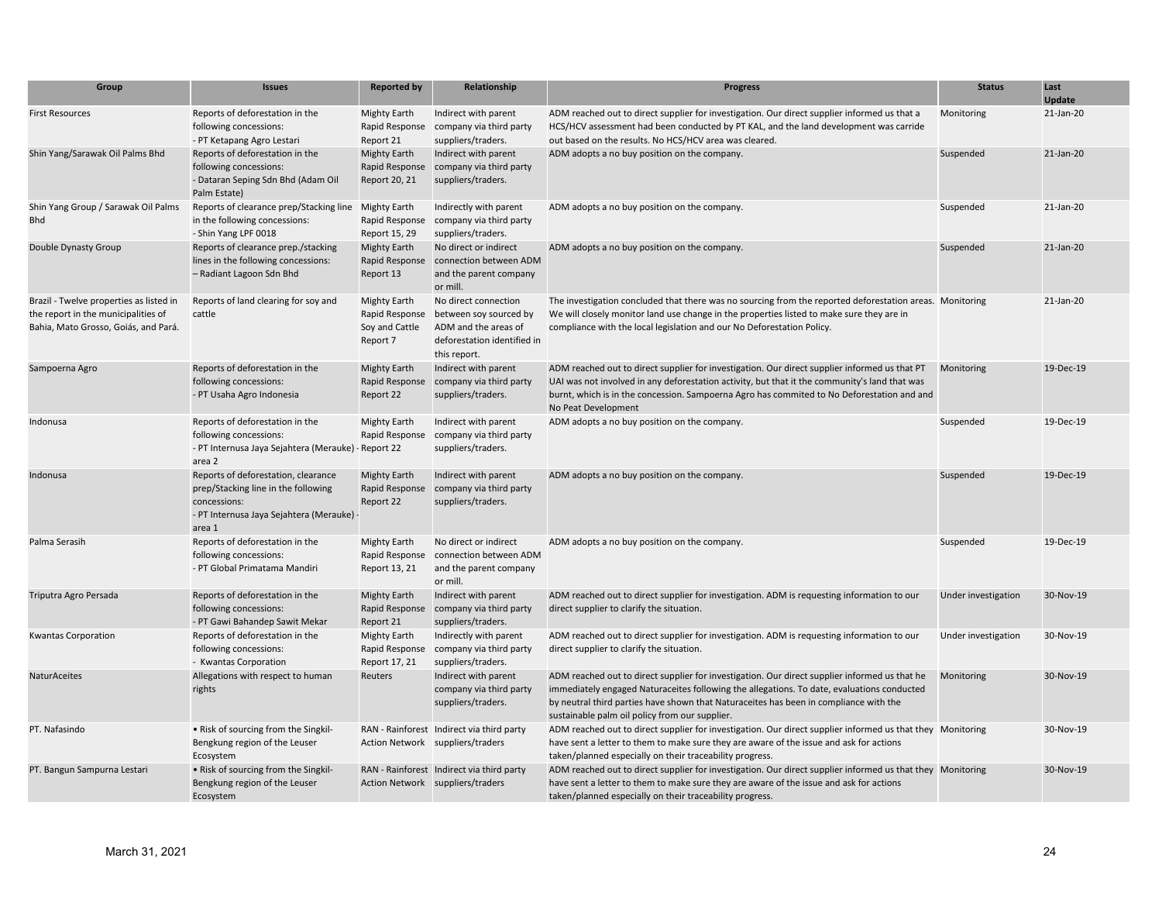| Group                                                                                                                  | <b>Issues</b>                                                                                                                                   | <b>Reported by</b>                                                  | Relationship                                                                                                          | <b>Progress</b>                                                                                                                                                                                                                                                                                                                        | <b>Status</b>       | Last<br>Update |
|------------------------------------------------------------------------------------------------------------------------|-------------------------------------------------------------------------------------------------------------------------------------------------|---------------------------------------------------------------------|-----------------------------------------------------------------------------------------------------------------------|----------------------------------------------------------------------------------------------------------------------------------------------------------------------------------------------------------------------------------------------------------------------------------------------------------------------------------------|---------------------|----------------|
| <b>First Resources</b>                                                                                                 | Reports of deforestation in the<br>following concessions:<br>- PT Ketapang Agro Lestari                                                         | <b>Mighty Earth</b><br>Rapid Response<br>Report 21                  | Indirect with parent<br>company via third party<br>suppliers/traders.                                                 | ADM reached out to direct supplier for investigation. Our direct supplier informed us that a<br>HCS/HCV assessment had been conducted by PT KAL, and the land development was carride<br>out based on the results. No HCS/HCV area was cleared.                                                                                        | Monitoring          | 21-Jan-20      |
| Shin Yang/Sarawak Oil Palms Bhd                                                                                        | Reports of deforestation in the<br>following concessions:<br>- Dataran Seping Sdn Bhd (Adam Oil<br>Palm Estate)                                 | Mighty Earth<br>Rapid Response<br>Report 20, 21                     | Indirect with parent<br>company via third party<br>suppliers/traders.                                                 | ADM adopts a no buy position on the company.                                                                                                                                                                                                                                                                                           | Suspended           | 21-Jan-20      |
| Shin Yang Group / Sarawak Oil Palms<br><b>Bhd</b>                                                                      | Reports of clearance prep/Stacking line<br>in the following concessions:<br>- Shin Yang LPF 0018                                                | <b>Mighty Earth</b><br>Rapid Response<br>Report 15, 29              | Indirectly with parent<br>company via third party<br>suppliers/traders.                                               | ADM adopts a no buy position on the company.                                                                                                                                                                                                                                                                                           | Suspended           | 21-Jan-20      |
| Double Dynasty Group                                                                                                   | Reports of clearance prep./stacking<br>lines in the following concessions:<br>- Radiant Lagoon Sdn Bhd                                          | Mighty Earth<br>Rapid Response<br>Report 13                         | No direct or indirect<br>connection between ADM<br>and the parent company<br>or mill.                                 | ADM adopts a no buy position on the company.                                                                                                                                                                                                                                                                                           | Suspended           | 21-Jan-20      |
| Brazil - Twelve properties as listed in<br>the report in the municipalities of<br>Bahia, Mato Grosso, Goiás, and Pará. | Reports of land clearing for soy and<br>cattle                                                                                                  | <b>Mighty Earth</b><br>Rapid Response<br>Soy and Cattle<br>Report 7 | No direct connection<br>between soy sourced by<br>ADM and the areas of<br>deforestation identified in<br>this report. | The investigation concluded that there was no sourcing from the reported deforestation areas. Monitoring<br>We will closely monitor land use change in the properties listed to make sure they are in<br>compliance with the local legislation and our No Deforestation Policy.                                                        |                     | 21-Jan-20      |
| Sampoerna Agro                                                                                                         | Reports of deforestation in the<br>following concessions:<br>- PT Usaha Agro Indonesia                                                          | <b>Mighty Earth</b><br>Rapid Response<br>Report 22                  | Indirect with parent<br>company via third party<br>suppliers/traders.                                                 | ADM reached out to direct supplier for investigation. Our direct supplier informed us that PT<br>UAI was not involved in any deforestation activity, but that it the community's land that was<br>burnt, which is in the concession. Sampoerna Agro has commited to No Deforestation and and<br>No Peat Development                    | Monitoring          | 19-Dec-19      |
| Indonusa                                                                                                               | Reports of deforestation in the<br>following concessions:<br>- PT Internusa Jaya Sejahtera (Merauke) - Report 22<br>area 2                      | <b>Mighty Earth</b><br>Rapid Response                               | Indirect with parent<br>company via third party<br>suppliers/traders.                                                 | ADM adopts a no buy position on the company.                                                                                                                                                                                                                                                                                           | Suspended           | 19-Dec-19      |
| Indonusa                                                                                                               | Reports of deforestation, clearance<br>prep/Stacking line in the following<br>concessions:<br>- PT Internusa Jaya Sejahtera (Merauke)<br>area 1 | <b>Mighty Earth</b><br>Rapid Response<br>Report 22                  | Indirect with parent<br>company via third party<br>suppliers/traders.                                                 | ADM adopts a no buy position on the company.                                                                                                                                                                                                                                                                                           | Suspended           | 19-Dec-19      |
| Palma Serasih                                                                                                          | Reports of deforestation in the<br>following concessions:<br>- PT Global Primatama Mandiri                                                      | Mighty Earth<br>Rapid Response<br>Report 13, 21                     | No direct or indirect<br>connection between ADM<br>and the parent company<br>or mill.                                 | ADM adopts a no buy position on the company.                                                                                                                                                                                                                                                                                           | Suspended           | 19-Dec-19      |
| Triputra Agro Persada                                                                                                  | Reports of deforestation in the<br>following concessions:<br>- PT Gawi Bahandep Sawit Mekar                                                     | <b>Mighty Earth</b><br>Rapid Response<br>Report 21                  | Indirect with parent<br>company via third party<br>suppliers/traders.                                                 | ADM reached out to direct supplier for investigation. ADM is requesting information to our<br>direct supplier to clarify the situation.                                                                                                                                                                                                | Under investigation | 30-Nov-19      |
| <b>Kwantas Corporation</b>                                                                                             | Reports of deforestation in the<br>following concessions:<br>- Kwantas Corporation                                                              | Mighty Earth<br>Rapid Response<br>Report 17, 21                     | Indirectly with parent<br>company via third party<br>suppliers/traders.                                               | ADM reached out to direct supplier for investigation. ADM is requesting information to our<br>direct supplier to clarify the situation.                                                                                                                                                                                                | Under investigation | 30-Nov-19      |
| NaturAceites                                                                                                           | Allegations with respect to human<br>rights                                                                                                     | Reuters                                                             | Indirect with parent<br>company via third party<br>suppliers/traders.                                                 | ADM reached out to direct supplier for investigation. Our direct supplier informed us that he<br>immediately engaged Naturaceites following the allegations. To date, evaluations conducted<br>by neutral third parties have shown that Naturaceites has been in compliance with the<br>sustainable palm oil policy from our supplier. | Monitoring          | 30-Nov-19      |
| PT. Nafasindo                                                                                                          | • Risk of sourcing from the Singkil-<br>Bengkung region of the Leuser<br>Ecosystem                                                              |                                                                     | RAN - Rainforest Indirect via third party<br>Action Network suppliers/traders                                         | ADM reached out to direct supplier for investigation. Our direct supplier informed us that they Monitoring<br>have sent a letter to them to make sure they are aware of the issue and ask for actions<br>taken/planned especially on their traceability progress.                                                                      |                     | 30-Nov-19      |
| PT. Bangun Sampurna Lestari                                                                                            | • Risk of sourcing from the Singkil-<br>Bengkung region of the Leuser<br>Ecosystem                                                              |                                                                     | RAN - Rainforest Indirect via third party<br>Action Network suppliers/traders                                         | ADM reached out to direct supplier for investigation. Our direct supplier informed us that they Monitoring<br>have sent a letter to them to make sure they are aware of the issue and ask for actions<br>taken/planned especially on their traceability progress.                                                                      |                     | 30-Nov-19      |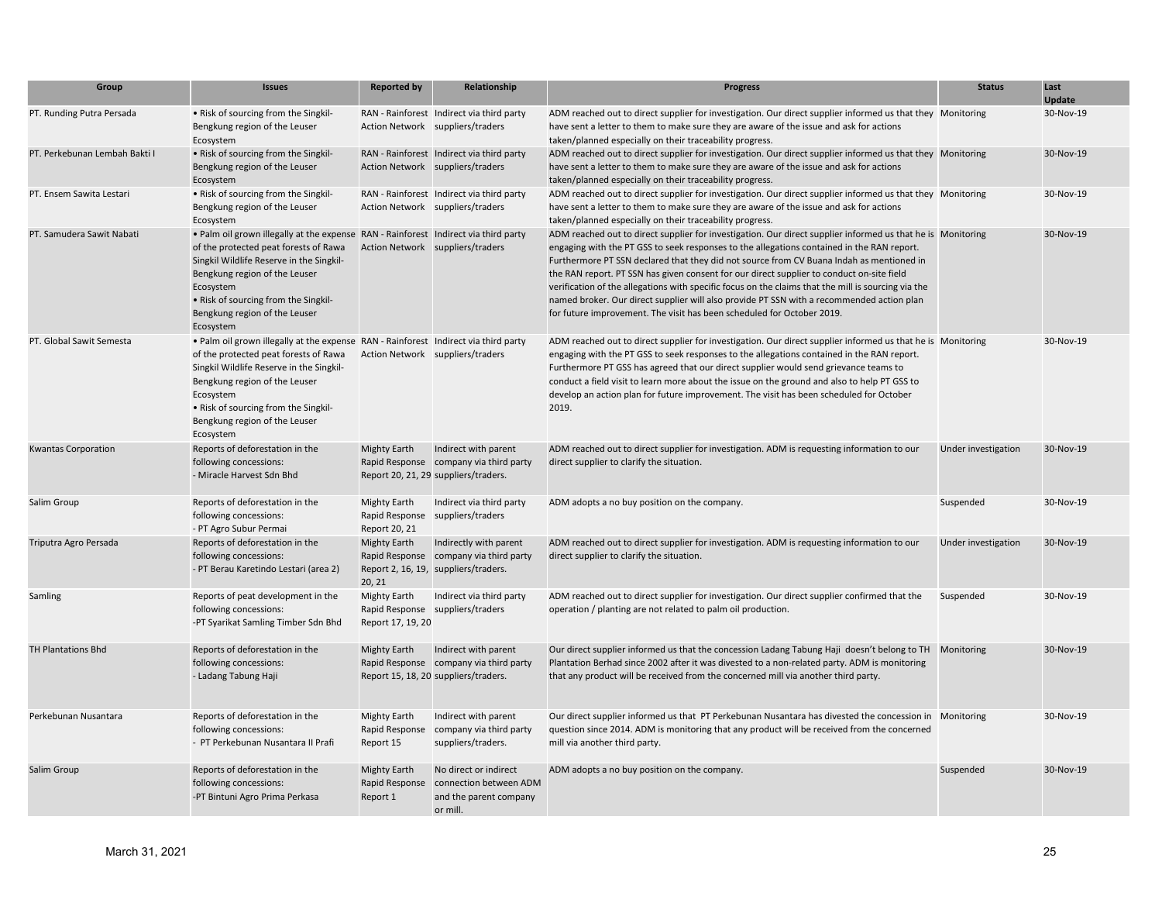| Group                         | <b>Issues</b>                                                                                                                                                                                                                                                                                                | <b>Reported by</b>                                     | Relationship                                                                                           | <b>Progress</b>                                                                                                                                                                                                                                                                                                                                                                                                                                                                                                                                                                                                                                                                  | <b>Status</b>       | Last<br>Update |
|-------------------------------|--------------------------------------------------------------------------------------------------------------------------------------------------------------------------------------------------------------------------------------------------------------------------------------------------------------|--------------------------------------------------------|--------------------------------------------------------------------------------------------------------|----------------------------------------------------------------------------------------------------------------------------------------------------------------------------------------------------------------------------------------------------------------------------------------------------------------------------------------------------------------------------------------------------------------------------------------------------------------------------------------------------------------------------------------------------------------------------------------------------------------------------------------------------------------------------------|---------------------|----------------|
| PT. Runding Putra Persada     | • Risk of sourcing from the Singkil-<br>Bengkung region of the Leuser<br>Ecosystem                                                                                                                                                                                                                           |                                                        | RAN - Rainforest Indirect via third party<br>Action Network suppliers/traders                          | ADM reached out to direct supplier for investigation. Our direct supplier informed us that they Monitoring<br>have sent a letter to them to make sure they are aware of the issue and ask for actions<br>taken/planned especially on their traceability progress.                                                                                                                                                                                                                                                                                                                                                                                                                |                     | 30-Nov-19      |
| PT. Perkebunan Lembah Bakti I | • Risk of sourcing from the Singkil-<br>Bengkung region of the Leuser<br>Ecosystem                                                                                                                                                                                                                           |                                                        | RAN - Rainforest Indirect via third party<br>Action Network suppliers/traders                          | ADM reached out to direct supplier for investigation. Our direct supplier informed us that they Monitoring<br>have sent a letter to them to make sure they are aware of the issue and ask for actions<br>taken/planned especially on their traceability progress.                                                                                                                                                                                                                                                                                                                                                                                                                |                     | 30-Nov-19      |
| PT. Ensem Sawita Lestari      | . Risk of sourcing from the Singkil-<br>Bengkung region of the Leuser<br>Ecosystem                                                                                                                                                                                                                           |                                                        | RAN - Rainforest Indirect via third party<br>Action Network suppliers/traders                          | ADM reached out to direct supplier for investigation. Our direct supplier informed us that they Monitoring<br>have sent a letter to them to make sure they are aware of the issue and ask for actions<br>taken/planned especially on their traceability progress.                                                                                                                                                                                                                                                                                                                                                                                                                |                     | 30-Nov-19      |
| PT. Samudera Sawit Nabati     | . Palm oil grown illegally at the expense RAN - Rainforest Indirect via third party<br>of the protected peat forests of Rawa<br>Singkil Wildlife Reserve in the Singkil-<br>Bengkung region of the Leuser<br>Ecosystem<br>• Risk of sourcing from the Singkil-<br>Bengkung region of the Leuser<br>Ecosystem |                                                        | Action Network suppliers/traders                                                                       | ADM reached out to direct supplier for investigation. Our direct supplier informed us that he is Monitoring<br>engaging with the PT GSS to seek responses to the allegations contained in the RAN report.<br>Furthermore PT SSN declared that they did not source from CV Buana Indah as mentioned in<br>the RAN report. PT SSN has given consent for our direct supplier to conduct on-site field<br>verification of the allegations with specific focus on the claims that the mill is sourcing via the<br>named broker. Our direct supplier will also provide PT SSN with a recommended action plan<br>for future improvement. The visit has been scheduled for October 2019. |                     | 30-Nov-19      |
| PT. Global Sawit Semesta      | . Palm oil grown illegally at the expense RAN - Rainforest Indirect via third party<br>of the protected peat forests of Rawa<br>Singkil Wildlife Reserve in the Singkil-<br>Bengkung region of the Leuser<br>Ecosystem<br>• Risk of sourcing from the Singkil-<br>Bengkung region of the Leuser<br>Ecosystem |                                                        | Action Network suppliers/traders                                                                       | ADM reached out to direct supplier for investigation. Our direct supplier informed us that he is Monitoring<br>engaging with the PT GSS to seek responses to the allegations contained in the RAN report.<br>Furthermore PT GSS has agreed that our direct supplier would send grievance teams to<br>conduct a field visit to learn more about the issue on the ground and also to help PT GSS to<br>develop an action plan for future improvement. The visit has been scheduled for October<br>2019.                                                                                                                                                                            |                     | 30-Nov-19      |
| <b>Kwantas Corporation</b>    | Reports of deforestation in the<br>following concessions:<br>- Miracle Harvest Sdn Bhd                                                                                                                                                                                                                       | <b>Mighty Earth</b>                                    | Indirect with parent<br>Rapid Response company via third party<br>Report 20, 21, 29 suppliers/traders. | ADM reached out to direct supplier for investigation. ADM is requesting information to our<br>direct supplier to clarify the situation.                                                                                                                                                                                                                                                                                                                                                                                                                                                                                                                                          | Under investigation | 30-Nov-19      |
| Salim Group                   | Reports of deforestation in the<br>following concessions:<br>- PT Agro Subur Permai                                                                                                                                                                                                                          | <b>Mighty Earth</b><br>Rapid Response<br>Report 20, 21 | Indirect via third party<br>suppliers/traders                                                          | ADM adopts a no buy position on the company.                                                                                                                                                                                                                                                                                                                                                                                                                                                                                                                                                                                                                                     | Suspended           | 30-Nov-19      |
| Triputra Agro Persada         | Reports of deforestation in the<br>following concessions:<br>- PT Berau Karetindo Lestari (area 2)                                                                                                                                                                                                           | <b>Mighty Earth</b><br>Rapid Response<br>20, 21        | Indirectly with parent<br>company via third party<br>Report 2, 16, 19, suppliers/traders.              | ADM reached out to direct supplier for investigation. ADM is requesting information to our<br>direct supplier to clarify the situation.                                                                                                                                                                                                                                                                                                                                                                                                                                                                                                                                          | Under investigation | 30-Nov-19      |
| Samling                       | Reports of peat development in the<br>following concessions:<br>-PT Syarikat Samling Timber Sdn Bhd                                                                                                                                                                                                          | <b>Mighty Earth</b><br>Report 17, 19, 20               | Indirect via third party<br>Rapid Response suppliers/traders                                           | ADM reached out to direct supplier for investigation. Our direct supplier confirmed that the<br>operation / planting are not related to palm oil production.                                                                                                                                                                                                                                                                                                                                                                                                                                                                                                                     | Suspended           | 30-Nov-19      |
| <b>TH Plantations Bhd</b>     | Reports of deforestation in the<br>following concessions:<br>- Ladang Tabung Haji                                                                                                                                                                                                                            | <b>Mighty Earth</b>                                    | Indirect with parent<br>Rapid Response company via third party<br>Report 15, 18, 20 suppliers/traders. | Our direct supplier informed us that the concession Ladang Tabung Haji doesn't belong to TH<br>Plantation Berhad since 2002 after it was divested to a non-related party. ADM is monitoring<br>that any product will be received from the concerned mill via another third party.                                                                                                                                                                                                                                                                                                                                                                                                | Monitoring          | 30-Nov-19      |
| Perkebunan Nusantara          | Reports of deforestation in the<br>following concessions:<br>- PT Perkebunan Nusantara II Prafi                                                                                                                                                                                                              | Mighty Earth<br>Rapid Response<br>Report 15            | Indirect with parent<br>company via third party<br>suppliers/traders.                                  | Our direct supplier informed us that PT Perkebunan Nusantara has divested the concession in Monitoring<br>question since 2014. ADM is monitoring that any product will be received from the concerned<br>mill via another third party.                                                                                                                                                                                                                                                                                                                                                                                                                                           |                     | 30-Nov-19      |
| Salim Group                   | Reports of deforestation in the<br>following concessions:<br>-PT Bintuni Agro Prima Perkasa                                                                                                                                                                                                                  | <b>Mighty Earth</b><br>Rapid Response<br>Report 1      | No direct or indirect<br>connection between ADM<br>and the parent company<br>or mill.                  | ADM adopts a no buy position on the company.                                                                                                                                                                                                                                                                                                                                                                                                                                                                                                                                                                                                                                     | Suspended           | 30-Nov-19      |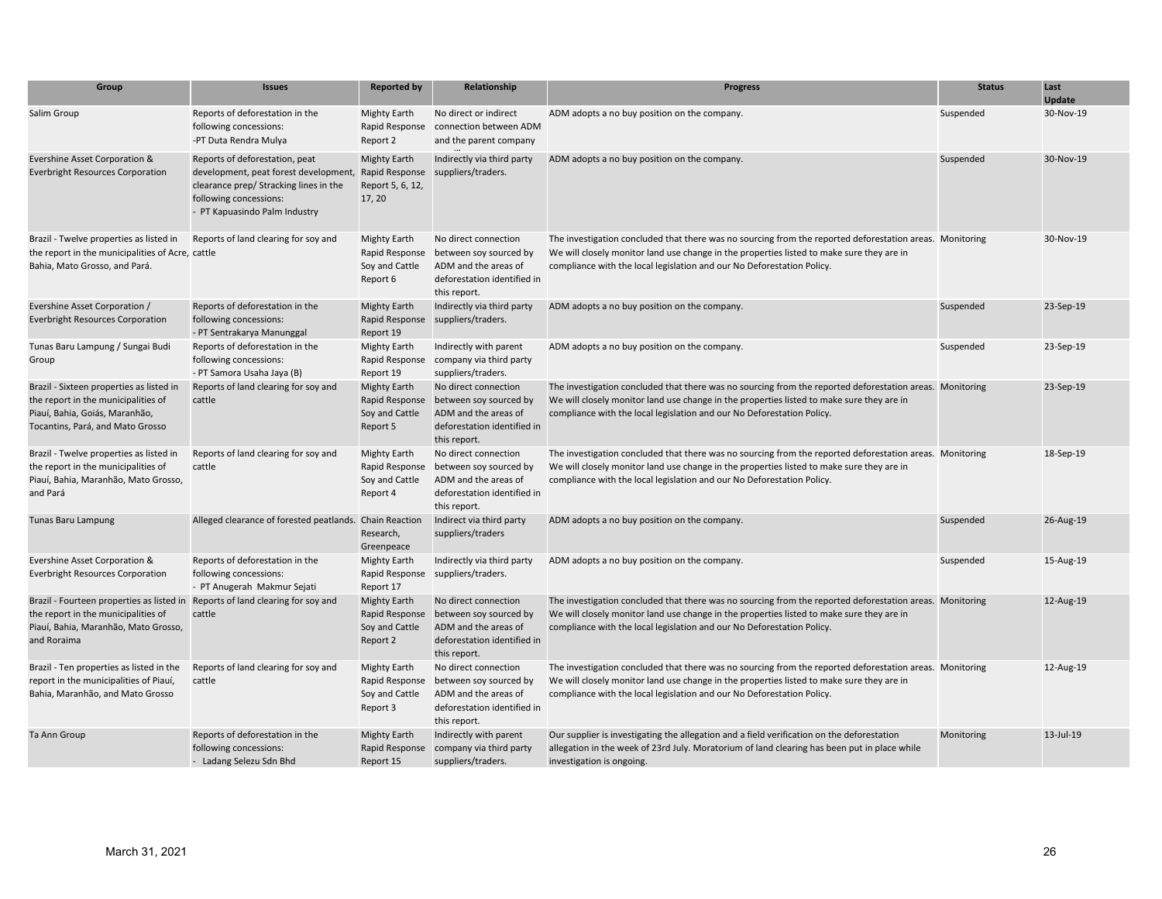| Group                                                                                                                                                                        | <b>Issues</b>                                                                                                                                                               | <b>Reported by</b>                                                  | Relationship                                                                                                          | <b>Progress</b>                                                                                                                                                                                                                                                                 | <b>Status</b> | Last<br><b>Update</b> |
|------------------------------------------------------------------------------------------------------------------------------------------------------------------------------|-----------------------------------------------------------------------------------------------------------------------------------------------------------------------------|---------------------------------------------------------------------|-----------------------------------------------------------------------------------------------------------------------|---------------------------------------------------------------------------------------------------------------------------------------------------------------------------------------------------------------------------------------------------------------------------------|---------------|-----------------------|
| Salim Group                                                                                                                                                                  | Reports of deforestation in the<br>following concessions:<br>-PT Duta Rendra Mulya                                                                                          | <b>Mighty Earth</b><br>Rapid Response<br>Report 2                   | No direct or indirect<br>connection between ADM<br>and the parent company                                             | ADM adopts a no buy position on the company.                                                                                                                                                                                                                                    | Suspended     | 30-Nov-19             |
| Evershine Asset Corporation &<br><b>Everbright Resources Corporation</b>                                                                                                     | Reports of deforestation, peat<br>development, peat forest development<br>clearance prep/ Stracking lines in the<br>following concessions:<br>- PT Kapuasindo Palm Industry | <b>Mighty Earth</b><br>Rapid Response<br>Report 5, 6, 12,<br>17, 20 | Indirectly via third party<br>suppliers/traders.                                                                      | ADM adopts a no buy position on the company.                                                                                                                                                                                                                                    | Suspended     | 30-Nov-19             |
| Brazil - Twelve properties as listed in<br>the report in the municipalities of Acre, cattle<br>Bahia, Mato Grosso, and Pará.                                                 | Reports of land clearing for soy and                                                                                                                                        | <b>Mighty Earth</b><br>Rapid Response<br>Soy and Cattle<br>Report 6 | No direct connection<br>between soy sourced by<br>ADM and the areas of<br>deforestation identified in<br>this report. | The investigation concluded that there was no sourcing from the reported deforestation areas. Monitoring<br>We will closely monitor land use change in the properties listed to make sure they are in<br>compliance with the local legislation and our No Deforestation Policy. |               | 30-Nov-19             |
| Evershine Asset Corporation /<br><b>Everbright Resources Corporation</b>                                                                                                     | Reports of deforestation in the<br>following concessions:<br>- PT Sentrakarya Manunggal                                                                                     | <b>Mighty Earth</b><br>Report 19                                    | Indirectly via third party<br>Rapid Response suppliers/traders.                                                       | ADM adopts a no buy position on the company.                                                                                                                                                                                                                                    | Suspended     | 23-Sep-19             |
| Tunas Baru Lampung / Sungai Budi<br>Group                                                                                                                                    | Reports of deforestation in the<br>following concessions:<br>- PT Samora Usaha Jaya (B)                                                                                     | Mighty Earth<br>Rapid Response<br>Report 19                         | Indirectly with parent<br>company via third party<br>suppliers/traders.                                               | ADM adopts a no buy position on the company.                                                                                                                                                                                                                                    | Suspended     | 23-Sep-19             |
| Brazil - Sixteen properties as listed in<br>the report in the municipalities of<br>Piauí, Bahia, Goiás, Maranhão,<br>Tocantins, Pará, and Mato Grosso                        | Reports of land clearing for soy and<br>cattle                                                                                                                              | <b>Mighty Earth</b><br>Rapid Response<br>Soy and Cattle<br>Report 5 | No direct connection<br>between soy sourced by<br>ADM and the areas of<br>deforestation identified in<br>this report. | The investigation concluded that there was no sourcing from the reported deforestation areas. Monitoring<br>We will closely monitor land use change in the properties listed to make sure they are in<br>compliance with the local legislation and our No Deforestation Policy. |               | 23-Sep-19             |
| Brazil - Twelve properties as listed in<br>the report in the municipalities of<br>Piauí, Bahia, Maranhão, Mato Grosso,<br>and Pará                                           | Reports of land clearing for soy and<br>cattle                                                                                                                              | <b>Mighty Earth</b><br>Rapid Response<br>Soy and Cattle<br>Report 4 | No direct connection<br>between soy sourced by<br>ADM and the areas of<br>deforestation identified in<br>this report. | The investigation concluded that there was no sourcing from the reported deforestation areas. Monitoring<br>We will closely monitor land use change in the properties listed to make sure they are in<br>compliance with the local legislation and our No Deforestation Policy. |               | 18-Sep-19             |
| <b>Tunas Baru Lampung</b>                                                                                                                                                    | Alleged clearance of forested peatlands.                                                                                                                                    | <b>Chain Reaction</b><br>Research,<br>Greenpeace                    | Indirect via third party<br>suppliers/traders                                                                         | ADM adopts a no buy position on the company.                                                                                                                                                                                                                                    | Suspended     | 26-Aug-19             |
| Evershine Asset Corporation &<br><b>Everbright Resources Corporation</b>                                                                                                     | Reports of deforestation in the<br>following concessions:<br>- PT Anugerah Makmur Sejati                                                                                    | <b>Mighty Earth</b><br>Rapid Response<br>Report 17                  | Indirectly via third party<br>suppliers/traders.                                                                      | ADM adopts a no buy position on the company.                                                                                                                                                                                                                                    | Suspended     | 15-Aug-19             |
| Brazil - Fourteen properties as listed in Reports of land clearing for soy and<br>the report in the municipalities of<br>Piauí, Bahia, Maranhão, Mato Grosso,<br>and Roraima | cattle                                                                                                                                                                      | <b>Mighty Earth</b><br>Rapid Response<br>Soy and Cattle<br>Report 2 | No direct connection<br>between soy sourced by<br>ADM and the areas of<br>deforestation identified in<br>this report. | The investigation concluded that there was no sourcing from the reported deforestation areas. Monitoring<br>We will closely monitor land use change in the properties listed to make sure they are in<br>compliance with the local legislation and our No Deforestation Policy. |               | 12-Aug-19             |
| Brazil - Ten properties as listed in the<br>report in the municipalities of Piauí,<br>Bahia, Maranhão, and Mato Grosso                                                       | Reports of land clearing for soy and<br>cattle                                                                                                                              | <b>Mighty Earth</b><br>Rapid Response<br>Soy and Cattle<br>Report 3 | No direct connection<br>between soy sourced by<br>ADM and the areas of<br>deforestation identified in<br>this report. | The investigation concluded that there was no sourcing from the reported deforestation areas. Monitoring<br>We will closely monitor land use change in the properties listed to make sure they are in<br>compliance with the local legislation and our No Deforestation Policy. |               | 12-Aug-19             |
| Ta Ann Group                                                                                                                                                                 | Reports of deforestation in the<br>following concessions:<br>- Ladang Selezu Sdn Bhd                                                                                        | <b>Mighty Earth</b><br>Rapid Response<br>Report 15                  | Indirectly with parent<br>company via third party<br>suppliers/traders.                                               | Our supplier is investigating the allegation and a field verification on the deforestation<br>allegation in the week of 23rd July. Moratorium of land clearing has been put in place while<br>investigation is ongoing.                                                         | Monitoring    | 13-Jul-19             |